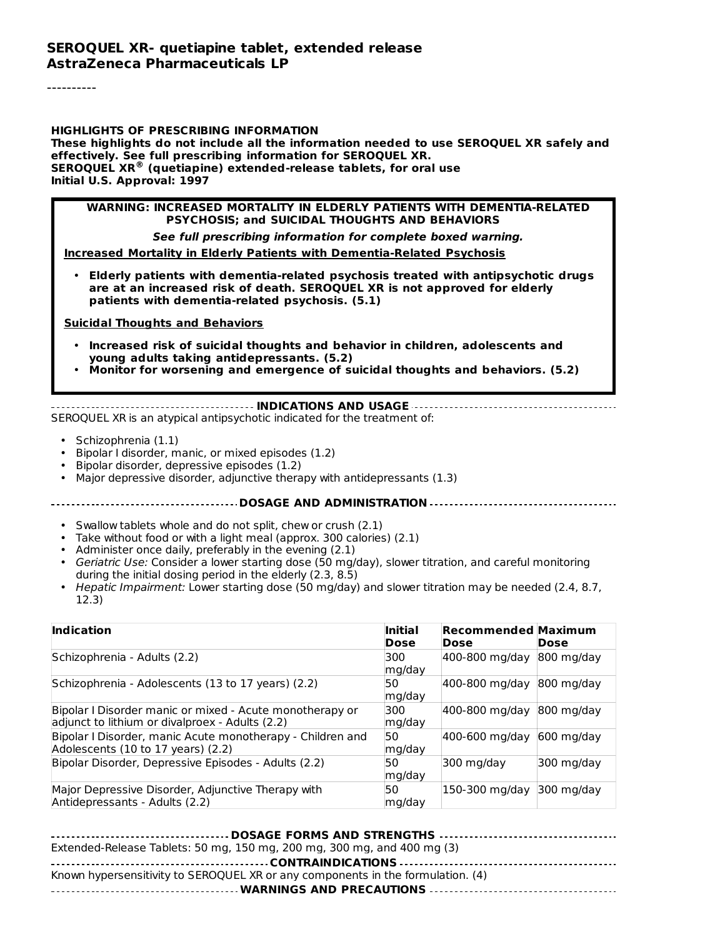----------

**HIGHLIGHTS OF PRESCRIBING INFORMATION These highlights do not include all the information needed to use SEROQUEL XR safely and effectively. See full prescribing information for SEROQUEL XR. SEROQUEL XR (quetiapine) extended-release tablets, for oral use ® Initial U.S. Approval: 1997**

**WARNING: INCREASED MORTALITY IN ELDERLY PATIENTS WITH DEMENTIA-RELATED PSYCHOSIS; and SUICIDAL THOUGHTS AND BEHAVIORS**

**See full prescribing information for complete boxed warning.**

**Increased Mortality in Elderly Patients with Dementia-Related Psychosis**

• **Elderly patients with dementia-related psychosis treated with antipsychotic drugs are at an increased risk of death. SEROQUEL XR is not approved for elderly patients with dementia-related psychosis. (5.1)**

**Suicidal Thoughts and Behaviors**

- **Increased risk of suicidal thoughts and behavior in children, adolescents and young adults taking antidepressants. (5.2)**
- **Monitor for worsening and emergence of suicidal thoughts and behaviors. (5.2)**

**INDICATIONS AND USAGE** SEROQUEL XR is an atypical antipsychotic indicated for the treatment of:

- Schizophrenia (1.1)
- Bipolar I disorder, manic, or mixed episodes (1.2)
- Bipolar disorder, depressive episodes (1.2)
- Major depressive disorder, adjunctive therapy with antidepressants (1.3)

#### **DOSAGE AND ADMINISTRATION**

- Swallow tablets whole and do not split, chew or crush (2.1)
- Take without food or with a light meal (approx. 300 calories) (2.1)
- Administer once daily, preferably in the evening (2.1)
- Geriatric Use: Consider a lower starting dose (50 mg/day), slower titration, and careful monitoring during the initial dosing period in the elderly (2.3, 8.5)
- Hepatic Impairment: Lower starting dose (50 mg/day) and slower titration may be needed (2.4, 8.7, 12.3)

| Indication                                                                                                  | <b>Initial</b><br>Dose | <b>Recommended Maximum</b><br>Dose | Dose                 |
|-------------------------------------------------------------------------------------------------------------|------------------------|------------------------------------|----------------------|
| Schizophrenia - Adults (2.2)                                                                                | 300<br>mg/day          | 400-800 mg/day                     | $800$ mg/day         |
| Schizophrenia - Adolescents (13 to 17 years) (2.2)                                                          | 50<br>mg/day           | 400-800 mg/day                     | 800 mg/day           |
| Bipolar I Disorder manic or mixed - Acute monotherapy or<br>adjunct to lithium or divalproex - Adults (2.2) | 300<br>mg/day          | 400-800 mg/day                     | $800 \text{ mg/day}$ |
| Bipolar I Disorder, manic Acute monotherapy - Children and<br>Adolescents (10 to 17 years) (2.2)            | 50<br>mg/day           | 400-600 mg/day                     | $600$ mg/day         |
| Bipolar Disorder, Depressive Episodes - Adults (2.2)                                                        | 50<br>mg/day           | 300 mg/day                         | $300 \text{ mg/day}$ |
| Major Depressive Disorder, Adjunctive Therapy with<br>Antidepressants - Adults (2.2)                        | 50<br>mg/day           | 150-300 mg/day                     | $300 \text{ mg/day}$ |

| ------------------------------------ DOSAGE FORMS AND STRENGTHS ----------------------------------- |  |  |
|-----------------------------------------------------------------------------------------------------|--|--|
| Extended-Release Tablets: 50 mg, 150 mg, 200 mg, 300 mg, and 400 mg (3)                             |  |  |
|                                                                                                     |  |  |
| Known hypersensitivity to SEROQUEL XR or any components in the formulation. (4)                     |  |  |
|                                                                                                     |  |  |
|                                                                                                     |  |  |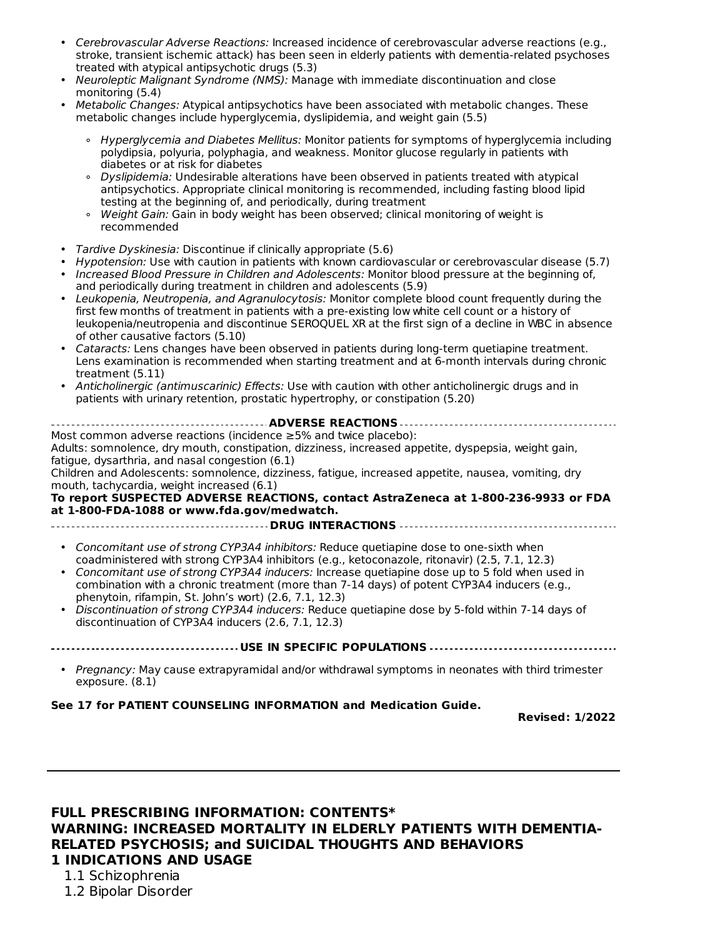- Cerebrovascular Adverse Reactions: Increased incidence of cerebrovascular adverse reactions (e.g., stroke, transient ischemic attack) has been seen in elderly patients with dementia-related psychoses treated with atypical antipsychotic drugs (5.3)
- Neuroleptic Malignant Syndrome (NMS): Manage with immediate discontinuation and close monitoring (5.4)
- Metabolic Changes: Atypical antipsychotics have been associated with metabolic changes. These metabolic changes include hyperglycemia, dyslipidemia, and weight gain (5.5)
	- ∘ Hyperglycemia and Diabetes Mellitus: Monitor patients for symptoms of hyperglycemia including polydipsia, polyuria, polyphagia, and weakness. Monitor glucose regularly in patients with diabetes or at risk for diabetes
	- ∘ Dyslipidemia: Undesirable alterations have been observed in patients treated with atypical antipsychotics. Appropriate clinical monitoring is recommended, including fasting blood lipid testing at the beginning of, and periodically, during treatment
	- ∘ Weight Gain: Gain in body weight has been observed; clinical monitoring of weight is recommended
- Tardive Dyskinesia: Discontinue if clinically appropriate (5.6)
- Hypotension: Use with caution in patients with known cardiovascular or cerebrovascular disease (5.7)
- Increased Blood Pressure in Children and Adolescents: Monitor blood pressure at the beginning of, and periodically during treatment in children and adolescents (5.9)
- Leukopenia, Neutropenia, and Agranulocytosis: Monitor complete blood count frequently during the first few months of treatment in patients with a pre-existing low white cell count or a history of leukopenia/neutropenia and discontinue SEROQUEL XR at the first sign of a decline in WBC in absence of other causative factors (5.10)
- Cataracts: Lens changes have been observed in patients during long-term quetiapine treatment. Lens examination is recommended when starting treatment and at 6-month intervals during chronic treatment (5.11)
- Anticholinergic (antimuscarinic) Effects: Use with caution with other anticholinergic drugs and in patients with urinary retention, prostatic hypertrophy, or constipation (5.20)
- **ADVERSE REACTIONS** Most common adverse reactions (incidence ≥5% and twice placebo): Adults: somnolence, dry mouth, constipation, dizziness, increased appetite, dyspepsia, weight gain, fatigue, dysarthria, and nasal congestion (6.1)

Children and Adolescents: somnolence, dizziness, fatigue, increased appetite, nausea, vomiting, dry mouth, tachycardia, weight increased (6.1)

#### **To report SUSPECTED ADVERSE REACTIONS, contact AstraZeneca at 1-800-236-9933 or FDA at 1-800-FDA-1088 or www.fda.gov/medwatch.**

**DRUG INTERACTIONS**

- Concomitant use of strong CYP3A4 inhibitors: Reduce quetiapine dose to one‑sixth when coadministered with strong CYP3A4 inhibitors (e.g., ketoconazole, ritonavir) (2.5, 7.1, 12.3)
- Concomitant use of strong CYP3A4 inducers: Increase quetiapine dose up to 5 fold when used in combination with a chronic treatment (more than 7-14 days) of potent CYP3A4 inducers (e.g., phenytoin, rifampin, St. John's wort) (2.6, 7.1, 12.3)
- Discontinuation of strong CYP3A4 inducers: Reduce quetiapine dose by 5-fold within 7-14 days of discontinuation of CYP3A4 inducers (2.6, 7.1, 12.3)

**USE IN SPECIFIC POPULATIONS**

• Pregnancy: May cause extrapyramidal and/or withdrawal symptoms in neonates with third trimester exposure. (8.1)

#### **See 17 for PATIENT COUNSELING INFORMATION and Medication Guide.**

**Revised: 1/2022**

### **FULL PRESCRIBING INFORMATION: CONTENTS\* WARNING: INCREASED MORTALITY IN ELDERLY PATIENTS WITH DEMENTIA-RELATED PSYCHOSIS; and SUICIDAL THOUGHTS AND BEHAVIORS 1 INDICATIONS AND USAGE**

1.1 Schizophrenia

1.2 Bipolar Disorder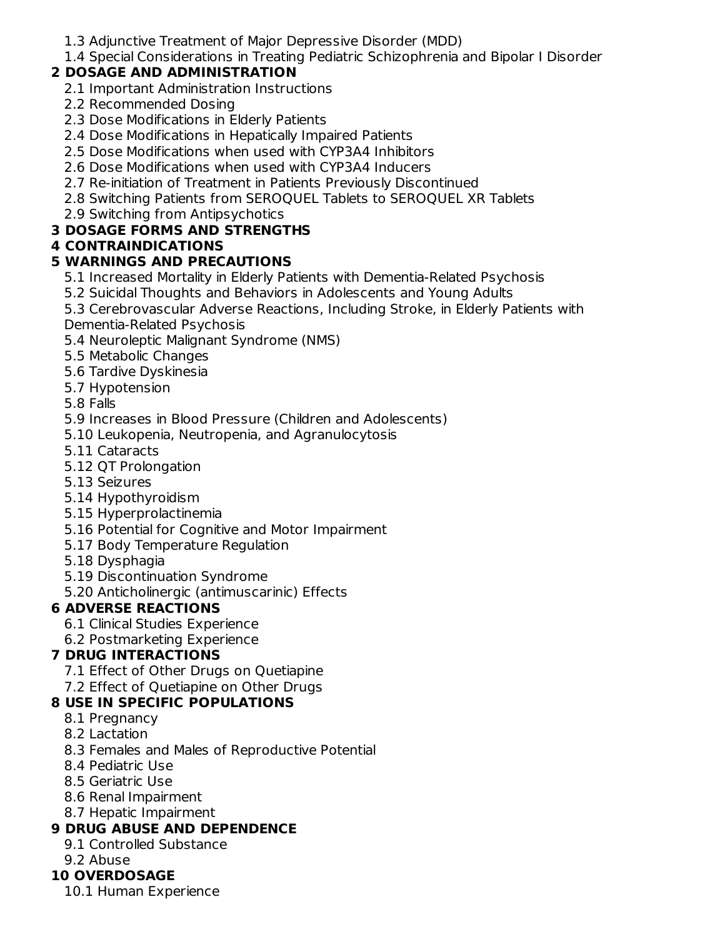- 1.3 Adjunctive Treatment of Major Depressive Disorder (MDD)
- 1.4 Special Considerations in Treating Pediatric Schizophrenia and Bipolar I Disorder

## **2 DOSAGE AND ADMINISTRATION**

- 2.1 Important Administration Instructions
- 2.2 Recommended Dosing
- 2.3 Dose Modifications in Elderly Patients
- 2.4 Dose Modifications in Hepatically Impaired Patients
- 2.5 Dose Modifications when used with CYP3A4 Inhibitors
- 2.6 Dose Modifications when used with CYP3A4 Inducers
- 2.7 Re-initiation of Treatment in Patients Previously Discontinued
- 2.8 Switching Patients from SEROQUEL Tablets to SEROQUEL XR Tablets
- 2.9 Switching from Antipsychotics

## **3 DOSAGE FORMS AND STRENGTHS**

## **4 CONTRAINDICATIONS**

## **5 WARNINGS AND PRECAUTIONS**

- 5.1 Increased Mortality in Elderly Patients with Dementia-Related Psychosis
- 5.2 Suicidal Thoughts and Behaviors in Adolescents and Young Adults
- 5.3 Cerebrovascular Adverse Reactions, Including Stroke, in Elderly Patients with
- Dementia-Related Psychosis
- 5.4 Neuroleptic Malignant Syndrome (NMS)
- 5.5 Metabolic Changes
- 5.6 Tardive Dyskinesia
- 5.7 Hypotension
- 5.8 Falls
- 5.9 Increases in Blood Pressure (Children and Adolescents)
- 5.10 Leukopenia, Neutropenia, and Agranulocytosis
- 5.11 Cataracts
- 5.12 QT Prolongation
- 5.13 Seizures
- 5.14 Hypothyroidism
- 5.15 Hyperprolactinemia
- 5.16 Potential for Cognitive and Motor Impairment
- 5.17 Body Temperature Regulation
- 5.18 Dysphagia
- 5.19 Discontinuation Syndrome
- 5.20 Anticholinergic (antimuscarinic) Effects

## **6 ADVERSE REACTIONS**

- 6.1 Clinical Studies Experience
- 6.2 Postmarketing Experience

## **7 DRUG INTERACTIONS**

- 7.1 Effect of Other Drugs on Quetiapine
- 7.2 Effect of Quetiapine on Other Drugs

## **8 USE IN SPECIFIC POPULATIONS**

- 8.1 Pregnancy
- 8.2 Lactation
- 8.3 Females and Males of Reproductive Potential
- 8.4 Pediatric Use
- 8.5 Geriatric Use
- 8.6 Renal Impairment
- 8.7 Hepatic Impairment

## **9 DRUG ABUSE AND DEPENDENCE**

- 9.1 Controlled Substance
- 9.2 Abuse

## **10 OVERDOSAGE**

10.1 Human Experience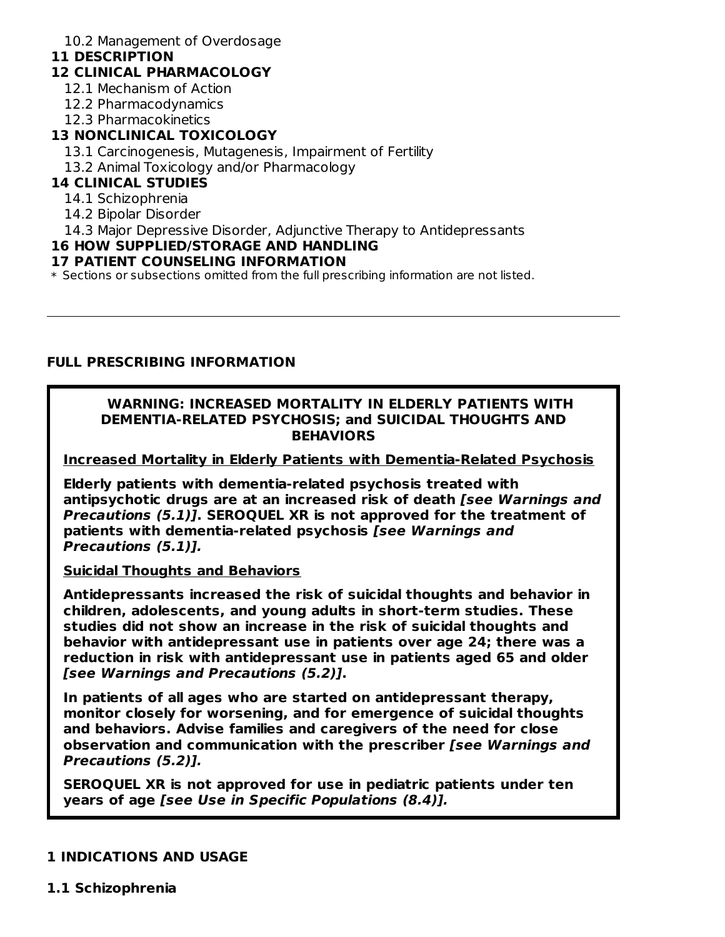10.2 Management of Overdosage

### **11 DESCRIPTION**

### **12 CLINICAL PHARMACOLOGY**

- 12.1 Mechanism of Action
- 12.2 Pharmacodynamics
- 12.3 Pharmacokinetics

## **13 NONCLINICAL TOXICOLOGY**

- 13.1 Carcinogenesis, Mutagenesis, Impairment of Fertility
- 13.2 Animal Toxicology and/or Pharmacology

## **14 CLINICAL STUDIES**

- 14.1 Schizophrenia
- 14.2 Bipolar Disorder
- 14.3 Major Depressive Disorder, Adjunctive Therapy to Antidepressants

### **16 HOW SUPPLIED/STORAGE AND HANDLING**

### **17 PATIENT COUNSELING INFORMATION**

\* Sections or subsections omitted from the full prescribing information are not listed.

### **FULL PRESCRIBING INFORMATION**

### **WARNING: INCREASED MORTALITY IN ELDERLY PATIENTS WITH DEMENTIA-RELATED PSYCHOSIS; and SUICIDAL THOUGHTS AND BEHAVIORS**

**Increased Mortality in Elderly Patients with Dementia-Related Psychosis**

**Elderly patients with dementia-related psychosis treated with antipsychotic drugs are at an increased risk of death [see Warnings and Precautions (5.1)]. SEROQUEL XR is not approved for the treatment of patients with dementia-related psychosis [see Warnings and Precautions (5.1)].**

### **Suicidal Thoughts and Behaviors**

**Antidepressants increased the risk of suicidal thoughts and behavior in children, adolescents, and young adults in short-term studies. These studies did not show an increase in the risk of suicidal thoughts and behavior with antidepressant use in patients over age 24; there was a reduction in risk with antidepressant use in patients aged 65 and older [see Warnings and Precautions (5.2)].**

**In patients of all ages who are started on antidepressant therapy, monitor closely for worsening, and for emergence of suicidal thoughts and behaviors. Advise families and caregivers of the need for close observation and communication with the prescriber [see Warnings and Precautions (5.2)].**

**SEROQUEL XR is not approved for use in pediatric patients under ten years of age [see Use in Specific Populations (8.4)].**

### **1 INDICATIONS AND USAGE**

**1.1 Schizophrenia**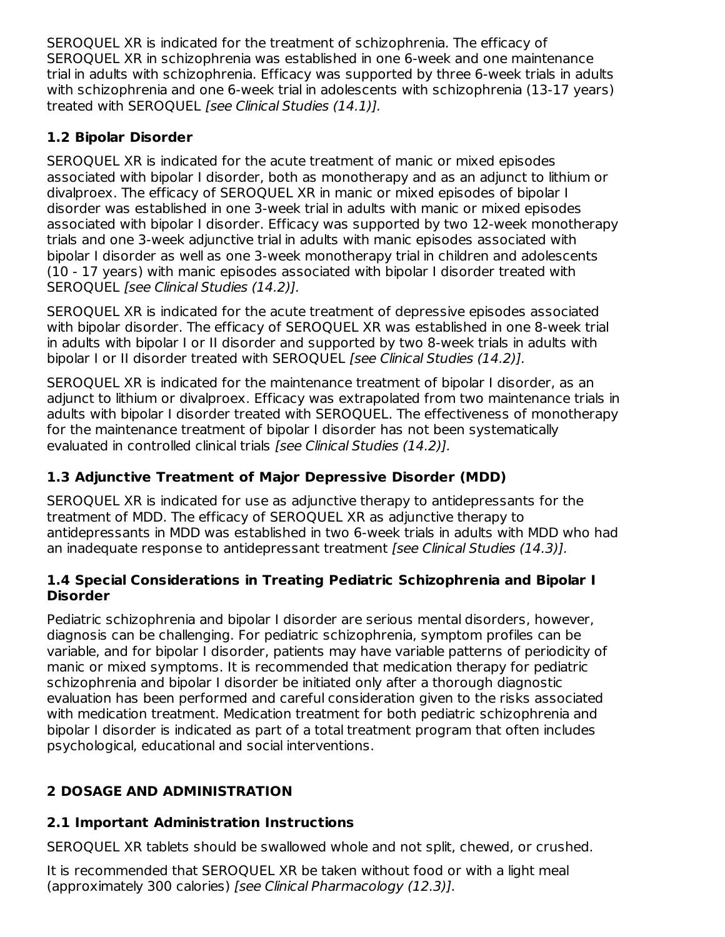SEROQUEL XR is indicated for the treatment of schizophrenia. The efficacy of SEROQUEL XR in schizophrenia was established in one 6-week and one maintenance trial in adults with schizophrenia. Efficacy was supported by three 6-week trials in adults with schizophrenia and one 6-week trial in adolescents with schizophrenia (13-17 years) treated with SEROQUEL [see Clinical Studies (14.1)].

## **1.2 Bipolar Disorder**

SEROQUEL XR is indicated for the acute treatment of manic or mixed episodes associated with bipolar I disorder, both as monotherapy and as an adjunct to lithium or divalproex. The efficacy of SEROQUEL XR in manic or mixed episodes of bipolar I disorder was established in one 3-week trial in adults with manic or mixed episodes associated with bipolar I disorder. Efficacy was supported by two 12-week monotherapy trials and one 3-week adjunctive trial in adults with manic episodes associated with bipolar I disorder as well as one 3-week monotherapy trial in children and adolescents (10 - 17 years) with manic episodes associated with bipolar I disorder treated with SEROQUEL [see Clinical Studies (14.2)].

SEROQUEL XR is indicated for the acute treatment of depressive episodes associated with bipolar disorder. The efficacy of SEROQUEL XR was established in one 8-week trial in adults with bipolar I or II disorder and supported by two 8-week trials in adults with bipolar I or II disorder treated with SEROQUEL [see Clinical Studies (14.2)].

SEROQUEL XR is indicated for the maintenance treatment of bipolar I disorder, as an adjunct to lithium or divalproex. Efficacy was extrapolated from two maintenance trials in adults with bipolar I disorder treated with SEROQUEL. The effectiveness of monotherapy for the maintenance treatment of bipolar I disorder has not been systematically evaluated in controlled clinical trials [see Clinical Studies (14.2)].

# **1.3 Adjunctive Treatment of Major Depressive Disorder (MDD)**

SEROQUEL XR is indicated for use as adjunctive therapy to antidepressants for the treatment of MDD. The efficacy of SEROQUEL XR as adjunctive therapy to antidepressants in MDD was established in two 6-week trials in adults with MDD who had an inadequate response to antidepressant treatment [see Clinical Studies (14.3)].

## **1.4 Special Considerations in Treating Pediatric Schizophrenia and Bipolar I Disorder**

Pediatric schizophrenia and bipolar I disorder are serious mental disorders, however, diagnosis can be challenging. For pediatric schizophrenia, symptom profiles can be variable, and for bipolar I disorder, patients may have variable patterns of periodicity of manic or mixed symptoms. It is recommended that medication therapy for pediatric schizophrenia and bipolar I disorder be initiated only after a thorough diagnostic evaluation has been performed and careful consideration given to the risks associated with medication treatment. Medication treatment for both pediatric schizophrenia and bipolar I disorder is indicated as part of a total treatment program that often includes psychological, educational and social interventions.

# **2 DOSAGE AND ADMINISTRATION**

# **2.1 Important Administration Instructions**

SEROQUEL XR tablets should be swallowed whole and not split, chewed, or crushed.

It is recommended that SEROQUEL XR be taken without food or with a light meal (approximately 300 calories) [see Clinical Pharmacology (12.3)].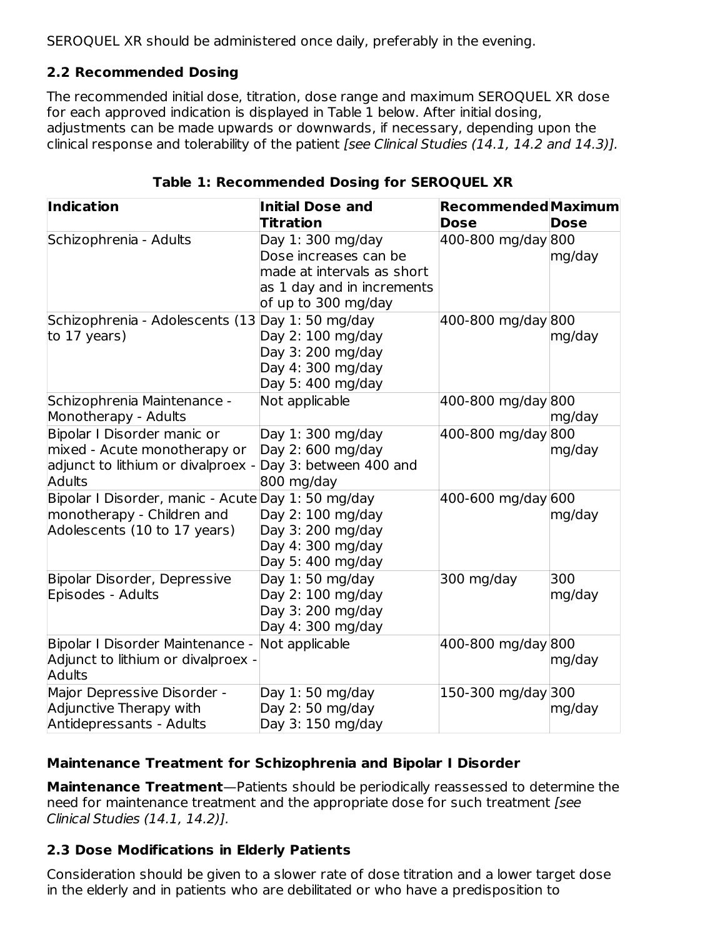SEROQUEL XR should be administered once daily, preferably in the evening.

## **2.2 Recommended Dosing**

The recommended initial dose, titration, dose range and maximum SEROQUEL XR dose for each approved indication is displayed in Table 1 below. After initial dosing, adjustments can be made upwards or downwards, if necessary, depending upon the clinical response and tolerability of the patient [see Clinical Studies (14.1, 14.2 and 14.3)].

| Indication                                                                                                         | <b>Initial Dose and</b><br>Titration                                                                                          | <b>RecommendedMaximum</b><br><b>Dose</b> | <b>Dose</b>   |
|--------------------------------------------------------------------------------------------------------------------|-------------------------------------------------------------------------------------------------------------------------------|------------------------------------------|---------------|
| Schizophrenia - Adults                                                                                             | Day 1: 300 mg/day<br>Dose increases can be<br>made at intervals as short<br>as 1 day and in increments<br>of up to 300 mg/day | 400-800 mg/day 800                       | mg/day        |
| Schizophrenia - Adolescents (13 Day 1: 50 mg/day<br>to 17 years)                                                   | Day 2: 100 mg/day<br>Day 3: 200 mg/day<br>Day 4: 300 mg/day<br>Day 5: 400 mg/day                                              | 400-800 mg/day 800                       | mg/day        |
| Schizophrenia Maintenance -<br>Monotherapy - Adults                                                                | Not applicable                                                                                                                | 400-800 mg/day 800                       | mg/day        |
| Bipolar I Disorder manic or<br>mixed - Acute monotherapy or<br>adjunct to lithium or divalproex -<br><b>Adults</b> | Day 1: 300 mg/day<br>Day 2: 600 mg/day<br>Day 3: between 400 and<br>800 mg/day                                                | 400-800 mg/day 800                       | mg/day        |
| Bipolar I Disorder, manic - Acute Day 1: 50 mg/day<br>monotherapy - Children and<br>Adolescents (10 to 17 years)   | Day 2: 100 mg/day<br>Day 3: 200 mg/day<br>Day 4: 300 mg/day<br>Day 5: 400 mg/day                                              | 400-600 mg/day 600                       | mg/day        |
| Bipolar Disorder, Depressive<br>Episodes - Adults                                                                  | Day $1:50$ mg/day<br>Day 2: 100 mg/day<br>Day 3: 200 mg/day<br>Day 4: 300 mg/day                                              | 300 mg/day                               | 300<br>mg/day |
| Bipolar I Disorder Maintenance -<br>Adjunct to lithium or divalproex -<br><b>Adults</b>                            | Not applicable                                                                                                                | 400-800 mg/day 800                       | mg/day        |
| Major Depressive Disorder -<br>Adjunctive Therapy with<br>Antidepressants - Adults                                 | Day 1:50 mg/day<br>Day 2: 50 mg/day<br>Day 3: 150 mg/day                                                                      | 150-300 mg/day 300                       | mg/day        |

## **Table 1: Recommended Dosing for SEROQUEL XR**

## **Maintenance Treatment for Schizophrenia and Bipolar I Disorder**

**Maintenance Treatment**—Patients should be periodically reassessed to determine the need for maintenance treatment and the appropriate dose for such treatment [see Clinical Studies (14.1, 14.2)].

## **2.3 Dose Modifications in Elderly Patients**

Consideration should be given to a slower rate of dose titration and a lower target dose in the elderly and in patients who are debilitated or who have a predisposition to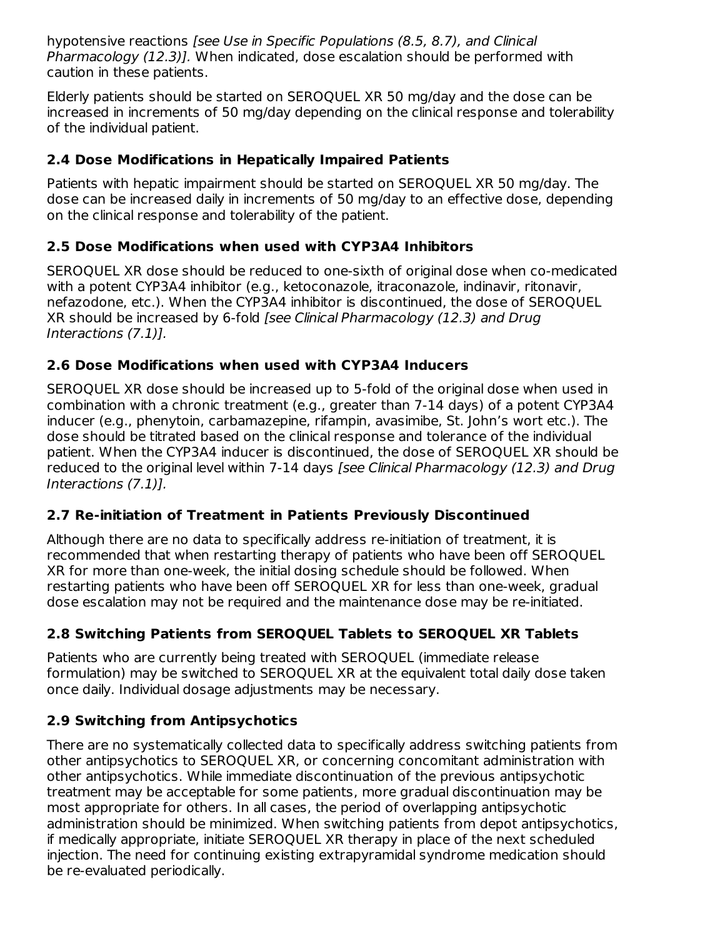hypotensive reactions [see Use in Specific Populations (8.5, 8.7), and Clinical Pharmacology (12.3)]. When indicated, dose escalation should be performed with caution in these patients.

Elderly patients should be started on SEROQUEL XR 50 mg/day and the dose can be increased in increments of 50 mg/day depending on the clinical response and tolerability of the individual patient.

## **2.4 Dose Modifications in Hepatically Impaired Patients**

Patients with hepatic impairment should be started on SEROQUEL XR 50 mg/day. The dose can be increased daily in increments of 50 mg/day to an effective dose, depending on the clinical response and tolerability of the patient.

# **2.5 Dose Modifications when used with CYP3A4 Inhibitors**

SEROQUEL XR dose should be reduced to one‑sixth of original dose when co-medicated with a potent CYP3A4 inhibitor (e.g., ketoconazole, itraconazole, indinavir, ritonavir, nefazodone, etc.). When the CYP3A4 inhibitor is discontinued, the dose of SEROQUEL XR should be increased by 6-fold [see Clinical Pharmacology (12.3) and Drug Interactions (7.1)].

## **2.6 Dose Modifications when used with CYP3A4 Inducers**

SEROQUEL XR dose should be increased up to 5-fold of the original dose when used in combination with a chronic treatment (e.g., greater than 7-14 days) of a potent CYP3A4 inducer (e.g., phenytoin, carbamazepine, rifampin, avasimibe, St. John's wort etc.). The dose should be titrated based on the clinical response and tolerance of the individual patient. When the CYP3A4 inducer is discontinued, the dose of SEROQUEL XR should be reduced to the original level within 7-14 days [see Clinical Pharmacology (12.3) and Drug Interactions (7.1)].

## **2.7 Re-initiation of Treatment in Patients Previously Discontinued**

Although there are no data to specifically address re-initiation of treatment, it is recommended that when restarting therapy of patients who have been off SEROQUEL XR for more than one-week, the initial dosing schedule should be followed. When restarting patients who have been off SEROQUEL XR for less than one-week, gradual dose escalation may not be required and the maintenance dose may be re-initiated.

# **2.8 Switching Patients from SEROQUEL Tablets to SEROQUEL XR Tablets**

Patients who are currently being treated with SEROQUEL (immediate release formulation) may be switched to SEROQUEL XR at the equivalent total daily dose taken once daily. Individual dosage adjustments may be necessary.

# **2.9 Switching from Antipsychotics**

There are no systematically collected data to specifically address switching patients from other antipsychotics to SEROQUEL XR, or concerning concomitant administration with other antipsychotics. While immediate discontinuation of the previous antipsychotic treatment may be acceptable for some patients, more gradual discontinuation may be most appropriate for others. In all cases, the period of overlapping antipsychotic administration should be minimized. When switching patients from depot antipsychotics, if medically appropriate, initiate SEROQUEL XR therapy in place of the next scheduled injection. The need for continuing existing extrapyramidal syndrome medication should be re-evaluated periodically.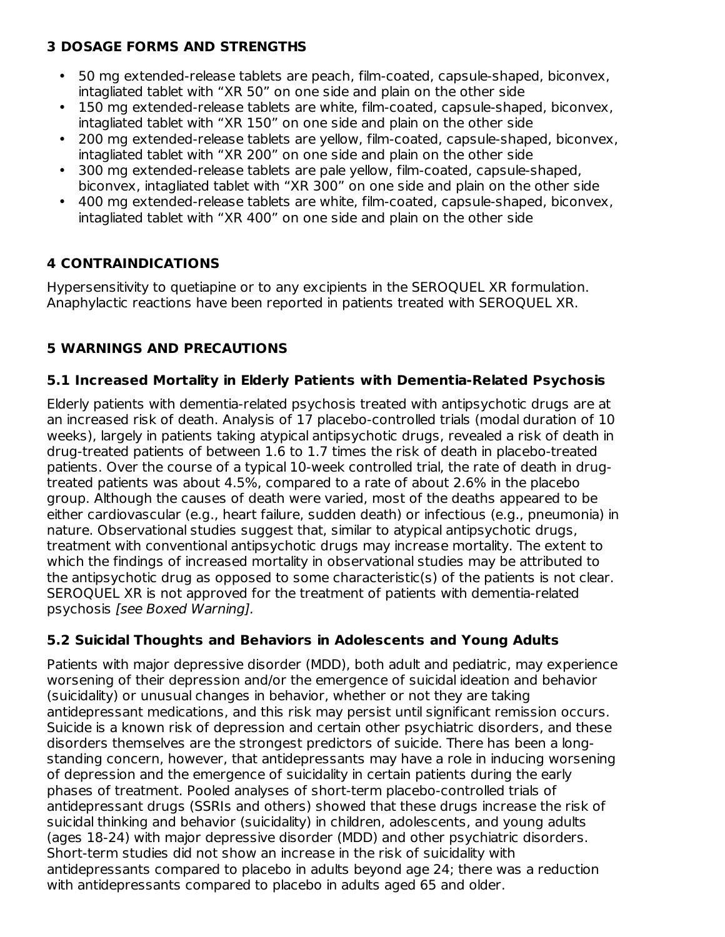## **3 DOSAGE FORMS AND STRENGTHS**

- 50 mg extended-release tablets are peach, film-coated, capsule-shaped, biconvex, intagliated tablet with "XR 50" on one side and plain on the other side
- 150 mg extended-release tablets are white, film-coated, capsule-shaped, biconvex, intagliated tablet with "XR 150" on one side and plain on the other side
- 200 mg extended-release tablets are yellow, film-coated, capsule-shaped, biconvex, intagliated tablet with "XR 200" on one side and plain on the other side
- 300 mg extended-release tablets are pale yellow, film-coated, capsule-shaped, biconvex, intagliated tablet with "XR 300" on one side and plain on the other side
- 400 mg extended-release tablets are white, film-coated, capsule-shaped, biconvex, intagliated tablet with "XR 400" on one side and plain on the other side

# **4 CONTRAINDICATIONS**

Hypersensitivity to quetiapine or to any excipients in the SEROQUEL XR formulation. Anaphylactic reactions have been reported in patients treated with SEROQUEL XR.

## **5 WARNINGS AND PRECAUTIONS**

## **5.1 Increased Mortality in Elderly Patients with Dementia-Related Psychosis**

Elderly patients with dementia-related psychosis treated with antipsychotic drugs are at an increased risk of death. Analysis of 17 placebo-controlled trials (modal duration of 10 weeks), largely in patients taking atypical antipsychotic drugs, revealed a risk of death in drug-treated patients of between 1.6 to 1.7 times the risk of death in placebo-treated patients. Over the course of a typical 10-week controlled trial, the rate of death in drugtreated patients was about 4.5%, compared to a rate of about 2.6% in the placebo group. Although the causes of death were varied, most of the deaths appeared to be either cardiovascular (e.g., heart failure, sudden death) or infectious (e.g., pneumonia) in nature. Observational studies suggest that, similar to atypical antipsychotic drugs, treatment with conventional antipsychotic drugs may increase mortality. The extent to which the findings of increased mortality in observational studies may be attributed to the antipsychotic drug as opposed to some characteristic(s) of the patients is not clear. SEROQUEL XR is not approved for the treatment of patients with dementia-related psychosis [see Boxed Warning].

## **5.2 Suicidal Thoughts and Behaviors in Adolescents and Young Adults**

Patients with major depressive disorder (MDD), both adult and pediatric, may experience worsening of their depression and/or the emergence of suicidal ideation and behavior (suicidality) or unusual changes in behavior, whether or not they are taking antidepressant medications, and this risk may persist until significant remission occurs. Suicide is a known risk of depression and certain other psychiatric disorders, and these disorders themselves are the strongest predictors of suicide. There has been a longstanding concern, however, that antidepressants may have a role in inducing worsening of depression and the emergence of suicidality in certain patients during the early phases of treatment. Pooled analyses of short-term placebo-controlled trials of antidepressant drugs (SSRIs and others) showed that these drugs increase the risk of suicidal thinking and behavior (suicidality) in children, adolescents, and young adults (ages 18-24) with major depressive disorder (MDD) and other psychiatric disorders. Short-term studies did not show an increase in the risk of suicidality with antidepressants compared to placebo in adults beyond age 24; there was a reduction with antidepressants compared to placebo in adults aged 65 and older.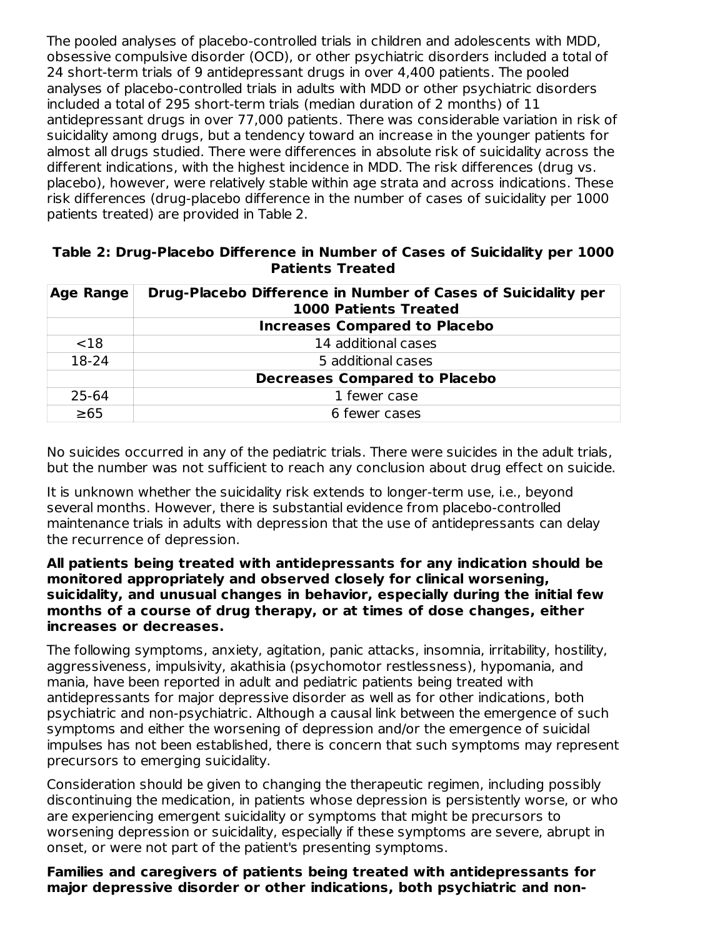The pooled analyses of placebo-controlled trials in children and adolescents with MDD, obsessive compulsive disorder (OCD), or other psychiatric disorders included a total of 24 short-term trials of 9 antidepressant drugs in over 4,400 patients. The pooled analyses of placebo-controlled trials in adults with MDD or other psychiatric disorders included a total of 295 short-term trials (median duration of 2 months) of 11 antidepressant drugs in over 77,000 patients. There was considerable variation in risk of suicidality among drugs, but a tendency toward an increase in the younger patients for almost all drugs studied. There were differences in absolute risk of suicidality across the different indications, with the highest incidence in MDD. The risk differences (drug vs. placebo), however, were relatively stable within age strata and across indications. These risk differences (drug-placebo difference in the number of cases of suicidality per 1000 patients treated) are provided in Table 2.

| Table 2: Drug-Placebo Difference in Number of Cases of Suicidality per 1000 |  |
|-----------------------------------------------------------------------------|--|
| <b>Patients Treated</b>                                                     |  |

| <b>Age Range</b> | Drug-Placebo Difference in Number of Cases of Suicidality per<br><b>1000 Patients Treated</b> |
|------------------|-----------------------------------------------------------------------------------------------|
|                  | <b>Increases Compared to Placebo</b>                                                          |
| $<$ 18           | 14 additional cases                                                                           |
| 18-24            | 5 additional cases                                                                            |
|                  | <b>Decreases Compared to Placebo</b>                                                          |
| $25 - 64$        | 1 fewer case                                                                                  |
| $\geq 65$        | 6 fewer cases                                                                                 |

No suicides occurred in any of the pediatric trials. There were suicides in the adult trials, but the number was not sufficient to reach any conclusion about drug effect on suicide.

It is unknown whether the suicidality risk extends to longer-term use, i.e., beyond several months. However, there is substantial evidence from placebo-controlled maintenance trials in adults with depression that the use of antidepressants can delay the recurrence of depression.

### **All patients being treated with antidepressants for any indication should be monitored appropriately and observed closely for clinical worsening, suicidality, and unusual changes in behavior, especially during the initial few months of a course of drug therapy, or at times of dose changes, either increases or decreases.**

The following symptoms, anxiety, agitation, panic attacks, insomnia, irritability, hostility, aggressiveness, impulsivity, akathisia (psychomotor restlessness), hypomania, and mania, have been reported in adult and pediatric patients being treated with antidepressants for major depressive disorder as well as for other indications, both psychiatric and non-psychiatric. Although a causal link between the emergence of such symptoms and either the worsening of depression and/or the emergence of suicidal impulses has not been established, there is concern that such symptoms may represent precursors to emerging suicidality.

Consideration should be given to changing the therapeutic regimen, including possibly discontinuing the medication, in patients whose depression is persistently worse, or who are experiencing emergent suicidality or symptoms that might be precursors to worsening depression or suicidality, especially if these symptoms are severe, abrupt in onset, or were not part of the patient's presenting symptoms.

**Families and caregivers of patients being treated with antidepressants for major depressive disorder or other indications, both psychiatric and non-**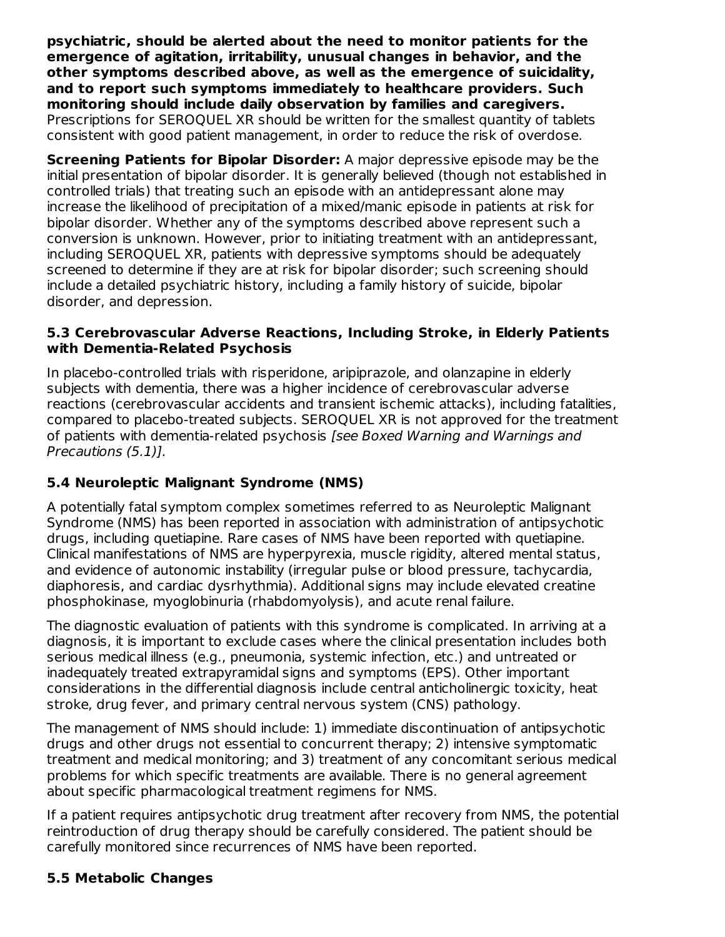**psychiatric, should be alerted about the need to monitor patients for the emergence of agitation, irritability, unusual changes in behavior, and the other symptoms described above, as well as the emergence of suicidality, and to report such symptoms immediately to healthcare providers. Such monitoring should include daily observation by families and caregivers.** Prescriptions for SEROQUEL XR should be written for the smallest quantity of tablets consistent with good patient management, in order to reduce the risk of overdose.

**Screening Patients for Bipolar Disorder:** A major depressive episode may be the initial presentation of bipolar disorder. It is generally believed (though not established in controlled trials) that treating such an episode with an antidepressant alone may increase the likelihood of precipitation of a mixed/manic episode in patients at risk for bipolar disorder. Whether any of the symptoms described above represent such a conversion is unknown. However, prior to initiating treatment with an antidepressant, including SEROQUEL XR, patients with depressive symptoms should be adequately screened to determine if they are at risk for bipolar disorder; such screening should include a detailed psychiatric history, including a family history of suicide, bipolar disorder, and depression.

### **5.3 Cerebrovascular Adverse Reactions, Including Stroke, in Elderly Patients with Dementia-Related Psychosis**

In placebo-controlled trials with risperidone, aripiprazole, and olanzapine in elderly subjects with dementia, there was a higher incidence of cerebrovascular adverse reactions (cerebrovascular accidents and transient ischemic attacks), including fatalities, compared to placebo-treated subjects. SEROQUEL XR is not approved for the treatment of patients with dementia-related psychosis [see Boxed Warning and Warnings and Precautions (5.1)].

## **5.4 Neuroleptic Malignant Syndrome (NMS)**

A potentially fatal symptom complex sometimes referred to as Neuroleptic Malignant Syndrome (NMS) has been reported in association with administration of antipsychotic drugs, including quetiapine. Rare cases of NMS have been reported with quetiapine. Clinical manifestations of NMS are hyperpyrexia, muscle rigidity, altered mental status, and evidence of autonomic instability (irregular pulse or blood pressure, tachycardia, diaphoresis, and cardiac dysrhythmia). Additional signs may include elevated creatine phosphokinase, myoglobinuria (rhabdomyolysis), and acute renal failure.

The diagnostic evaluation of patients with this syndrome is complicated. In arriving at a diagnosis, it is important to exclude cases where the clinical presentation includes both serious medical illness (e.g., pneumonia, systemic infection, etc.) and untreated or inadequately treated extrapyramidal signs and symptoms (EPS). Other important considerations in the differential diagnosis include central anticholinergic toxicity, heat stroke, drug fever, and primary central nervous system (CNS) pathology.

The management of NMS should include: 1) immediate discontinuation of antipsychotic drugs and other drugs not essential to concurrent therapy; 2) intensive symptomatic treatment and medical monitoring; and 3) treatment of any concomitant serious medical problems for which specific treatments are available. There is no general agreement about specific pharmacological treatment regimens for NMS.

If a patient requires antipsychotic drug treatment after recovery from NMS, the potential reintroduction of drug therapy should be carefully considered. The patient should be carefully monitored since recurrences of NMS have been reported.

## **5.5 Metabolic Changes**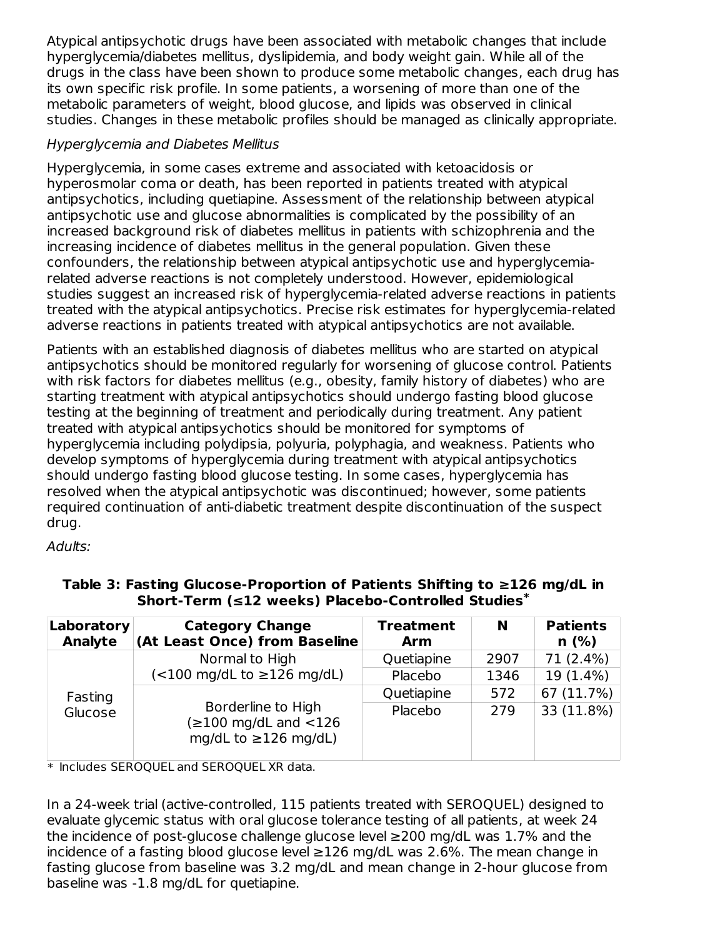Atypical antipsychotic drugs have been associated with metabolic changes that include hyperglycemia/diabetes mellitus, dyslipidemia, and body weight gain. While all of the drugs in the class have been shown to produce some metabolic changes, each drug has its own specific risk profile. In some patients, a worsening of more than one of the metabolic parameters of weight, blood glucose, and lipids was observed in clinical studies. Changes in these metabolic profiles should be managed as clinically appropriate.

## Hyperglycemia and Diabetes Mellitus

Hyperglycemia, in some cases extreme and associated with ketoacidosis or hyperosmolar coma or death, has been reported in patients treated with atypical antipsychotics, including quetiapine. Assessment of the relationship between atypical antipsychotic use and glucose abnormalities is complicated by the possibility of an increased background risk of diabetes mellitus in patients with schizophrenia and the increasing incidence of diabetes mellitus in the general population. Given these confounders, the relationship between atypical antipsychotic use and hyperglycemiarelated adverse reactions is not completely understood. However, epidemiological studies suggest an increased risk of hyperglycemia-related adverse reactions in patients treated with the atypical antipsychotics. Precise risk estimates for hyperglycemia-related adverse reactions in patients treated with atypical antipsychotics are not available.

Patients with an established diagnosis of diabetes mellitus who are started on atypical antipsychotics should be monitored regularly for worsening of glucose control. Patients with risk factors for diabetes mellitus (e.g., obesity, family history of diabetes) who are starting treatment with atypical antipsychotics should undergo fasting blood glucose testing at the beginning of treatment and periodically during treatment. Any patient treated with atypical antipsychotics should be monitored for symptoms of hyperglycemia including polydipsia, polyuria, polyphagia, and weakness. Patients who develop symptoms of hyperglycemia during treatment with atypical antipsychotics should undergo fasting blood glucose testing. In some cases, hyperglycemia has resolved when the atypical antipsychotic was discontinued; however, some patients required continuation of anti-diabetic treatment despite discontinuation of the suspect drug.

Adults:

| Laboratory<br><b>Analyte</b> | <b>Category Change</b><br>(At Least Once) from Baseline                                          | <b>Treatment</b><br>Arm | N    | <b>Patients</b><br>n(%) |
|------------------------------|--------------------------------------------------------------------------------------------------|-------------------------|------|-------------------------|
|                              | Normal to High                                                                                   | Quetiapine              | 2907 | 71 (2.4%)               |
|                              | $(<100 \text{ mg/dL}$ to $\geq$ 126 mg/dL)                                                       | Placebo                 | 1346 | 19 (1.4%)               |
| Fasting                      |                                                                                                  | Quetiapine              | 572  | 67 (11.7%)              |
| Glucose                      | Borderline to High<br>$(\geq 100 \text{ mg/dL} \text{ and } < 126$<br>mg/dL to $\geq$ 126 mg/dL) | Placebo                 | 279  | 33 (11.8%)              |

**Table 3: Fasting Glucose-Proportion of Patients Shifting to ≥126 mg/dL in Short-Term (≤12 weeks) Placebo-Controlled Studies \***

\* Includes SEROQUEL and SEROQUEL XR data.

In a 24-week trial (active-controlled, 115 patients treated with SEROQUEL) designed to evaluate glycemic status with oral glucose tolerance testing of all patients, at week 24 the incidence of post-glucose challenge glucose level ≥200 mg/dL was 1.7% and the incidence of a fasting blood glucose level ≥126 mg/dL was 2.6%. The mean change in fasting glucose from baseline was 3.2 mg/dL and mean change in 2-hour glucose from baseline was -1.8 mg/dL for quetiapine.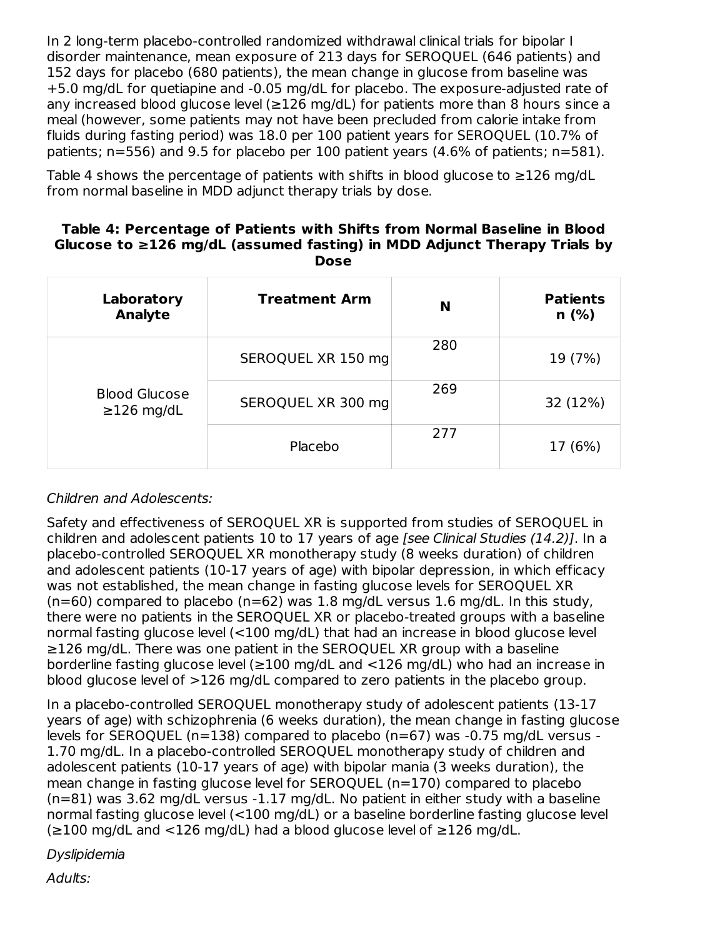In 2 long-term placebo-controlled randomized withdrawal clinical trials for bipolar I disorder maintenance, mean exposure of 213 days for SEROQUEL (646 patients) and 152 days for placebo (680 patients), the mean change in glucose from baseline was +5.0 mg/dL for quetiapine and -0.05 mg/dL for placebo. The exposure-adjusted rate of any increased blood glucose level ( $\geq$ 126 mg/dL) for patients more than 8 hours since a meal (however, some patients may not have been precluded from calorie intake from fluids during fasting period) was 18.0 per 100 patient years for SEROQUEL (10.7% of patients; n=556) and 9.5 for placebo per 100 patient years (4.6% of patients; n=581).

Table 4 shows the percentage of patients with shifts in blood glucose to ≥126 mg/dL from normal baseline in MDD adjunct therapy trials by dose.

| Table 4: Percentage of Patients with Shifts from Normal Baseline in Blood      |
|--------------------------------------------------------------------------------|
| Glucose to $\geq$ 126 mg/dL (assumed fasting) in MDD Adjunct Therapy Trials by |
| <b>Dose</b>                                                                    |

| Laboratory<br><b>Analyte</b>             | <b>Treatment Arm</b> | N   | <b>Patients</b><br>$n$ (%) |
|------------------------------------------|----------------------|-----|----------------------------|
|                                          | SEROQUEL XR 150 mg   | 280 | 19 (7%)                    |
| <b>Blood Glucose</b><br>$\geq$ 126 mg/dL | SEROQUEL XR 300 mg   | 269 | 32 (12%)                   |
|                                          | Placebo              | 277 | 17 (6%)                    |

## Children and Adolescents:

Safety and effectiveness of SEROQUEL XR is supported from studies of SEROQUEL in children and adolescent patients 10 to 17 years of age [see Clinical Studies (14.2)]. In a placebo-controlled SEROQUEL XR monotherapy study (8 weeks duration) of children and adolescent patients (10-17 years of age) with bipolar depression, in which efficacy was not established, the mean change in fasting glucose levels for SEROQUEL XR  $(n=60)$  compared to placebo  $(n=62)$  was 1.8 mg/dL versus 1.6 mg/dL. In this study, there were no patients in the SEROQUEL XR or placebo-treated groups with a baseline normal fasting glucose level (<100 mg/dL) that had an increase in blood glucose level ≥126 mg/dL. There was one patient in the SEROQUEL XR group with a baseline borderline fasting glucose level (≥100 mg/dL and <126 mg/dL) who had an increase in blood glucose level of >126 mg/dL compared to zero patients in the placebo group.

In a placebo-controlled SEROQUEL monotherapy study of adolescent patients (13-17 years of age) with schizophrenia (6 weeks duration), the mean change in fasting glucose levels for SEROQUEL (n=138) compared to placebo (n=67) was -0.75 mg/dL versus - 1.70 mg/dL. In a placebo-controlled SEROQUEL monotherapy study of children and adolescent patients (10-17 years of age) with bipolar mania (3 weeks duration), the mean change in fasting glucose level for SEROQUEL (n=170) compared to placebo  $(n=81)$  was 3.62 mg/dL versus -1.17 mg/dL. No patient in either study with a baseline normal fasting glucose level (<100 mg/dL) or a baseline borderline fasting glucose level (≥100 mg/dL and <126 mg/dL) had a blood glucose level of ≥126 mg/dL.

### Dyslipidemia

Adults: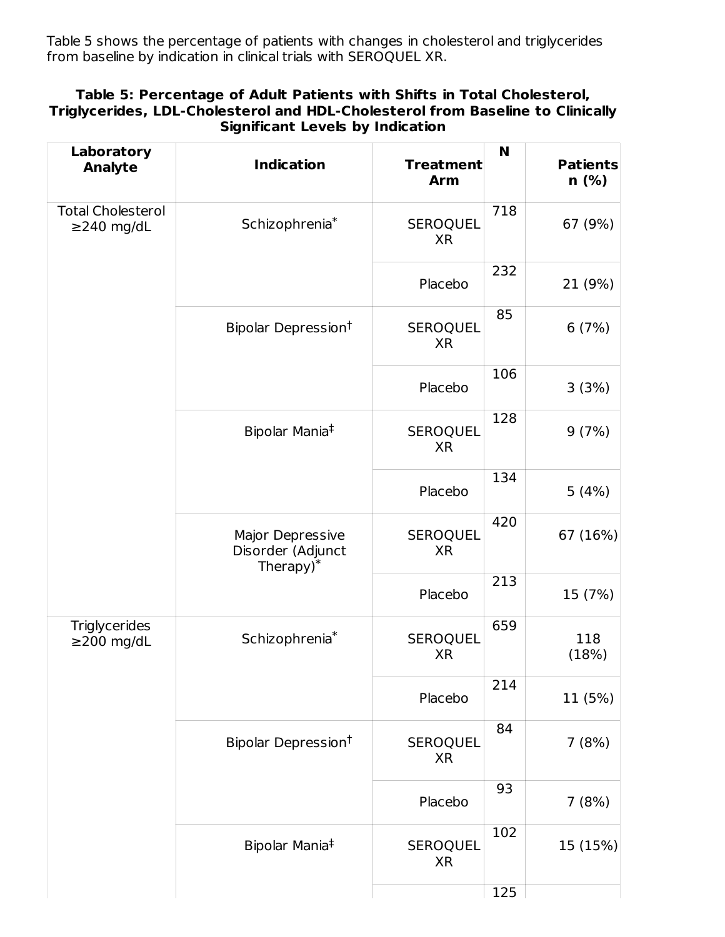Table 5 shows the percentage of patients with changes in cholesterol and triglycerides from baseline by indication in clinical trials with SEROQUEL XR.

|                                           | Significant Levels by Indication                      |                              |     |                          |
|-------------------------------------------|-------------------------------------------------------|------------------------------|-----|--------------------------|
| Laboratory<br><b>Analyte</b>              | <b>Indication</b>                                     | Treatment<br><b>Arm</b>      | N   | <b>Patients</b><br>n (%) |
| <b>Total Cholesterol</b><br>$≥$ 240 mg/dL | Schizophrenia*                                        | <b>SEROQUEL</b><br><b>XR</b> | 718 | 67 (9%)                  |
|                                           |                                                       | Placebo                      | 232 | 21 (9%)                  |
|                                           | Bipolar Depression <sup>†</sup>                       | <b>SEROQUEL</b><br><b>XR</b> | 85  | 6(7%)                    |
|                                           |                                                       | Placebo                      | 106 | 3(3%)                    |
|                                           | Bipolar Mania <sup>‡</sup>                            | <b>SEROQUEL</b><br><b>XR</b> | 128 | 9(7%)                    |
|                                           |                                                       | Placebo                      | 134 | 5(4%)                    |
|                                           | Major Depressive<br>Disorder (Adjunct<br>Therapy $)*$ | <b>SEROQUEL</b><br><b>XR</b> | 420 | 67 (16%)                 |
|                                           |                                                       | Placebo                      | 213 | 15 (7%)                  |
| <b>Triglycerides</b><br>$≥$ 200 mg/dL     | Schizophrenia*                                        | <b>SEROQUEL</b><br><b>XR</b> | 659 | 118<br>(18%)             |
|                                           |                                                       | Placebo                      | 214 | 11 (5%)                  |
|                                           | Bipolar Depression <sup>t</sup>                       | <b>SEROQUEL</b><br><b>XR</b> | 84  | 7(8%)                    |
|                                           |                                                       | Placebo                      | 93  | 7(8%)                    |
|                                           | Bipolar Mania <sup>‡</sup>                            | <b>SEROQUEL</b><br><b>XR</b> | 102 | 15 (15%)                 |
|                                           |                                                       |                              | 125 |                          |

#### **Table 5: Percentage of Adult Patients with Shifts in Total Cholesterol, Triglycerides, LDL-Cholesterol and HDL-Cholesterol from Baseline to Clinically Significant Levels by Indication**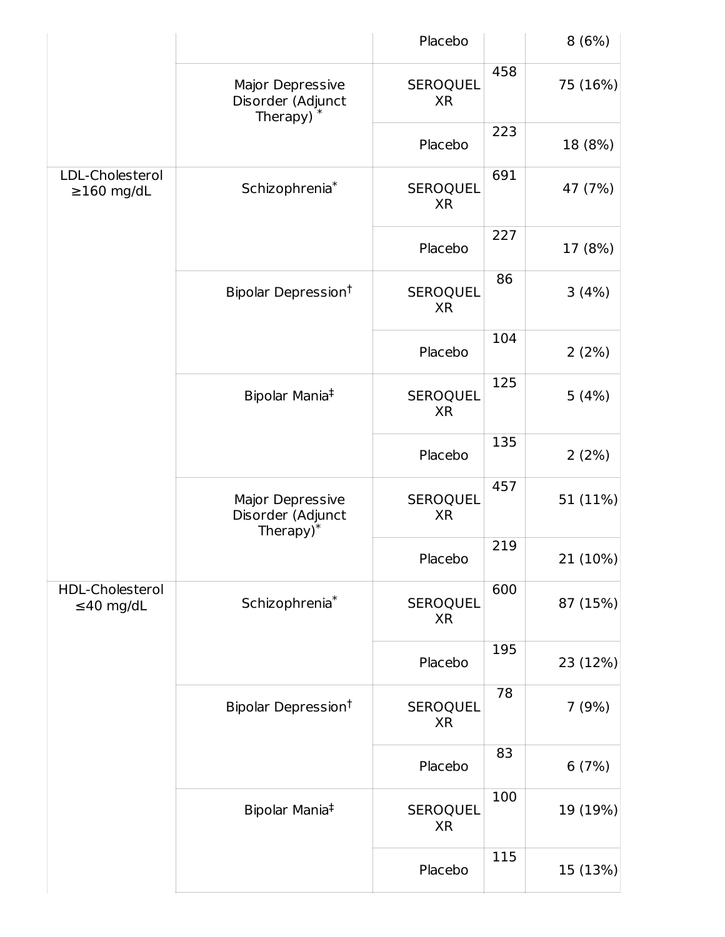|                                     |                                                       | Placebo                      |     | 8(6%)    |
|-------------------------------------|-------------------------------------------------------|------------------------------|-----|----------|
|                                     | Major Depressive<br>Disorder (Adjunct<br>Therapy) $*$ | <b>SEROQUEL</b><br><b>XR</b> | 458 | 75 (16%) |
|                                     |                                                       | Placebo                      | 223 | 18 (8%)  |
| LDL-Cholesterol<br>$\geq$ 160 mg/dL | Schizophrenia*                                        | <b>SEROQUEL</b><br><b>XR</b> | 691 | 47 (7%)  |
|                                     |                                                       | Placebo                      | 227 | 17 (8%)  |
|                                     | Bipolar Depression <sup>†</sup>                       | <b>SEROQUEL</b><br><b>XR</b> | 86  | 3(4%)    |
|                                     |                                                       | Placebo                      | 104 | 2(2%)    |
|                                     | Bipolar Mania <sup>‡</sup>                            | <b>SEROQUEL</b><br><b>XR</b> | 125 | 5(4%)    |
|                                     |                                                       | Placebo                      | 135 | 2(2%)    |
|                                     | Major Depressive<br>Disorder (Adjunct<br>Therapy $)*$ | <b>SEROQUEL</b><br><b>XR</b> | 457 | 51 (11%) |
|                                     |                                                       | Placebo                      | 219 | 21 (10%) |
| HDL-Cholesterol<br>≤40 mg/dL        | Schizophrenia*                                        | <b>SEROQUEL</b><br><b>XR</b> | 600 | 87 (15%) |
|                                     |                                                       | Placebo                      | 195 | 23 (12%) |
|                                     | Bipolar Depression <sup>†</sup>                       | <b>SEROQUEL</b><br><b>XR</b> | 78  | 7 (9%)   |
|                                     |                                                       | Placebo                      | 83  | 6(7%)    |
|                                     | Bipolar Mania <sup>‡</sup>                            | <b>SEROQUEL</b><br><b>XR</b> | 100 | 19 (19%) |
|                                     |                                                       | Placebo                      | 115 | 15 (13%) |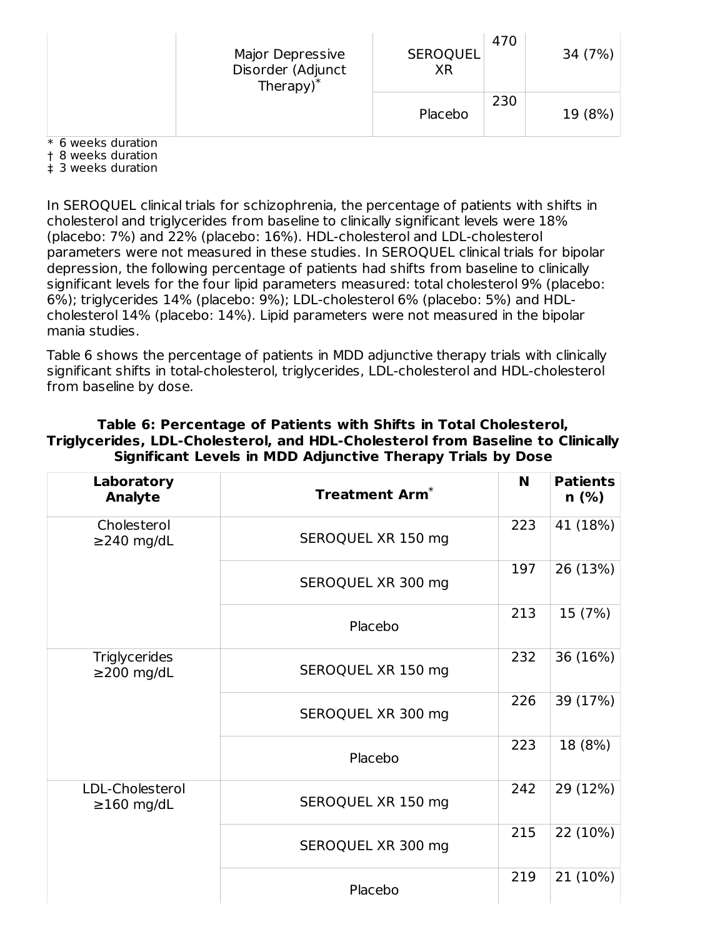| Major Depressive<br>Disorder (Adjunct<br>Therapy $)^*$ | <b>SEROQUEL</b><br><b>XR</b> | 470 | 34 (7%) |
|--------------------------------------------------------|------------------------------|-----|---------|
| and the company of the self-computer and               | Placebo                      | 230 | 19 (8%) |

\* 6 weeks duration

† 8 weeks duration

‡ 3 weeks duration

In SEROQUEL clinical trials for schizophrenia, the percentage of patients with shifts in cholesterol and triglycerides from baseline to clinically significant levels were 18% (placebo: 7%) and 22% (placebo: 16%). HDL-cholesterol and LDL-cholesterol parameters were not measured in these studies. In SEROQUEL clinical trials for bipolar depression, the following percentage of patients had shifts from baseline to clinically significant levels for the four lipid parameters measured: total cholesterol 9% (placebo: 6%); triglycerides 14% (placebo: 9%); LDL-cholesterol 6% (placebo: 5%) and HDLcholesterol 14% (placebo: 14%). Lipid parameters were not measured in the bipolar mania studies.

Table 6 shows the percentage of patients in MDD adjunctive therapy trials with clinically significant shifts in total-cholesterol, triglycerides, LDL-cholesterol and HDL-cholesterol from baseline by dose.

| Table 6: Percentage of Patients with Shifts in Total Cholesterol,               |  |
|---------------------------------------------------------------------------------|--|
| Triglycerides, LDL-Cholesterol, and HDL-Cholesterol from Baseline to Clinically |  |
| Significant Levels in MDD Adjunctive Therapy Trials by Dose                     |  |
|                                                                                 |  |

| Laboratory<br><b>Analyte</b>             | <b>Treatment Arm<sup>*</sup></b> | N   | <b>Patients</b><br>n (%) |
|------------------------------------------|----------------------------------|-----|--------------------------|
| Cholesterol<br>$\geq$ 240 mg/dL          | SEROQUEL XR 150 mg               | 223 | 41 (18%)                 |
|                                          | SEROQUEL XR 300 mg               | 197 | 26 (13%)                 |
|                                          | Placebo                          | 213 | 15 (7%)                  |
| <b>Triglycerides</b><br>$\geq$ 200 mg/dL | SEROQUEL XR 150 mg               | 232 | 36 (16%)                 |
|                                          | SEROQUEL XR 300 mg               | 226 | 39 (17%)                 |
|                                          | Placebo                          | 223 | 18 (8%)                  |
| LDL-Cholesterol<br>$\geq$ 160 mg/dL      | SEROQUEL XR 150 mg               | 242 | 29 (12%)                 |
|                                          | SEROQUEL XR 300 mg               | 215 | 22 (10%)                 |
|                                          | Placebo                          | 219 | 21 (10%)                 |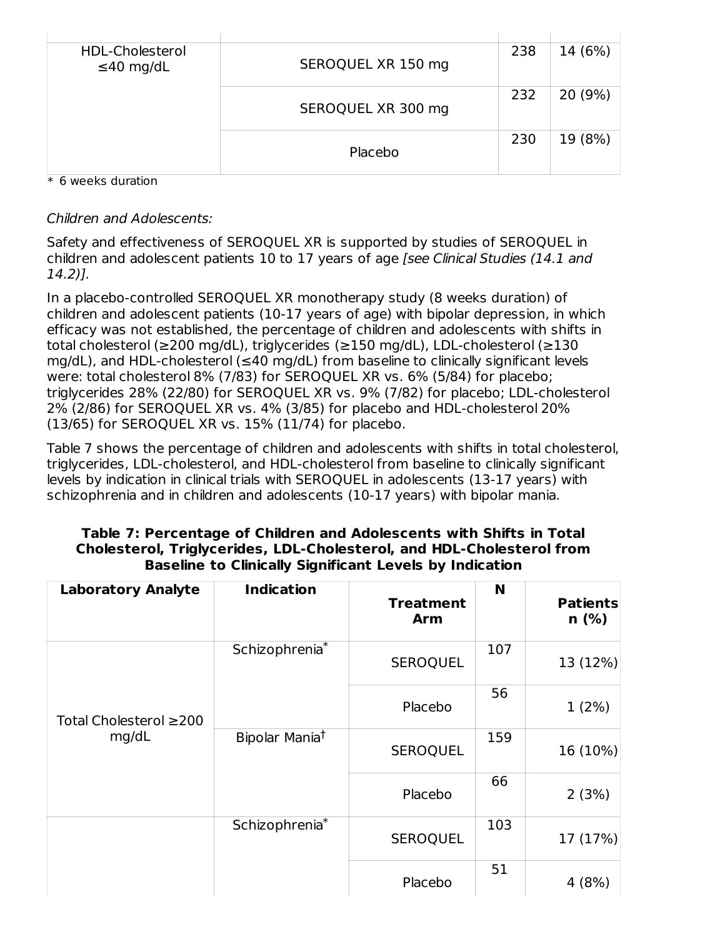| HDL-Cholesterol<br>$≤40$ mg/dL | SEROQUEL XR 150 mg | 238 | 14 (6%) |
|--------------------------------|--------------------|-----|---------|
|                                | SEROQUEL XR 300 mg | 232 | 20 (9%) |
| .                              | Placebo            | 230 | 19 (8%) |

\* 6 weeks duration

## Children and Adolescents:

Safety and effectiveness of SEROQUEL XR is supported by studies of SEROQUEL in children and adolescent patients 10 to 17 years of age [see Clinical Studies  $(14.1 \text{ and}$ 14.2)].

In a placebo-controlled SEROQUEL XR monotherapy study (8 weeks duration) of children and adolescent patients (10-17 years of age) with bipolar depression, in which efficacy was not established, the percentage of children and adolescents with shifts in total cholesterol (≥200 mg/dL), triglycerides (≥150 mg/dL), LDL-cholesterol (≥130 mg/dL), and HDL-cholesterol (≤40 mg/dL) from baseline to clinically significant levels were: total cholesterol 8% (7/83) for SEROQUEL XR vs. 6% (5/84) for placebo; triglycerides 28% (22/80) for SEROQUEL XR vs. 9% (7/82) for placebo; LDL-cholesterol 2% (2/86) for SEROQUEL XR vs. 4% (3/85) for placebo and HDL-cholesterol 20% (13/65) for SEROQUEL XR vs. 15% (11/74) for placebo.

Table 7 shows the percentage of children and adolescents with shifts in total cholesterol, triglycerides, LDL-cholesterol, and HDL-cholesterol from baseline to clinically significant levels by indication in clinical trials with SEROQUEL in adolescents (13-17 years) with schizophrenia and in children and adolescents (10-17 years) with bipolar mania.

| Table 7: Percentage of Children and Adolescents with Shifts in Total  |
|-----------------------------------------------------------------------|
| Cholesterol, Triglycerides, LDL-Cholesterol, and HDL-Cholesterol from |
| <b>Baseline to Clinically Significant Levels by Indication</b>        |

| <b>Laboratory Analyte</b> | <b>Indication</b>          | <b>Treatment</b><br>Arm | N   | <b>Patients</b><br>$n$ (%) |
|---------------------------|----------------------------|-------------------------|-----|----------------------------|
|                           | Schizophrenia*             | <b>SEROQUEL</b>         | 107 | 13 (12%)                   |
| Total Cholesterol ≥200    |                            | Placebo                 | 56  | 1(2%)                      |
| mq/dL                     | Bipolar Mania <sup>t</sup> | <b>SEROQUEL</b>         | 159 | 16 (10%)                   |
|                           |                            | Placebo                 | 66  | 2(3%)                      |
|                           | Schizophrenia*             | <b>SEROQUEL</b>         | 103 | 17 (17%)                   |
|                           |                            | Placebo                 | 51  | 4(8%)                      |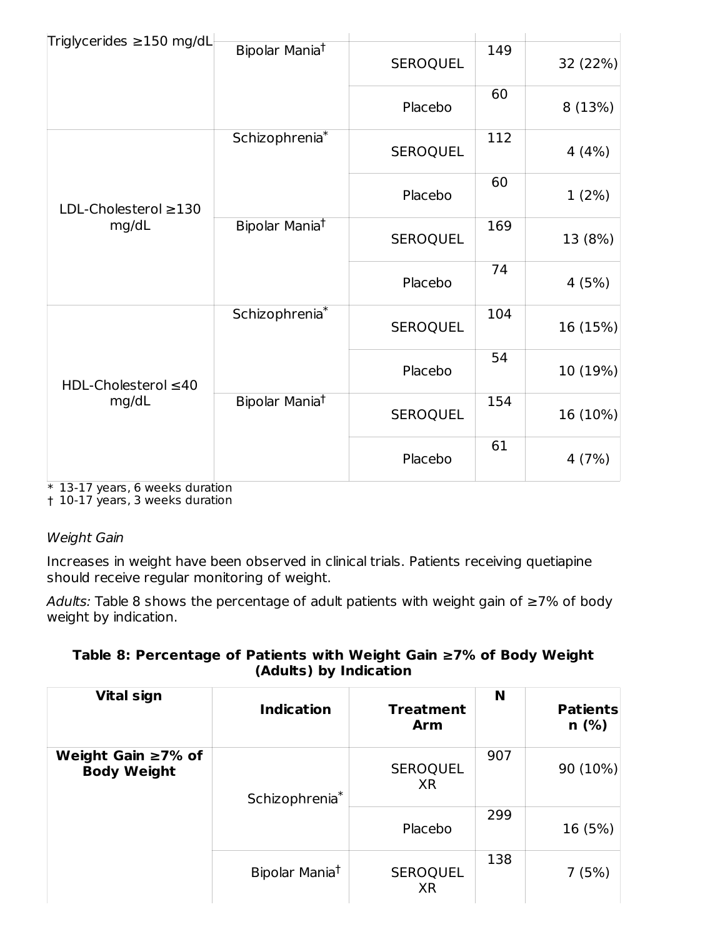| Triglycerides ≥150 mg/dL      |                            |                 |     |          |
|-------------------------------|----------------------------|-----------------|-----|----------|
|                               | Bipolar Mania <sup>t</sup> | <b>SEROQUEL</b> | 149 | 32 (22%) |
|                               |                            | Placebo         | 60  | 8 (13%)  |
|                               | Schizophrenia*             | <b>SEROQUEL</b> | 112 | 4(4%)    |
| LDL-Cholesterol ≥130<br>mg/dL |                            | Placebo         | 60  | 1(2%)    |
|                               | Bipolar Mania <sup>t</sup> | <b>SEROQUEL</b> | 169 | 13 (8%)  |
|                               |                            | Placebo         | 74  | 4(5%)    |
|                               | Schizophrenia <sup>*</sup> | <b>SEROQUEL</b> | 104 | 16 (15%) |
| HDL-Cholesterol ≤40<br>mg/dL  |                            | Placebo         | 54  | 10 (19%) |
|                               | Bipolar Mania <sup>t</sup> | <b>SEROQUEL</b> | 154 | 16 (10%) |
|                               |                            | Placebo         | 61  | 4 (7%)   |

\* 13-17 years, 6 weeks duration

† 10-17 years, 3 weeks duration

### Weight Gain

Increases in weight have been observed in clinical trials. Patients receiving quetiapine should receive regular monitoring of weight.

Adults: Table 8 shows the percentage of adult patients with weight gain of ≥7% of body weight by indication.

### **Table 8: Percentage of Patients with Weight Gain ≥7% of Body Weight (Adults) by Indication**

| <b>Vital sign</b>                              | <b>Indication</b>          | <b>Treatment</b><br>Arm      | N   | <b>Patients</b><br>$n$ (%) |
|------------------------------------------------|----------------------------|------------------------------|-----|----------------------------|
| Weight Gain $\geq$ 7% of<br><b>Body Weight</b> | Schizophrenia*             | <b>SEROQUEL</b><br><b>XR</b> | 907 | 90 (10%)                   |
|                                                |                            | Placebo                      | 299 | 16 (5%)                    |
|                                                | Bipolar Mania <sup>t</sup> | <b>SEROQUEL</b><br><b>XR</b> | 138 | 7(5%)                      |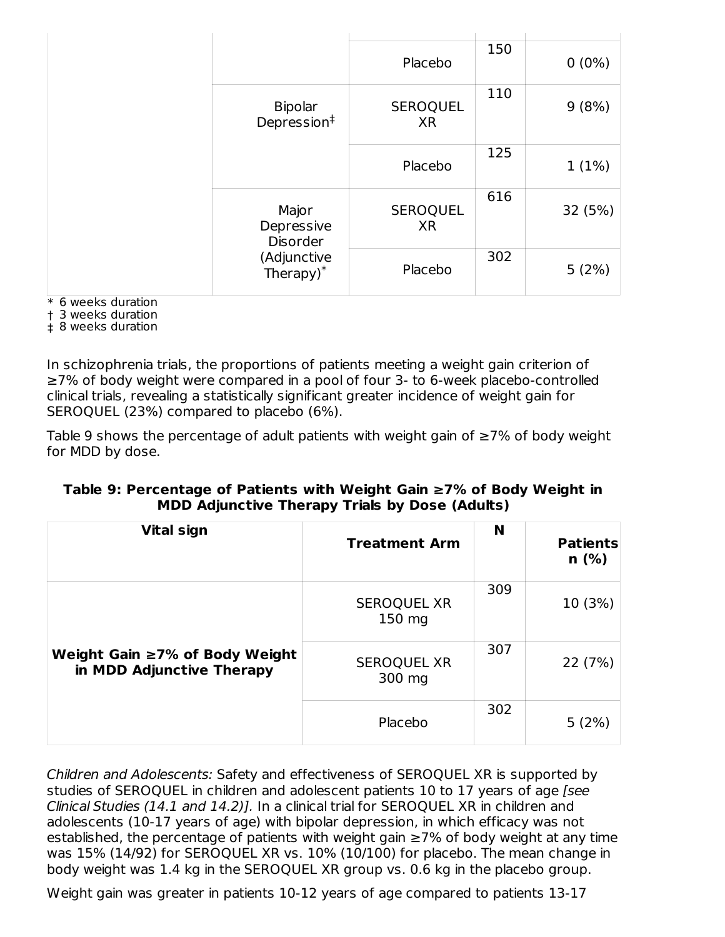|                                           | Placebo                      | 150 | $0(0\%)$ |
|-------------------------------------------|------------------------------|-----|----------|
| <b>Bipolar</b><br>Depression <sup>‡</sup> | <b>SEROQUEL</b><br><b>XR</b> | 110 | 9(8%)    |
|                                           | Placebo                      | 125 | 1(1%)    |
| Major<br>Depressive<br><b>Disorder</b>    | <b>SEROQUEL</b><br><b>XR</b> | 616 | 32 (5%)  |
| (Adjunctive<br>Therapy $)*$               | Placebo                      | 302 | 5(2%)    |

\* 6 weeks duration

† 3 weeks duration

‡ 8 weeks duration

In schizophrenia trials, the proportions of patients meeting a weight gain criterion of ≥7% of body weight were compared in a pool of four 3- to 6-week placebo-controlled clinical trials, revealing a statistically significant greater incidence of weight gain for SEROQUEL (23%) compared to placebo (6%).

Table 9 shows the percentage of adult patients with weight gain of ≥7% of body weight for MDD by dose.

### **Table 9: Percentage of Patients with Weight Gain ≥7% of Body Weight in MDD Adjunctive Therapy Trials by Dose (Adults)**

| <b>Vital sign</b>                                                 | <b>Treatment Arm</b>         | N   | <b>Patients</b><br>$n$ (%) |
|-------------------------------------------------------------------|------------------------------|-----|----------------------------|
|                                                                   | <b>SEROQUEL XR</b><br>150 mg | 309 | 10 (3%)                    |
| Weight Gain $\geq$ 7% of Body Weight<br>in MDD Adjunctive Therapy | <b>SEROQUEL XR</b><br>300 mg | 307 | 22 (7%)                    |
|                                                                   | Placebo                      | 302 | 5(2%)                      |

Children and Adolescents: Safety and effectiveness of SEROQUEL XR is supported by studies of SEROQUEL in children and adolescent patients 10 to 17 years of age [see Clinical Studies (14.1 and 14.2)]. In a clinical trial for SEROQUEL XR in children and adolescents (10-17 years of age) with bipolar depression, in which efficacy was not established, the percentage of patients with weight gain  $\geq$ 7% of body weight at any time was 15% (14/92) for SEROQUEL XR vs. 10% (10/100) for placebo. The mean change in body weight was 1.4 kg in the SEROQUEL XR group vs. 0.6 kg in the placebo group.

Weight gain was greater in patients 10-12 years of age compared to patients 13-17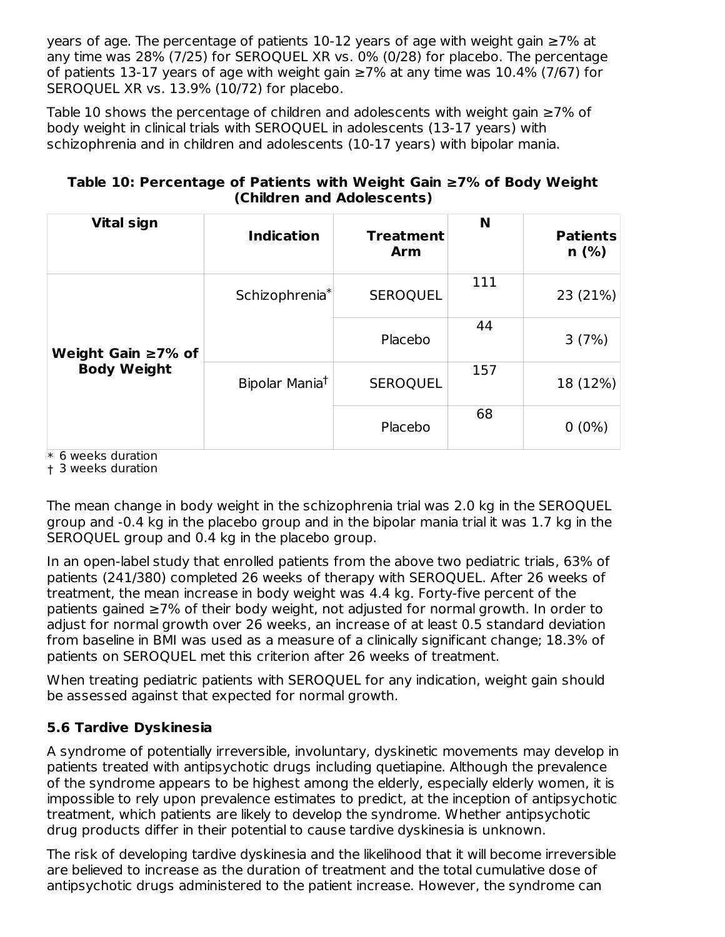years of age. The percentage of patients 10-12 years of age with weight gain ≥7% at any time was 28% (7/25) for SEROQUEL XR vs. 0% (0/28) for placebo. The percentage of patients 13-17 years of age with weight gain ≥7% at any time was 10.4% (7/67) for SEROQUEL XR vs. 13.9% (10/72) for placebo.

Table 10 shows the percentage of children and adolescents with weight gain ≥7% of body weight in clinical trials with SEROQUEL in adolescents (13-17 years) with schizophrenia and in children and adolescents (10-17 years) with bipolar mania.

| Table 10: Percentage of Patients with Weight Gain ≥7% of Body Weight |                            |  |  |
|----------------------------------------------------------------------|----------------------------|--|--|
|                                                                      | (Children and Adolescents) |  |  |

| <b>Vital sign</b>                        | <b>Indication</b>          | <b>Treatment</b><br>Arm | N   | <b>Patients</b><br>$n$ (%) |
|------------------------------------------|----------------------------|-------------------------|-----|----------------------------|
|                                          | Schizophrenia*             | <b>SEROQUEL</b>         | 111 | 23 (21%)                   |
| Weight Gain $\geq$ 7% of                 |                            | Placebo                 | 44  | 3(7%)                      |
| <b>Body Weight</b>                       | Bipolar Mania <sup>t</sup> | <b>SEROQUEL</b>         | 157 | 18 (12%)                   |
| $\sim$ $\sim$<br>$\sim$ $\sim$<br>$\sim$ |                            | Placebo                 | 68  | $0(0\%)$                   |

\* 6 weeks duration

† 3 weeks duration

The mean change in body weight in the schizophrenia trial was 2.0 kg in the SEROQUEL group and -0.4 kg in the placebo group and in the bipolar mania trial it was 1.7 kg in the SEROQUEL group and 0.4 kg in the placebo group.

In an open-label study that enrolled patients from the above two pediatric trials, 63% of patients (241/380) completed 26 weeks of therapy with SEROQUEL. After 26 weeks of treatment, the mean increase in body weight was 4.4 kg. Forty-five percent of the patients gained ≥7% of their body weight, not adjusted for normal growth. In order to adjust for normal growth over 26 weeks, an increase of at least 0.5 standard deviation from baseline in BMI was used as a measure of a clinically significant change; 18.3% of patients on SEROQUEL met this criterion after 26 weeks of treatment.

When treating pediatric patients with SEROQUEL for any indication, weight gain should be assessed against that expected for normal growth.

## **5.6 Tardive Dyskinesia**

A syndrome of potentially irreversible, involuntary, dyskinetic movements may develop in patients treated with antipsychotic drugs including quetiapine. Although the prevalence of the syndrome appears to be highest among the elderly, especially elderly women, it is impossible to rely upon prevalence estimates to predict, at the inception of antipsychotic treatment, which patients are likely to develop the syndrome. Whether antipsychotic drug products differ in their potential to cause tardive dyskinesia is unknown.

The risk of developing tardive dyskinesia and the likelihood that it will become irreversible are believed to increase as the duration of treatment and the total cumulative dose of antipsychotic drugs administered to the patient increase. However, the syndrome can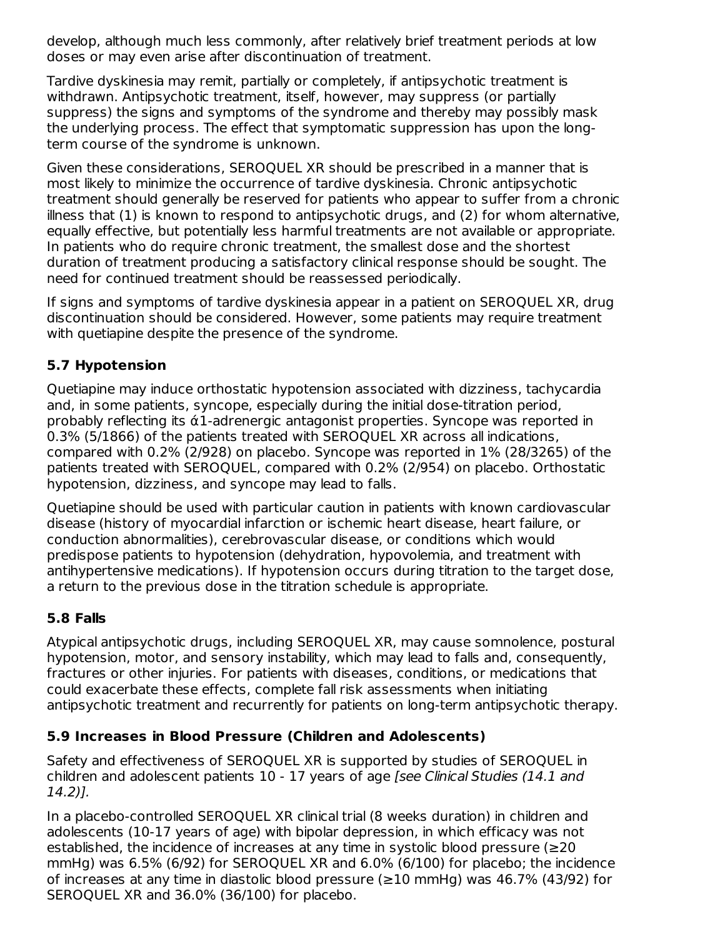develop, although much less commonly, after relatively brief treatment periods at low doses or may even arise after discontinuation of treatment.

Tardive dyskinesia may remit, partially or completely, if antipsychotic treatment is withdrawn. Antipsychotic treatment, itself, however, may suppress (or partially suppress) the signs and symptoms of the syndrome and thereby may possibly mask the underlying process. The effect that symptomatic suppression has upon the longterm course of the syndrome is unknown.

Given these considerations, SEROQUEL XR should be prescribed in a manner that is most likely to minimize the occurrence of tardive dyskinesia. Chronic antipsychotic treatment should generally be reserved for patients who appear to suffer from a chronic illness that (1) is known to respond to antipsychotic drugs, and (2) for whom alternative, equally effective, but potentially less harmful treatments are not available or appropriate. In patients who do require chronic treatment, the smallest dose and the shortest duration of treatment producing a satisfactory clinical response should be sought. The need for continued treatment should be reassessed periodically.

If signs and symptoms of tardive dyskinesia appear in a patient on SEROQUEL XR, drug discontinuation should be considered. However, some patients may require treatment with quetiapine despite the presence of the syndrome.

## **5.7 Hypotension**

Quetiapine may induce orthostatic hypotension associated with dizziness, tachycardia and, in some patients, syncope, especially during the initial dose-titration period, probably reflecting its  $\alpha$ 1-adrenergic antagonist properties. Syncope was reported in 0.3% (5/1866) of the patients treated with SEROQUEL XR across all indications, compared with 0.2% (2/928) on placebo. Syncope was reported in 1% (28/3265) of the patients treated with SEROQUEL, compared with 0.2% (2/954) on placebo. Orthostatic hypotension, dizziness, and syncope may lead to falls.

Quetiapine should be used with particular caution in patients with known cardiovascular disease (history of myocardial infarction or ischemic heart disease, heart failure, or conduction abnormalities), cerebrovascular disease, or conditions which would predispose patients to hypotension (dehydration, hypovolemia, and treatment with antihypertensive medications). If hypotension occurs during titration to the target dose, a return to the previous dose in the titration schedule is appropriate.

## **5.8 Falls**

Atypical antipsychotic drugs, including SEROQUEL XR, may cause somnolence, postural hypotension, motor, and sensory instability, which may lead to falls and, consequently, fractures or other injuries. For patients with diseases, conditions, or medications that could exacerbate these effects, complete fall risk assessments when initiating antipsychotic treatment and recurrently for patients on long-term antipsychotic therapy.

## **5.9 Increases in Blood Pressure (Children and Adolescents)**

Safety and effectiveness of SEROQUEL XR is supported by studies of SEROQUEL in children and adolescent patients 10 - 17 years of age [see Clinical Studies (14.1 and 14.2)].

In a placebo-controlled SEROQUEL XR clinical trial (8 weeks duration) in children and adolescents (10-17 years of age) with bipolar depression, in which efficacy was not established, the incidence of increases at any time in systolic blood pressure ( $\geq 20$ mmHg) was 6.5% (6/92) for SEROQUEL XR and 6.0% (6/100) for placebo; the incidence of increases at any time in diastolic blood pressure ( $\geq$ 10 mmHg) was 46.7% (43/92) for SEROQUEL XR and 36.0% (36/100) for placebo.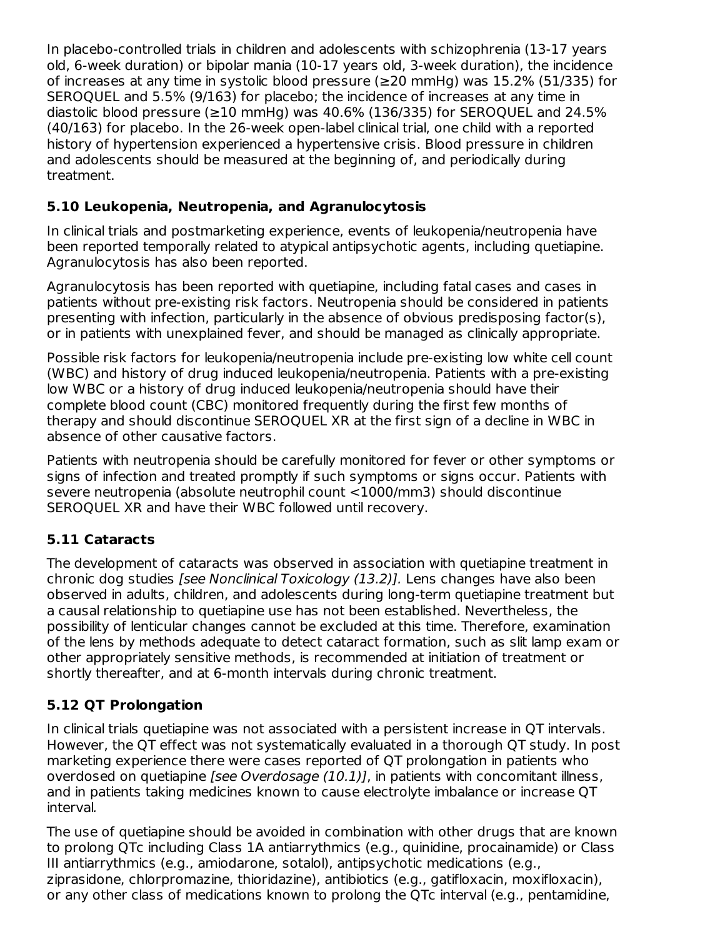In placebo-controlled trials in children and adolescents with schizophrenia (13-17 years old, 6-week duration) or bipolar mania (10-17 years old, 3-week duration), the incidence of increases at any time in systolic blood pressure (≥20 mmHg) was 15.2% (51/335) for SEROQUEL and 5.5% (9/163) for placebo; the incidence of increases at any time in diastolic blood pressure ( $\geq$ 10 mmHg) was 40.6% (136/335) for SEROQUEL and 24.5% (40/163) for placebo. In the 26-week open-label clinical trial, one child with a reported history of hypertension experienced a hypertensive crisis. Blood pressure in children and adolescents should be measured at the beginning of, and periodically during treatment.

## **5.10 Leukopenia, Neutropenia, and Agranulocytosis**

In clinical trials and postmarketing experience, events of leukopenia/neutropenia have been reported temporally related to atypical antipsychotic agents, including quetiapine. Agranulocytosis has also been reported.

Agranulocytosis has been reported with quetiapine, including fatal cases and cases in patients without pre-existing risk factors. Neutropenia should be considered in patients presenting with infection, particularly in the absence of obvious predisposing factor(s), or in patients with unexplained fever, and should be managed as clinically appropriate.

Possible risk factors for leukopenia/neutropenia include pre-existing low white cell count (WBC) and history of drug induced leukopenia/neutropenia. Patients with a pre-existing low WBC or a history of drug induced leukopenia/neutropenia should have their complete blood count (CBC) monitored frequently during the first few months of therapy and should discontinue SEROQUEL XR at the first sign of a decline in WBC in absence of other causative factors.

Patients with neutropenia should be carefully monitored for fever or other symptoms or signs of infection and treated promptly if such symptoms or signs occur. Patients with severe neutropenia (absolute neutrophil count <1000/mm3) should discontinue SEROQUEL XR and have their WBC followed until recovery.

## **5.11 Cataracts**

The development of cataracts was observed in association with quetiapine treatment in chronic dog studies [see Nonclinical Toxicology (13.2)]. Lens changes have also been observed in adults, children, and adolescents during long-term quetiapine treatment but a causal relationship to quetiapine use has not been established. Nevertheless, the possibility of lenticular changes cannot be excluded at this time. Therefore, examination of the lens by methods adequate to detect cataract formation, such as slit lamp exam or other appropriately sensitive methods, is recommended at initiation of treatment or shortly thereafter, and at 6-month intervals during chronic treatment.

# **5.12 QT Prolongation**

In clinical trials quetiapine was not associated with a persistent increase in QT intervals. However, the QT effect was not systematically evaluated in a thorough QT study. In post marketing experience there were cases reported of QT prolongation in patients who overdosed on quetiapine *[see Overdosage*  $(10.1)$ *]*, in patients with concomitant illness, and in patients taking medicines known to cause electrolyte imbalance or increase QT interval.

The use of quetiapine should be avoided in combination with other drugs that are known to prolong QTc including Class 1A antiarrythmics (e.g., quinidine, procainamide) or Class III antiarrythmics (e.g., amiodarone, sotalol), antipsychotic medications (e.g., ziprasidone, chlorpromazine, thioridazine), antibiotics (e.g., gatifloxacin, moxifloxacin), or any other class of medications known to prolong the QTc interval (e.g., pentamidine,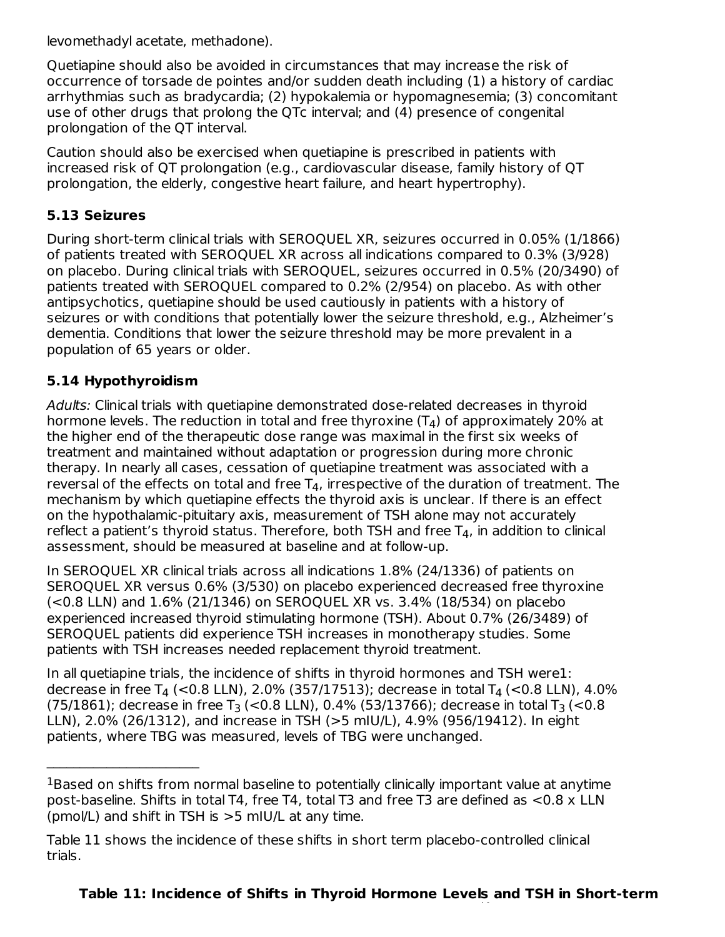levomethadyl acetate, methadone).

Quetiapine should also be avoided in circumstances that may increase the risk of occurrence of torsade de pointes and/or sudden death including (1) a history of cardiac arrhythmias such as bradycardia; (2) hypokalemia or hypomagnesemia; (3) concomitant use of other drugs that prolong the QTc interval; and (4) presence of congenital prolongation of the QT interval.

Caution should also be exercised when quetiapine is prescribed in patients with increased risk of QT prolongation (e.g., cardiovascular disease, family history of QT prolongation, the elderly, congestive heart failure, and heart hypertrophy).

## **5.13 Seizures**

During short-term clinical trials with SEROQUEL XR, seizures occurred in 0.05% (1/1866) of patients treated with SEROQUEL XR across all indications compared to 0.3% (3/928) on placebo. During clinical trials with SEROQUEL, seizures occurred in 0.5% (20/3490) of patients treated with SEROQUEL compared to 0.2% (2/954) on placebo. As with other antipsychotics, quetiapine should be used cautiously in patients with a history of seizures or with conditions that potentially lower the seizure threshold, e.g., Alzheimer's dementia. Conditions that lower the seizure threshold may be more prevalent in a population of 65 years or older.

## **5.14 Hypothyroidism**

 $\frac{1}{2}$  , where  $\frac{1}{2}$  , where  $\frac{1}{2}$  , where  $\frac{1}{2}$ 

Adults: Clinical trials with quetiapine demonstrated dose-related decreases in thyroid hormone levels. The reduction in total and free thyroxine (T<sub>4</sub>) of approximately 20% at the higher end of the therapeutic dose range was maximal in the first six weeks of treatment and maintained without adaptation or progression during more chronic therapy. In nearly all cases, cessation of quetiapine treatment was associated with a reversal of the effects on total and free  $T_4$ , irrespective of the duration of treatment. The mechanism by which quetiapine effects the thyroid axis is unclear. If there is an effect on the hypothalamic-pituitary axis, measurement of TSH alone may not accurately reflect a patient's thyroid status. Therefore, both TSH and free  $T_4$ , in addition to clinical assessment, should be measured at baseline and at follow-up.

In SEROQUEL XR clinical trials across all indications 1.8% (24/1336) of patients on SEROQUEL XR versus 0.6% (3/530) on placebo experienced decreased free thyroxine (<0.8 LLN) and 1.6% (21/1346) on SEROQUEL XR vs. 3.4% (18/534) on placebo experienced increased thyroid stimulating hormone (TSH). About 0.7% (26/3489) of SEROQUEL patients did experience TSH increases in monotherapy studies. Some patients with TSH increases needed replacement thyroid treatment.

In all quetiapine trials, the incidence of shifts in thyroid hormones and TSH were1: decrease in free T $_4$  (<0.8 LLN), 2.0% (357/17513); decrease in total T $_4$  (<0.8 LLN), 4.0% (75/1861); decrease in free T<sub>3</sub> (<0.8 LLN), 0.4% (53/13766); decrease in total T<sub>3</sub> (<0.8 LLN), 2.0% (26/1312), and increase in TSH (>5 mIU/L), 4.9% (956/19412). In eight patients, where TBG was measured, levels of TBG were unchanged.

 $1$ Based on shifts from normal baseline to potentially clinically important value at anytime post-baseline. Shifts in total T4, free T4, total T3 and free T3 are defined as <0.8 x LLN (pmol/L) and shift in TSH is  $>5$  mIU/L at any time.

Table 11 shows the incidence of these shifts in short term placebo-controlled clinical trials.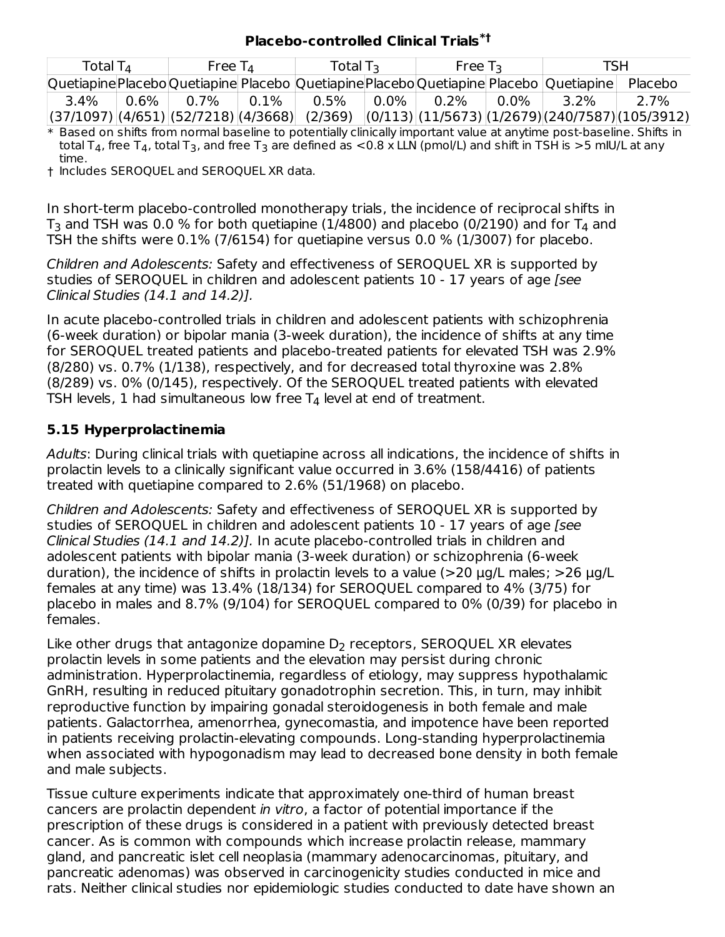## **Placebo-controlled Clinical Trials \*†**

| Total $T_4$ | Free $T_4$                                     | Total $T_3$ | Free $T_3$                                                                      | TSH                                                                                    |                                                                                                                    |
|-------------|------------------------------------------------|-------------|---------------------------------------------------------------------------------|----------------------------------------------------------------------------------------|--------------------------------------------------------------------------------------------------------------------|
|             |                                                |             |                                                                                 | Quetiapine Placebo Quetiapine Placebo Quetiapine Placebo Quetiapine Placebo Quetiapine | Placebo                                                                                                            |
| $3.4\%$     | $\vert$ 0.6% $\vert$ 0.7% $\vert$ 0.1% $\vert$ |             | $0.5\%$ $\parallel$ $0.0\%$ $\parallel$ $0.2\%$ $\parallel$ $0.0\%$ $\parallel$ | 3.2%                                                                                   | 2.7%                                                                                                               |
|             |                                                |             |                                                                                 |                                                                                        | $ (37/1097)\,(4/651)\,(52/7218)\,(4/3668)\,$ $(2/369)\,$ $ (0/113)\,(11/5673)\,(1/2679)\,(240/7587)\,(105/3912)\,$ |

\* Based on shifts from normal baseline to potentially clinically important value at anytime post-baseline. Shifts in total T $_4$ , free T $_4$ , total T $_3$ , and free T $_3$  are defined as <0.8 x LLN (pmol/L) and shift in TSH is >5 mlU/L at any time.

† Includes SEROQUEL and SEROQUEL XR data.

In short-term placebo-controlled monotherapy trials, the incidence of reciprocal shifts in T<sub>3</sub> and TSH was 0.0 % for both quetiapine (1/4800) and placebo (0/2190) and for T<sub>4</sub> and TSH the shifts were 0.1% (7/6154) for quetiapine versus 0.0 % (1/3007) for placebo.

Children and Adolescents: Safety and effectiveness of SEROQUEL XR is supported by studies of SEROQUEL in children and adolescent patients 10 - 17 years of age [see Clinical Studies (14.1 and 14.2)].

In acute placebo-controlled trials in children and adolescent patients with schizophrenia (6-week duration) or bipolar mania (3-week duration), the incidence of shifts at any time for SEROQUEL treated patients and placebo-treated patients for elevated TSH was 2.9% (8/280) vs. 0.7% (1/138), respectively, and for decreased total thyroxine was 2.8% (8/289) vs. 0% (0/145), respectively. Of the SEROQUEL treated patients with elevated TSH levels, 1 had simultaneous low free  $T_4$  level at end of treatment.

## **5.15 Hyperprolactinemia**

Adults: During clinical trials with quetiapine across all indications, the incidence of shifts in prolactin levels to a clinically significant value occurred in 3.6% (158/4416) of patients treated with quetiapine compared to 2.6% (51/1968) on placebo.

Children and Adolescents: Safety and effectiveness of SEROQUEL XR is supported by studies of SEROQUEL in children and adolescent patients 10 - 17 years of age [see Clinical Studies (14.1 and 14.2)]. In acute placebo-controlled trials in children and adolescent patients with bipolar mania (3-week duration) or schizophrenia (6-week duration), the incidence of shifts in prolactin levels to a value ( $>$ 20  $\mu$ g/L males;  $>$ 26  $\mu$ g/L females at any time) was 13.4% (18/134) for SEROQUEL compared to 4% (3/75) for placebo in males and 8.7% (9/104) for SEROQUEL compared to 0% (0/39) for placebo in females.

Like other drugs that antagonize dopamine  $\mathsf{D}_2$  receptors, <code>SEROQUEL</code> XR elevates prolactin levels in some patients and the elevation may persist during chronic administration. Hyperprolactinemia, regardless of etiology, may suppress hypothalamic GnRH, resulting in reduced pituitary gonadotrophin secretion. This, in turn, may inhibit reproductive function by impairing gonadal steroidogenesis in both female and male patients. Galactorrhea, amenorrhea, gynecomastia, and impotence have been reported in patients receiving prolactin-elevating compounds. Long-standing hyperprolactinemia when associated with hypogonadism may lead to decreased bone density in both female and male subjects.

Tissue culture experiments indicate that approximately one-third of human breast cancers are prolactin dependent in vitro, a factor of potential importance if the prescription of these drugs is considered in a patient with previously detected breast cancer. As is common with compounds which increase prolactin release, mammary gland, and pancreatic islet cell neoplasia (mammary adenocarcinomas, pituitary, and pancreatic adenomas) was observed in carcinogenicity studies conducted in mice and rats. Neither clinical studies nor epidemiologic studies conducted to date have shown an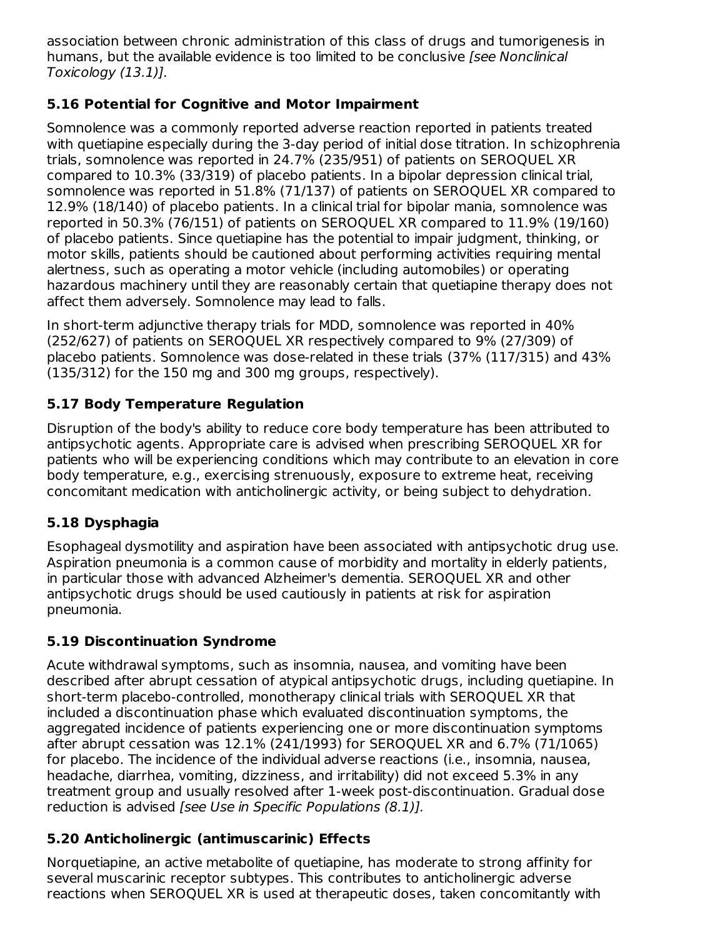association between chronic administration of this class of drugs and tumorigenesis in humans, but the available evidence is too limited to be conclusive [see Nonclinical] Toxicology (13.1)].

## **5.16 Potential for Cognitive and Motor Impairment**

Somnolence was a commonly reported adverse reaction reported in patients treated with quetiapine especially during the 3-day period of initial dose titration. In schizophrenia trials, somnolence was reported in 24.7% (235/951) of patients on SEROQUEL XR compared to 10.3% (33/319) of placebo patients. In a bipolar depression clinical trial, somnolence was reported in 51.8% (71/137) of patients on SEROQUEL XR compared to 12.9% (18/140) of placebo patients. In a clinical trial for bipolar mania, somnolence was reported in 50.3% (76/151) of patients on SEROQUEL XR compared to 11.9% (19/160) of placebo patients. Since quetiapine has the potential to impair judgment, thinking, or motor skills, patients should be cautioned about performing activities requiring mental alertness, such as operating a motor vehicle (including automobiles) or operating hazardous machinery until they are reasonably certain that quetiapine therapy does not affect them adversely. Somnolence may lead to falls.

In short-term adjunctive therapy trials for MDD, somnolence was reported in 40% (252/627) of patients on SEROQUEL XR respectively compared to 9% (27/309) of placebo patients. Somnolence was dose-related in these trials (37% (117/315) and 43% (135/312) for the 150 mg and 300 mg groups, respectively).

## **5.17 Body Temperature Regulation**

Disruption of the body's ability to reduce core body temperature has been attributed to antipsychotic agents. Appropriate care is advised when prescribing SEROQUEL XR for patients who will be experiencing conditions which may contribute to an elevation in core body temperature, e.g., exercising strenuously, exposure to extreme heat, receiving concomitant medication with anticholinergic activity, or being subject to dehydration.

## **5.18 Dysphagia**

Esophageal dysmotility and aspiration have been associated with antipsychotic drug use. Aspiration pneumonia is a common cause of morbidity and mortality in elderly patients, in particular those with advanced Alzheimer's dementia. SEROQUEL XR and other antipsychotic drugs should be used cautiously in patients at risk for aspiration pneumonia.

## **5.19 Discontinuation Syndrome**

Acute withdrawal symptoms, such as insomnia, nausea, and vomiting have been described after abrupt cessation of atypical antipsychotic drugs, including quetiapine. In short-term placebo-controlled, monotherapy clinical trials with SEROQUEL XR that included a discontinuation phase which evaluated discontinuation symptoms, the aggregated incidence of patients experiencing one or more discontinuation symptoms after abrupt cessation was 12.1% (241/1993) for SEROQUEL XR and 6.7% (71/1065) for placebo. The incidence of the individual adverse reactions (i.e., insomnia, nausea, headache, diarrhea, vomiting, dizziness, and irritability) did not exceed 5.3% in any treatment group and usually resolved after 1-week post-discontinuation. Gradual dose reduction is advised [see Use in Specific Populations (8.1)].

## **5.20 Anticholinergic (antimuscarinic) Effects**

Norquetiapine, an active metabolite of quetiapine, has moderate to strong affinity for several muscarinic receptor subtypes. This contributes to anticholinergic adverse reactions when SEROQUEL XR is used at therapeutic doses, taken concomitantly with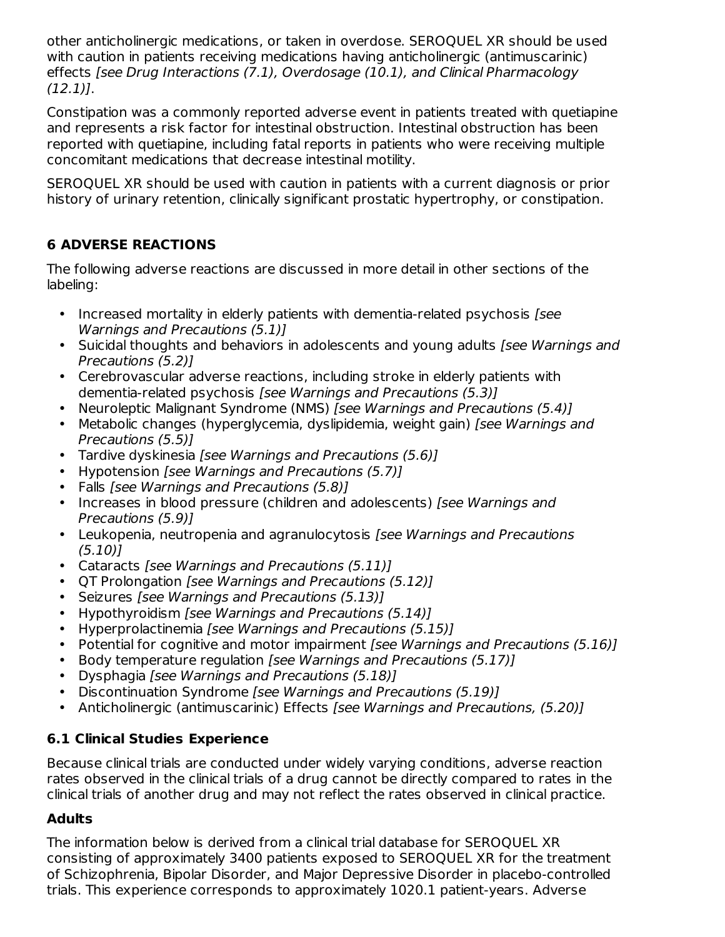other anticholinergic medications, or taken in overdose. SEROQUEL XR should be used with caution in patients receiving medications having anticholinergic (antimuscarinic) effects [see Drug Interactions (7.1), Overdosage (10.1), and Clinical Pharmacology  $(12.1)$ ].

Constipation was a commonly reported adverse event in patients treated with quetiapine and represents a risk factor for intestinal obstruction. Intestinal obstruction has been reported with quetiapine, including fatal reports in patients who were receiving multiple concomitant medications that decrease intestinal motility.

SEROQUEL XR should be used with caution in patients with a current diagnosis or prior history of urinary retention, clinically significant prostatic hypertrophy, or constipation.

## **6 ADVERSE REACTIONS**

The following adverse reactions are discussed in more detail in other sections of the labeling:

- Increased mortality in elderly patients with dementia-related psychosis [see Warnings and Precautions (5.1)]
- Suicidal thoughts and behaviors in adolescents and young adults [see Warnings and Precautions (5.2)]
- Cerebrovascular adverse reactions, including stroke in elderly patients with dementia-related psychosis [see Warnings and Precautions (5.3)]
- Neuroleptic Malignant Syndrome (NMS) [see Warnings and Precautions (5.4)]
- Metabolic changes (hyperglycemia, dyslipidemia, weight gain) [see Warnings and Precautions (5.5)]
- Tardive dyskinesia [see Warnings and Precautions (5.6)]
- Hypotension [see Warnings and Precautions (5.7)]
- Falls [see Warnings and Precautions (5.8)]
- Increases in blood pressure (children and adolescents) [see Warnings and Precautions (5.9)]
- Leukopenia, neutropenia and agranulocytosis [see Warnings and Precautions (5.10)]
- Cataracts [see Warnings and Precautions (5.11)]
- QT Prolongation [see Warnings and Precautions (5.12)]
- Seizures [see Warnings and Precautions (5.13)]
- Hypothyroidism [see Warnings and Precautions (5.14)]
- Hyperprolactinemia [see Warnings and Precautions (5.15)]
- Potential for cognitive and motor impairment [see Warnings and Precautions (5.16)]
- Body temperature regulation [see Warnings and Precautions (5.17)]
- Dysphagia [see Warnings and Precautions (5.18)]
- Discontinuation Syndrome [see Warnings and Precautions (5.19)]
- Anticholinergic (antimuscarinic) Effects [see Warnings and Precautions, (5.20)]

# **6.1 Clinical Studies Experience**

Because clinical trials are conducted under widely varying conditions, adverse reaction rates observed in the clinical trials of a drug cannot be directly compared to rates in the clinical trials of another drug and may not reflect the rates observed in clinical practice.

## **Adults**

The information below is derived from a clinical trial database for SEROQUEL XR consisting of approximately 3400 patients exposed to SEROQUEL XR for the treatment of Schizophrenia, Bipolar Disorder, and Major Depressive Disorder in placebo-controlled trials. This experience corresponds to approximately 1020.1 patient-years. Adverse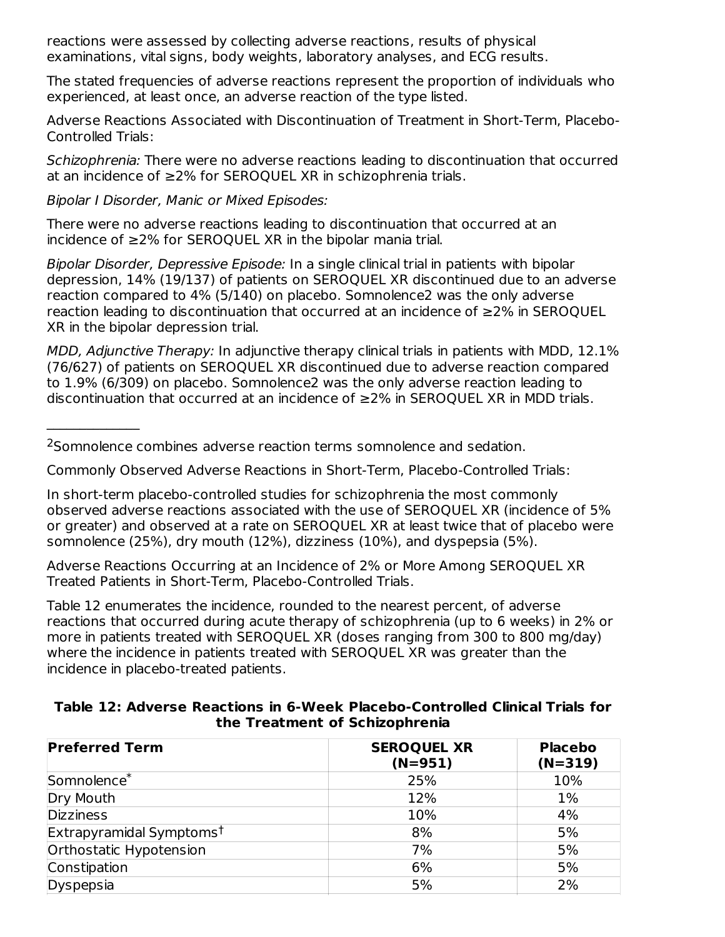reactions were assessed by collecting adverse reactions, results of physical examinations, vital signs, body weights, laboratory analyses, and ECG results.

The stated frequencies of adverse reactions represent the proportion of individuals who experienced, at least once, an adverse reaction of the type listed.

Adverse Reactions Associated with Discontinuation of Treatment in Short-Term, Placebo-Controlled Trials:

Schizophrenia: There were no adverse reactions leading to discontinuation that occurred at an incidence of ≥2% for SEROQUEL XR in schizophrenia trials.

Bipolar I Disorder, Manic or Mixed Episodes:

 $\mathcal{L}_\text{max}$  and  $\mathcal{L}_\text{max}$ 

There were no adverse reactions leading to discontinuation that occurred at an incidence of ≥2% for SEROQUEL XR in the bipolar mania trial.

Bipolar Disorder, Depressive Episode: In a single clinical trial in patients with bipolar depression, 14% (19/137) of patients on SEROQUEL XR discontinued due to an adverse reaction compared to 4% (5/140) on placebo. Somnolence2 was the only adverse reaction leading to discontinuation that occurred at an incidence of ≥2% in SEROQUEL XR in the bipolar depression trial.

MDD, Adjunctive Therapy: In adjunctive therapy clinical trials in patients with MDD, 12.1% (76/627) of patients on SEROQUEL XR discontinued due to adverse reaction compared to 1.9% (6/309) on placebo. Somnolence2 was the only adverse reaction leading to discontinuation that occurred at an incidence of ≥2% in SEROQUEL XR in MDD trials.

<sup>2</sup>Somnolence combines adverse reaction terms somnolence and sedation.

Commonly Observed Adverse Reactions in Short-Term, Placebo-Controlled Trials:

In short-term placebo-controlled studies for schizophrenia the most commonly observed adverse reactions associated with the use of SEROQUEL XR (incidence of 5% or greater) and observed at a rate on SEROQUEL XR at least twice that of placebo were somnolence (25%), dry mouth (12%), dizziness (10%), and dyspepsia (5%).

Adverse Reactions Occurring at an Incidence of 2% or More Among SEROQUEL XR Treated Patients in Short-Term, Placebo-Controlled Trials.

Table 12 enumerates the incidence, rounded to the nearest percent, of adverse reactions that occurred during acute therapy of schizophrenia (up to 6 weeks) in 2% or more in patients treated with SEROQUEL XR (doses ranging from 300 to 800 mg/day) where the incidence in patients treated with SEROQUEL XR was greater than the incidence in placebo-treated patients.

| Table 12: Adverse Reactions in 6-Week Placebo-Controlled Clinical Trials for |
|------------------------------------------------------------------------------|
| the Treatment of Schizophrenia                                               |

| <b>Preferred Term</b>                | <b>SEROQUEL XR</b><br>$(N=951)$ | <b>Placebo</b><br>$(N=319)$ |
|--------------------------------------|---------------------------------|-----------------------------|
| Somnolence*                          | 25%                             | 10%                         |
| Dry Mouth                            | 12%                             | $1\%$                       |
| <b>Dizziness</b>                     | 10%                             | 4%                          |
| Extrapyramidal Symptoms <sup>†</sup> | 8%                              | 5%                          |
| Orthostatic Hypotension              | 7%                              | 5%                          |
| Constipation                         | 6%                              | 5%                          |
| Dyspepsia                            | 5%                              | 2%                          |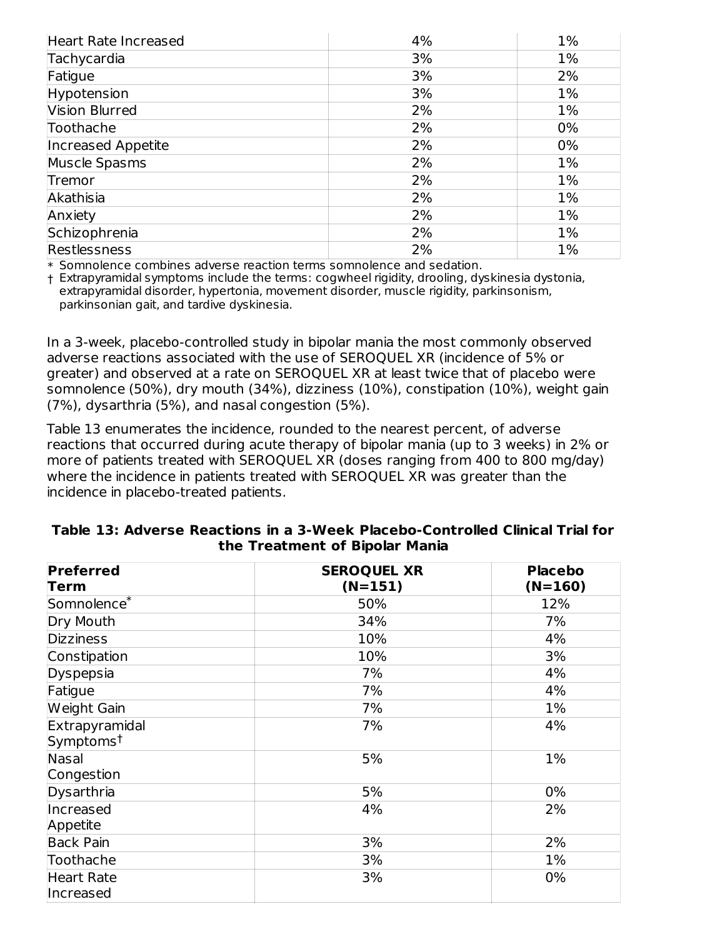| Heart Rate Increased | 4% | 1%    |
|----------------------|----|-------|
| Tachycardia          | 3% | 1%    |
| Fatigue              | 3% | 2%    |
| Hypotension          | 3% | 1%    |
| Vision Blurred       | 2% | 1%    |
| Toothache            | 2% | 0%    |
| Increased Appetite   | 2% | $0\%$ |
| Muscle Spasms        | 2% | 1%    |
| Tremor               | 2% | 1%    |
| Akathisia            | 2% | 1%    |
| Anxiety              | 2% | 1%    |
| Schizophrenia        | 2% | 1%    |
| Restlessness         | 2% | 1%    |

† Extrapyramidal symptoms include the terms: cogwheel rigidity, drooling, dyskinesia dystonia, extrapyramidal disorder, hypertonia, movement disorder, muscle rigidity, parkinsonism, parkinsonian gait, and tardive dyskinesia.

In a 3-week, placebo-controlled study in bipolar mania the most commonly observed adverse reactions associated with the use of SEROQUEL XR (incidence of 5% or greater) and observed at a rate on SEROQUEL XR at least twice that of placebo were somnolence (50%), dry mouth (34%), dizziness (10%), constipation (10%), weight gain (7%), dysarthria (5%), and nasal congestion (5%).

Table 13 enumerates the incidence, rounded to the nearest percent, of adverse reactions that occurred during acute therapy of bipolar mania (up to 3 weeks) in 2% or more of patients treated with SEROQUEL XR (doses ranging from 400 to 800 mg/day) where the incidence in patients treated with SEROQUEL XR was greater than the incidence in placebo-treated patients.

| Preferred             | <b>SEROQUEL XR</b> | <b>Placebo</b> |
|-----------------------|--------------------|----------------|
| Term                  | $(N=151)$          | $(N=160)$      |
| Somnolence*           | 50%                | 12%            |
| Dry Mouth             | 34%                | 7%             |
| <b>Dizziness</b>      | 10%                | 4%             |
| Constipation          | 10%                | 3%             |
| Dyspepsia             | 7%                 | 4%             |
| Fatigue               | 7%                 | 4%             |
| Weight Gain           | 7%                 | 1%             |
| Extrapyramidal        | 7%                 | 4%             |
| Symptoms <sup>t</sup> |                    |                |
| Nasal                 | 5%                 | 1%             |
| Congestion            |                    |                |
| Dysarthria            | 5%                 | 0%             |
| Increased             | 4%                 | 2%             |
| Appetite              |                    |                |
| <b>Back Pain</b>      | 3%                 | 2%             |
| Toothache             | 3%                 | 1%             |
| <b>Heart Rate</b>     | 3%                 | 0%             |
| Increased             |                    |                |

### **Table 13: Adverse Reactions in a 3-Week Placebo-Controlled Clinical Trial for the Treatment of Bipolar Mania**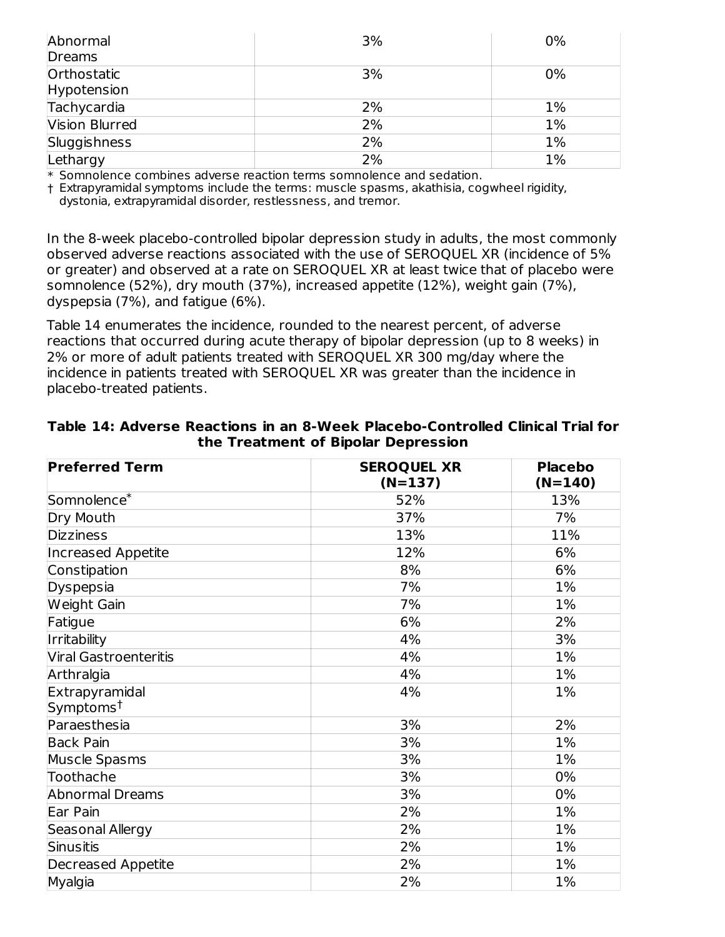| Abnormal        | 3% | 0%    |
|-----------------|----|-------|
| Dreams          |    |       |
| Orthostatic     | 3% | 0%    |
| Hypotension     |    |       |
| Tachycardia     | 2% | 1%    |
| Vision Blurred  | 2% | 1%    |
| Sluggishness    | 2% | 1%    |
| Lethargy<br>. . | 2% | $1\%$ |

† Extrapyramidal symptoms include the terms: muscle spasms, akathisia, cogwheel rigidity, dystonia, extrapyramidal disorder, restlessness, and tremor.

In the 8-week placebo-controlled bipolar depression study in adults, the most commonly observed adverse reactions associated with the use of SEROQUEL XR (incidence of 5% or greater) and observed at a rate on SEROQUEL XR at least twice that of placebo were somnolence (52%), dry mouth (37%), increased appetite (12%), weight gain (7%), dyspepsia (7%), and fatigue (6%).

Table 14 enumerates the incidence, rounded to the nearest percent, of adverse reactions that occurred during acute therapy of bipolar depression (up to 8 weeks) in 2% or more of adult patients treated with SEROQUEL XR 300 mg/day where the incidence in patients treated with SEROQUEL XR was greater than the incidence in placebo-treated patients.

| <b>Preferred Term</b>                   | <b>SEROQUEL XR</b><br>$(N=137)$ | <b>Placebo</b><br>$(N=140)$ |
|-----------------------------------------|---------------------------------|-----------------------------|
| Somnolence*                             | 52%                             | 13%                         |
| Dry Mouth                               | 37%                             | 7%                          |
| <b>Dizziness</b>                        | 13%                             | 11%                         |
| Increased Appetite                      | 12%                             | 6%                          |
| Constipation                            | 8%                              | 6%                          |
| Dyspepsia                               | 7%                              | 1%                          |
| Weight Gain                             | 7%                              | 1%                          |
| Fatigue                                 | 6%                              | 2%                          |
| Irritability                            | 4%                              | 3%                          |
| <b>Viral Gastroenteritis</b>            | 4%                              | 1%                          |
| Arthralgia                              | 4%                              | 1%                          |
| Extrapyramidal<br>Symptoms <sup>†</sup> | 4%                              | 1%                          |
| Paraesthesia                            | 3%                              | 2%                          |
| <b>Back Pain</b>                        | 3%                              | 1%                          |
| Muscle Spasms                           | 3%                              | 1%                          |
| Toothache                               | 3%                              | 0%                          |
| <b>Abnormal Dreams</b>                  | 3%                              | 0%                          |
| Ear Pain                                | 2%                              | 1%                          |
| Seasonal Allergy                        | 2%                              | 1%                          |
| <b>Sinusitis</b>                        | 2%                              | 1%                          |
| <b>Decreased Appetite</b>               | 2%                              | 1%                          |
| Myalgia                                 | 2%                              | 1%                          |

### **Table 14: Adverse Reactions in an 8-Week Placebo-Controlled Clinical Trial for the Treatment of Bipolar Depression**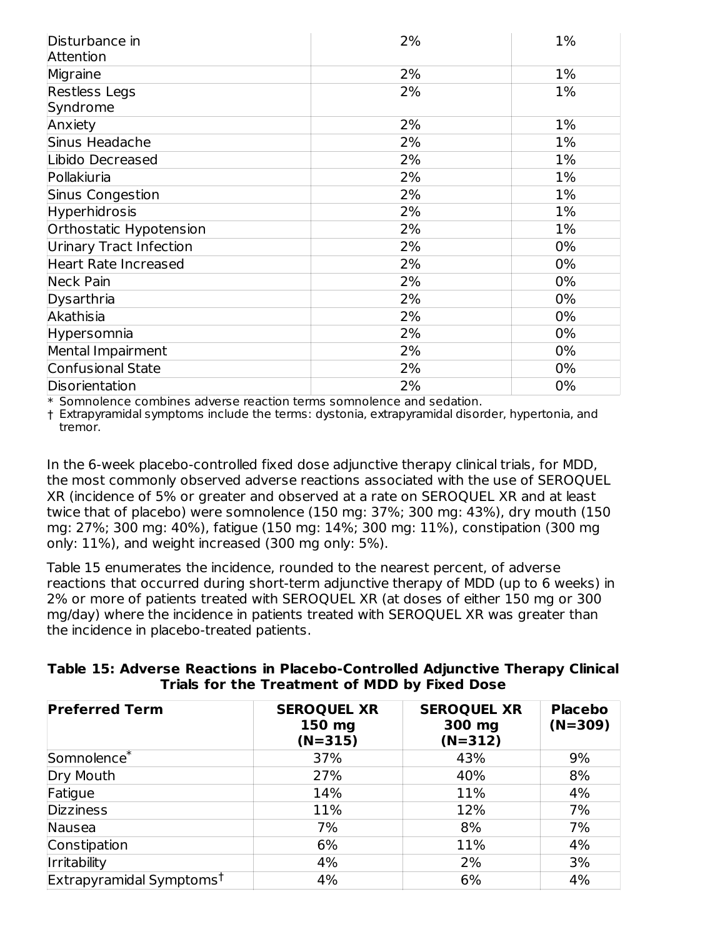| Disturbance in<br>Attention    | 2% | 1%    |
|--------------------------------|----|-------|
| Migraine                       | 2% | 1%    |
| Restless Legs                  | 2% | $1\%$ |
| Syndrome                       |    |       |
| Anxiety                        | 2% | 1%    |
| Sinus Headache                 | 2% | 1%    |
| Libido Decreased               | 2% | $1\%$ |
| Pollakiuria                    | 2% | 1%    |
| Sinus Congestion               | 2% | 1%    |
| Hyperhidrosis                  | 2% | 1%    |
| Orthostatic Hypotension        | 2% | $1\%$ |
| <b>Urinary Tract Infection</b> | 2% | 0%    |
| <b>Heart Rate Increased</b>    | 2% | 0%    |
| Neck Pain                      | 2% | 0%    |
| Dysarthria                     | 2% | 0%    |
| Akathisia                      | 2% | $0\%$ |
| Hypersomnia                    | 2% | 0%    |
| Mental Impairment              | 2% | 0%    |
| Confusional State              | 2% | 0%    |
| Disorientation                 | 2% | 0%    |

† Extrapyramidal symptoms include the terms: dystonia, extrapyramidal disorder, hypertonia, and tremor.

In the 6-week placebo-controlled fixed dose adjunctive therapy clinical trials, for MDD, the most commonly observed adverse reactions associated with the use of SEROQUEL XR (incidence of 5% or greater and observed at a rate on SEROQUEL XR and at least twice that of placebo) were somnolence (150 mg: 37%; 300 mg: 43%), dry mouth (150 mg: 27%; 300 mg: 40%), fatigue (150 mg: 14%; 300 mg: 11%), constipation (300 mg only: 11%), and weight increased (300 mg only: 5%).

Table 15 enumerates the incidence, rounded to the nearest percent, of adverse reactions that occurred during short-term adjunctive therapy of MDD (up to 6 weeks) in 2% or more of patients treated with SEROQUEL XR (at doses of either 150 mg or 300 mg/day) where the incidence in patients treated with SEROQUEL XR was greater than the incidence in placebo-treated patients.

**Table 15: Adverse Reactions in Placebo-Controlled Adjunctive Therapy Clinical Trials for the Treatment of MDD by Fixed Dose**

| <b>Preferred Term</b>                | <b>SEROQUEL XR</b><br>150 mg<br>$(N=315)$ | <b>SEROQUEL XR</b><br>300 mg<br>$(N=312)$ | <b>Placebo</b><br>$(N=309)$ |
|--------------------------------------|-------------------------------------------|-------------------------------------------|-----------------------------|
| Somnolence <sup>*</sup>              | 37%                                       | 43%                                       | 9%                          |
| Dry Mouth                            | 27%                                       | 40%                                       | 8%                          |
| Fatigue                              | 14%                                       | 11%                                       | 4%                          |
| <b>Dizziness</b>                     | 11%                                       | 12%                                       | 7%                          |
| Nausea                               | 7%                                        | 8%                                        | 7%                          |
| Constipation                         | 6%                                        | 11%                                       | 4%                          |
| Irritability                         | 4%                                        | 2%                                        | 3%                          |
| Extrapyramidal Symptoms <sup>†</sup> | 4%                                        | 6%                                        | 4%                          |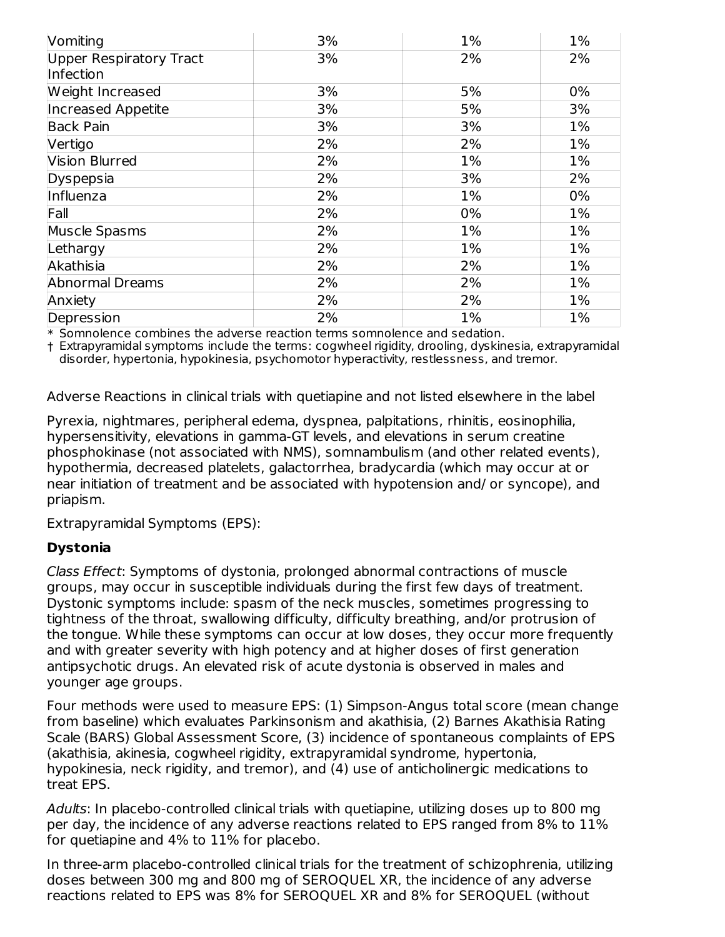| Vomiting                  | 3% | 1%    | 1% |
|---------------------------|----|-------|----|
| Upper Respiratory Tract   | 3% | 2%    | 2% |
| Infection                 |    |       |    |
| Weight Increased          | 3% | 5%    | 0% |
| <b>Increased Appetite</b> | 3% | 5%    | 3% |
| <b>Back Pain</b>          | 3% | 3%    | 1% |
| Vertigo                   | 2% | 2%    | 1% |
| Vision Blurred            | 2% | 1%    | 1% |
| Dyspepsia                 | 2% | 3%    | 2% |
| Influenza                 | 2% | 1%    | 0% |
| Fall                      | 2% | $0\%$ | 1% |
| Muscle Spasms             | 2% | 1%    | 1% |
| Lethargy                  | 2% | 1%    | 1% |
| Akathisia                 | 2% | 2%    | 1% |
| <b>Abnormal Dreams</b>    | 2% | 2%    | 1% |
| Anxiety                   | 2% | 2%    | 1% |
| Depression                | 2% | 1%    | 1% |

† Extrapyramidal symptoms include the terms: cogwheel rigidity, drooling, dyskinesia, extrapyramidal disorder, hypertonia, hypokinesia, psychomotor hyperactivity, restlessness, and tremor.

Adverse Reactions in clinical trials with quetiapine and not listed elsewhere in the label

Pyrexia, nightmares, peripheral edema, dyspnea, palpitations, rhinitis, eosinophilia, hypersensitivity, elevations in gamma-GT levels, and elevations in serum creatine phosphokinase (not associated with NMS), somnambulism (and other related events), hypothermia, decreased platelets, galactorrhea, bradycardia (which may occur at or near initiation of treatment and be associated with hypotension and/ or syncope), and priapism.

Extrapyramidal Symptoms (EPS):

### **Dystonia**

Class Effect: Symptoms of dystonia, prolonged abnormal contractions of muscle groups, may occur in susceptible individuals during the first few days of treatment. Dystonic symptoms include: spasm of the neck muscles, sometimes progressing to tightness of the throat, swallowing difficulty, difficulty breathing, and/or protrusion of the tongue. While these symptoms can occur at low doses, they occur more frequently and with greater severity with high potency and at higher doses of first generation antipsychotic drugs. An elevated risk of acute dystonia is observed in males and younger age groups.

Four methods were used to measure EPS: (1) Simpson-Angus total score (mean change from baseline) which evaluates Parkinsonism and akathisia, (2) Barnes Akathisia Rating Scale (BARS) Global Assessment Score, (3) incidence of spontaneous complaints of EPS (akathisia, akinesia, cogwheel rigidity, extrapyramidal syndrome, hypertonia, hypokinesia, neck rigidity, and tremor), and (4) use of anticholinergic medications to treat EPS.

Adults: In placebo-controlled clinical trials with quetiapine, utilizing doses up to 800 mg per day, the incidence of any adverse reactions related to EPS ranged from 8% to 11% for quetiapine and 4% to 11% for placebo.

In three-arm placebo-controlled clinical trials for the treatment of schizophrenia, utilizing doses between 300 mg and 800 mg of SEROQUEL XR, the incidence of any adverse reactions related to EPS was 8% for SEROQUEL XR and 8% for SEROQUEL (without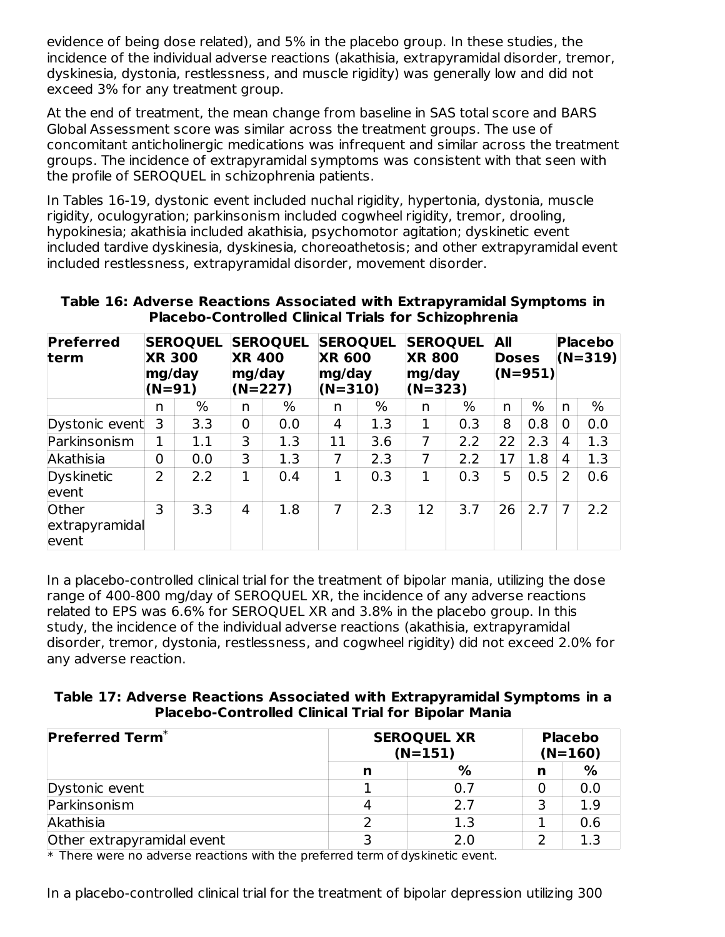evidence of being dose related), and 5% in the placebo group. In these studies, the incidence of the individual adverse reactions (akathisia, extrapyramidal disorder, tremor, dyskinesia, dystonia, restlessness, and muscle rigidity) was generally low and did not exceed 3% for any treatment group.

At the end of treatment, the mean change from baseline in SAS total score and BARS Global Assessment score was similar across the treatment groups. The use of concomitant anticholinergic medications was infrequent and similar across the treatment groups. The incidence of extrapyramidal symptoms was consistent with that seen with the profile of SEROQUEL in schizophrenia patients.

In Tables 16-19, dystonic event included nuchal rigidity, hypertonia, dystonia, muscle rigidity, oculogyration; parkinsonism included cogwheel rigidity, tremor, drooling, hypokinesia; akathisia included akathisia, psychomotor agitation; dyskinetic event included tardive dyskinesia, dyskinesia, choreoathetosis; and other extrapyramidal event included restlessness, extrapyramidal disorder, movement disorder.

| Preferred<br>term                | <b>XR 300</b><br>mg/day<br>$(N=91)$ | <b>SEROQUEL</b> | <b>XR 400</b><br>mg/day | <b>SEROQUEL</b><br>$(N=227)$ | <b>XR 600</b><br>mg/day<br>$(N=310)$ | <b>SEROQUEL</b> | <b>XR 800</b><br>mg/day<br>$(N=323)$ | <b>SEROQUEL</b> | All<br><b>Doses</b> | $(N=951)$ |                | <b>Placebo</b><br>$(N=319)$ |
|----------------------------------|-------------------------------------|-----------------|-------------------------|------------------------------|--------------------------------------|-----------------|--------------------------------------|-----------------|---------------------|-----------|----------------|-----------------------------|
|                                  | n                                   | %               | n                       | $\%$                         | n                                    | %               | n                                    | %               | n                   | %         | n              | %                           |
| Dystonic event                   | 3                                   | 3.3             | $\overline{0}$          | 0.0                          | 4                                    | 1.3             | 1                                    | 0.3             | 8                   | 0.8       | 0              | 0.0                         |
| Parkinsonism                     | 1                                   | 1.1             | 3                       | 1.3                          | 11                                   | 3.6             | 7                                    | 2.2             | 22                  | 2.3       | 4              | 1.3                         |
| Akathisia                        | $\overline{0}$                      | 0.0             | 3                       | 1.3                          | 7                                    | 2.3             | 7                                    | 2.2             | 17                  | 1.8       | 4              | 1.3                         |
| Dyskinetic<br>event              | 2                                   | 2.2             | 1                       | 0.4                          | 1                                    | 0.3             | 1                                    | 0.3             | 5                   | 0.5       | 2              | 0.6                         |
| Other<br>extrapyramidal<br>event | 3                                   | 3.3             | 4                       | 1.8                          | 7                                    | 2.3             | 12                                   | 3.7             | 26                  | 2.7       | $\overline{7}$ | 2.2                         |

### **Table 16: Adverse Reactions Associated with Extrapyramidal Symptoms in Placebo-Controlled Clinical Trials for Schizophrenia**

In a placebo-controlled clinical trial for the treatment of bipolar mania, utilizing the dose range of 400-800 mg/day of SEROQUEL XR, the incidence of any adverse reactions related to EPS was 6.6% for SEROQUEL XR and 3.8% in the placebo group. In this study, the incidence of the individual adverse reactions (akathisia, extrapyramidal disorder, tremor, dystonia, restlessness, and cogwheel rigidity) did not exceed 2.0% for any adverse reaction.

**Table 17: Adverse Reactions Associated with Extrapyramidal Symptoms in a Placebo-Controlled Clinical Trial for Bipolar Mania**

| <b>Preferred Term<sup>*</sup></b> | <b>SEROQUEL XR</b><br>$(N=151)$ | <b>Placebo</b><br>$(N=160)$ |   |     |
|-----------------------------------|---------------------------------|-----------------------------|---|-----|
|                                   |                                 | %                           | n | %   |
| Dystonic event                    |                                 | 0.7                         |   | 0.0 |
| Parkinsonism                      |                                 | 2.7                         |   | 1.9 |
| Akathisia                         |                                 | 1.3                         |   | 0.6 |
| Other extrapyramidal event        |                                 | 2 በ                         |   | ר 1 |

\* There were no adverse reactions with the preferred term of dyskinetic event.

In a placebo-controlled clinical trial for the treatment of bipolar depression utilizing 300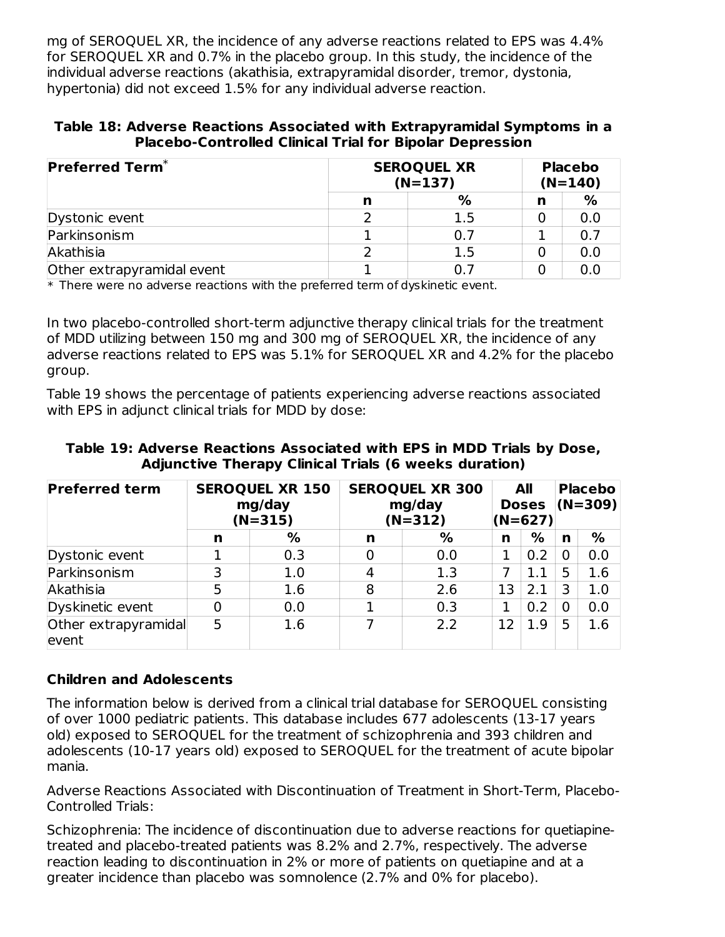mg of SEROQUEL XR, the incidence of any adverse reactions related to EPS was 4.4% for SEROQUEL XR and 0.7% in the placebo group. In this study, the incidence of the individual adverse reactions (akathisia, extrapyramidal disorder, tremor, dystonia, hypertonia) did not exceed 1.5% for any individual adverse reaction.

**Table 18: Adverse Reactions Associated with Extrapyramidal Symptoms in a Placebo-Controlled Clinical Trial for Bipolar Depression**

| <b>Preferred Term<sup>*</sup></b> | <b>SEROQUEL XR</b><br>$(N=137)$ |     | <b>Placebo</b><br>$(N=140)$ |     |  |
|-----------------------------------|---------------------------------|-----|-----------------------------|-----|--|
|                                   |                                 | %   | n                           | %   |  |
| Dystonic event                    |                                 | 15  |                             | 0.0 |  |
| Parkinsonism                      |                                 | 0.7 |                             | 0.7 |  |
| Akathisia                         |                                 | 1.5 |                             | 0.0 |  |
| Other extrapyramidal event        |                                 | 0 7 |                             | 0.0 |  |

\* There were no adverse reactions with the preferred term of dyskinetic event.

In two placebo-controlled short-term adjunctive therapy clinical trials for the treatment of MDD utilizing between 150 mg and 300 mg of SEROQUEL XR, the incidence of any adverse reactions related to EPS was 5.1% for SEROQUEL XR and 4.2% for the placebo group.

Table 19 shows the percentage of patients experiencing adverse reactions associated with EPS in adjunct clinical trials for MDD by dose:

| Table 19: Adverse Reactions Associated with EPS in MDD Trials by Dose, |  |
|------------------------------------------------------------------------|--|
| <b>Adjunctive Therapy Clinical Trials (6 weeks duration)</b>           |  |

| <b>Preferred term</b>         |   | <b>SEROQUEL XR 150</b><br>mg/day<br>$(N=315)$ |   | <b>SEROQUEL XR 300</b><br>mg/day<br>$(N=312)$ |    |     | <b>Placebo</b><br>$(N=309)$<br>$(N=627)$ |     |
|-------------------------------|---|-----------------------------------------------|---|-----------------------------------------------|----|-----|------------------------------------------|-----|
|                               | n | %                                             | n | %<br>%<br>n                                   |    | n   | $\frac{0}{0}$                            |     |
| Dystonic event                |   | 0.3                                           | 0 | 0.0                                           |    | 0.2 | $\Omega$                                 | 0.0 |
| Parkinsonism                  | 3 | 1.0                                           | 4 | 1.3                                           |    |     | 5                                        | 1.6 |
| Akathisia                     | 5 | 1.6                                           | 8 | 2.6                                           | 13 | 2.1 | 3                                        | 1.0 |
| Dyskinetic event              |   | 0.0                                           |   | 0.3                                           |    | 0.2 | $\Omega$                                 | 0.0 |
| Other extrapyramidal<br>event | 5 | 1.6                                           | 7 | 2.2                                           | 12 | 1.9 | 5                                        | 1.6 |

## **Children and Adolescents**

The information below is derived from a clinical trial database for SEROQUEL consisting of over 1000 pediatric patients. This database includes 677 adolescents (13-17 years old) exposed to SEROQUEL for the treatment of schizophrenia and 393 children and adolescents (10-17 years old) exposed to SEROQUEL for the treatment of acute bipolar mania.

Adverse Reactions Associated with Discontinuation of Treatment in Short-Term, Placebo-Controlled Trials:

Schizophrenia: The incidence of discontinuation due to adverse reactions for quetiapinetreated and placebo-treated patients was 8.2% and 2.7%, respectively. The adverse reaction leading to discontinuation in 2% or more of patients on quetiapine and at a greater incidence than placebo was somnolence (2.7% and 0% for placebo).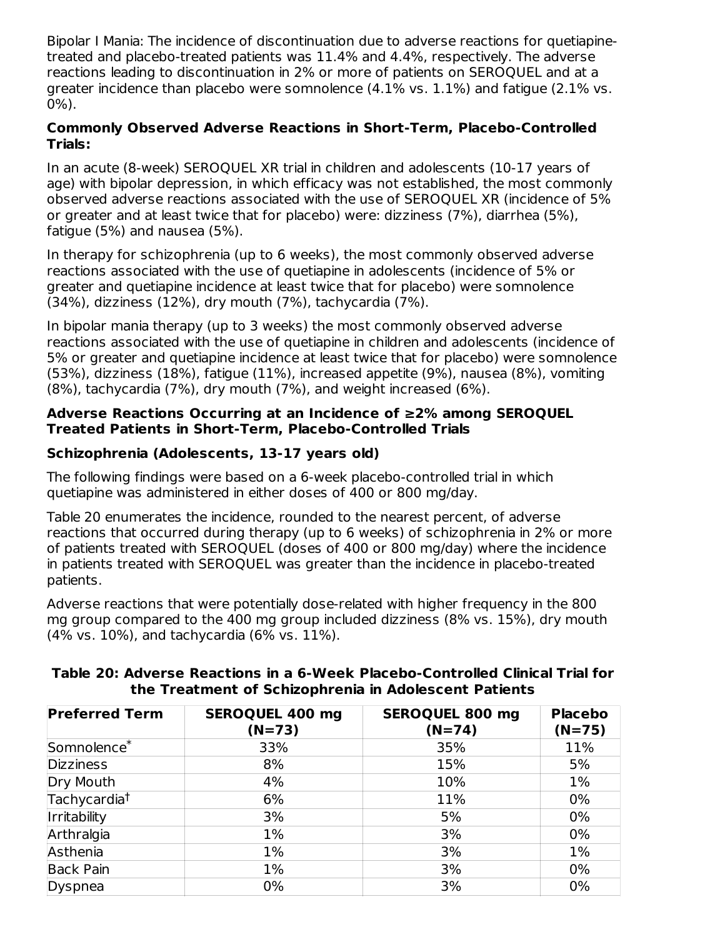Bipolar I Mania: The incidence of discontinuation due to adverse reactions for quetiapinetreated and placebo-treated patients was 11.4% and 4.4%, respectively. The adverse reactions leading to discontinuation in 2% or more of patients on SEROQUEL and at a greater incidence than placebo were somnolence (4.1% vs. 1.1%) and fatigue (2.1% vs. 0%).

### **Commonly Observed Adverse Reactions in Short-Term, Placebo-Controlled Trials:**

In an acute (8-week) SEROQUEL XR trial in children and adolescents (10-17 years of age) with bipolar depression, in which efficacy was not established, the most commonly observed adverse reactions associated with the use of SEROQUEL XR (incidence of 5% or greater and at least twice that for placebo) were: dizziness (7%), diarrhea (5%), fatigue (5%) and nausea (5%).

In therapy for schizophrenia (up to 6 weeks), the most commonly observed adverse reactions associated with the use of quetiapine in adolescents (incidence of 5% or greater and quetiapine incidence at least twice that for placebo) were somnolence (34%), dizziness (12%), dry mouth (7%), tachycardia (7%).

In bipolar mania therapy (up to 3 weeks) the most commonly observed adverse reactions associated with the use of quetiapine in children and adolescents (incidence of 5% or greater and quetiapine incidence at least twice that for placebo) were somnolence (53%), dizziness (18%), fatigue (11%), increased appetite (9%), nausea (8%), vomiting (8%), tachycardia (7%), dry mouth (7%), and weight increased (6%).

### **Adverse Reactions Occurring at an Incidence of ≥2% among SEROQUEL Treated Patients in Short-Term, Placebo-Controlled Trials**

## **Schizophrenia (Adolescents, 13-17 years old)**

The following findings were based on a 6-week placebo-controlled trial in which quetiapine was administered in either doses of 400 or 800 mg/day.

Table 20 enumerates the incidence, rounded to the nearest percent, of adverse reactions that occurred during therapy (up to 6 weeks) of schizophrenia in 2% or more of patients treated with SEROQUEL (doses of 400 or 800 mg/day) where the incidence in patients treated with SEROQUEL was greater than the incidence in placebo-treated patients.

Adverse reactions that were potentially dose-related with higher frequency in the 800 mg group compared to the 400 mg group included dizziness (8% vs. 15%), dry mouth (4% vs. 10%), and tachycardia (6% vs. 11%).

| <b>Preferred Term</b>    | <b>SEROQUEL 400 mg</b><br>$(N=73)$ | <b>SEROQUEL 800 mg</b><br>$(N=74)$ | <b>Placebo</b><br>$(N=75)$ |
|--------------------------|------------------------------------|------------------------------------|----------------------------|
| Somnolence*              | 33%                                | 35%                                | 11%                        |
| <b>Dizziness</b>         | 8%                                 | 15%                                | 5%                         |
| Dry Mouth                | 4%                                 | 10%                                | 1%                         |
| Tachycardia <sup>†</sup> | 6%                                 | 11%                                | 0%                         |
| Irritability             | 3%                                 | 5%                                 | 0%                         |
| Arthralgia               | 1%                                 | 3%                                 | 0%                         |
| Asthenia                 | 1%                                 | 3%                                 | 1%                         |
| <b>Back Pain</b>         | 1%                                 | 3%                                 | 0%                         |
| Dyspnea                  | $0\%$                              | 3%                                 | 0%                         |

### **Table 20: Adverse Reactions in a 6-Week Placebo-Controlled Clinical Trial for the Treatment of Schizophrenia in Adolescent Patients**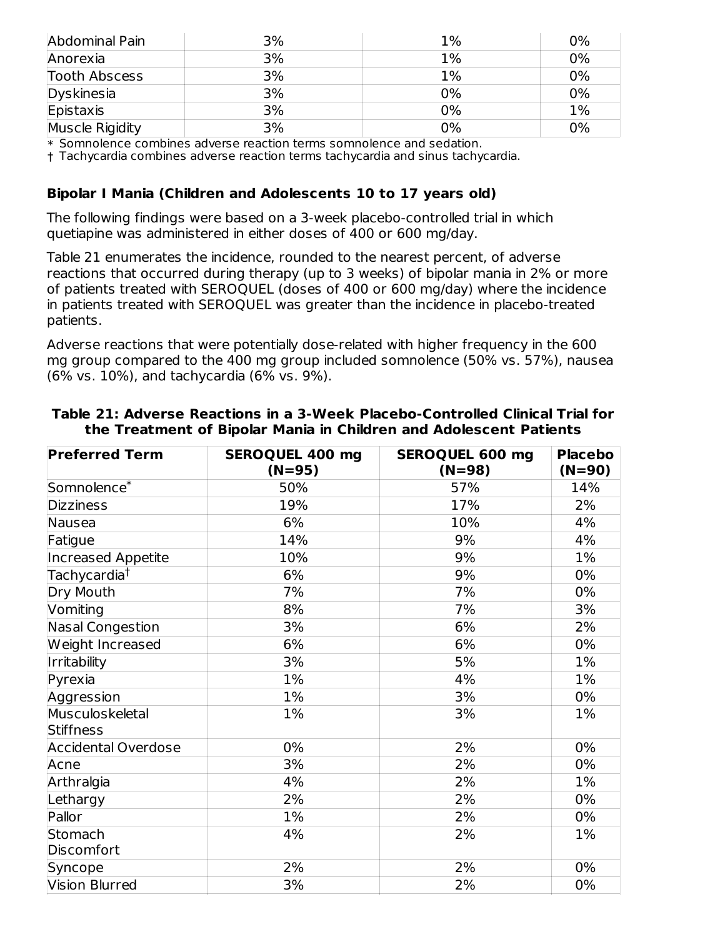| Abdominal Pain       | 3% | 1%    | 0% |
|----------------------|----|-------|----|
| Anorexia             | 3% | 1%    | 0% |
| <b>Tooth Abscess</b> | 3% | 1%    | 0% |
| Dyskinesia           | 3% | 0%    | 0% |
| Epistaxis            | 3% | 0%    | 1% |
| Muscle Rigidity      | 3% | $0\%$ | 0% |

† Tachycardia combines adverse reaction terms tachycardia and sinus tachycardia.

### **Bipolar I Mania (Children and Adolescents 10 to 17 years old)**

The following findings were based on a 3-week placebo-controlled trial in which quetiapine was administered in either doses of 400 or 600 mg/day.

Table 21 enumerates the incidence, rounded to the nearest percent, of adverse reactions that occurred during therapy (up to 3 weeks) of bipolar mania in 2% or more of patients treated with SEROQUEL (doses of 400 or 600 mg/day) where the incidence in patients treated with SEROQUEL was greater than the incidence in placebo-treated patients.

Adverse reactions that were potentially dose-related with higher frequency in the 600 mg group compared to the 400 mg group included somnolence (50% vs. 57%), nausea (6% vs. 10%), and tachycardia (6% vs. 9%).

| <b>Preferred Term</b>        | <b>SEROQUEL 400 mg</b><br>$(N=95)$ | <b>SEROQUEL 600 mg</b><br>$(N=98)$ | <b>Placebo</b><br>$(N=90)$ |
|------------------------------|------------------------------------|------------------------------------|----------------------------|
| Somnolence $\overline{\ }$   | 50%                                | 57%                                | 14%                        |
| <b>Dizziness</b>             | 19%                                | 17%                                | 2%                         |
| Nausea                       | 6%                                 | 10%                                | 4%                         |
| Fatigue                      | 14%                                | 9%                                 | 4%                         |
| <b>Increased Appetite</b>    | 10%                                | 9%                                 | 1%                         |
| Tachycardia <sup>†</sup>     | 6%                                 | 9%                                 | 0%                         |
| Dry Mouth                    | 7%                                 | 7%                                 | 0%                         |
| Vomiting                     | 8%                                 | 7%                                 | 3%                         |
| Nasal Congestion             | 3%                                 | 6%                                 | 2%                         |
| Weight Increased             | 6%                                 | 6%                                 | 0%                         |
| Irritability                 | 3%                                 | 5%                                 | 1%                         |
| Pyrexia                      | 1%                                 | 4%                                 | 1%                         |
| Aggression                   | 1%                                 | 3%                                 | 0%                         |
| Musculoskeletal<br>Stiffness | 1%                                 | 3%                                 | 1%                         |
| <b>Accidental Overdose</b>   | 0%                                 | 2%                                 | 0%                         |
| Acne                         | 3%                                 | 2%                                 | 0%                         |
| Arthralgia                   | 4%                                 | 2%                                 | 1%                         |
| Lethargy                     | 2%                                 | 2%                                 | 0%                         |
| Pallor                       | 1%                                 | 2%                                 | 0%                         |
| Stomach<br>Discomfort        | 4%                                 | 2%                                 | 1%                         |
| Syncope                      | 2%                                 | 2%                                 | 0%                         |
| Vision Blurred               | 3%                                 | 2%                                 | 0%                         |

### **Table 21: Adverse Reactions in a 3-Week Placebo-Controlled Clinical Trial for the Treatment of Bipolar Mania in Children and Adolescent Patients**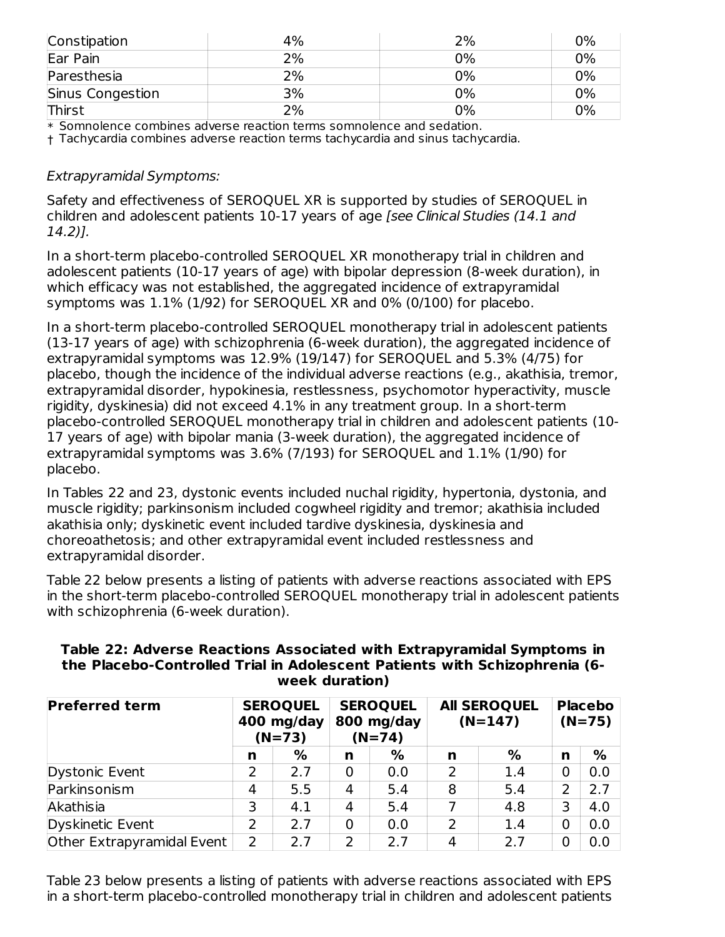| Constipation     | 4% | 2%    | 0% |
|------------------|----|-------|----|
| Ear Pain         | 2% | 0%    | 0% |
| Paresthesia      | 2% | 0%    | 0% |
| Sinus Congestion | 3% | 0%    | 0% |
| Thirst           | 2% | $0\%$ | 0% |

† Tachycardia combines adverse reaction terms tachycardia and sinus tachycardia.

### Extrapyramidal Symptoms:

Safety and effectiveness of SEROQUEL XR is supported by studies of SEROQUEL in children and adolescent patients 10-17 years of age [see Clinical Studies (14.1 and 14.2)].

In a short-term placebo-controlled SEROQUEL XR monotherapy trial in children and adolescent patients (10-17 years of age) with bipolar depression (8-week duration), in which efficacy was not established, the aggregated incidence of extrapyramidal symptoms was 1.1% (1/92) for SEROQUEL XR and 0% (0/100) for placebo.

In a short-term placebo-controlled SEROQUEL monotherapy trial in adolescent patients (13-17 years of age) with schizophrenia (6-week duration), the aggregated incidence of extrapyramidal symptoms was 12.9% (19/147) for SEROQUEL and 5.3% (4/75) for placebo, though the incidence of the individual adverse reactions (e.g., akathisia, tremor, extrapyramidal disorder, hypokinesia, restlessness, psychomotor hyperactivity, muscle rigidity, dyskinesia) did not exceed 4.1% in any treatment group. In a short-term placebo-controlled SEROQUEL monotherapy trial in children and adolescent patients (10- 17 years of age) with bipolar mania (3-week duration), the aggregated incidence of extrapyramidal symptoms was 3.6% (7/193) for SEROQUEL and 1.1% (1/90) for placebo.

In Tables 22 and 23, dystonic events included nuchal rigidity, hypertonia, dystonia, and muscle rigidity; parkinsonism included cogwheel rigidity and tremor; akathisia included akathisia only; dyskinetic event included tardive dyskinesia, dyskinesia and choreoathetosis; and other extrapyramidal event included restlessness and extrapyramidal disorder.

Table 22 below presents a listing of patients with adverse reactions associated with EPS in the short-term placebo-controlled SEROQUEL monotherapy trial in adolescent patients with schizophrenia (6-week duration).

| the Placebo-Controlled Trial in Adolescent Patients with Schizophrenia (6-<br>week duration) |                          |                 |                                     |                    |  |  |  |
|----------------------------------------------------------------------------------------------|--------------------------|-----------------|-------------------------------------|--------------------|--|--|--|
| Preferred term                                                                               | <b>SEROQUEL SEROQUEL</b> | $100 \text{ m}$ | <b>AII SEROOUEL</b><br>$\sqrt{N-1}$ | Placebo<br>$IN-7E$ |  |  |  |

**Table 22: Adverse Reactions Associated with Extrapyramidal Symptoms in**

| <b>Preferred term</b>      |   | <b>SEROQUEL</b><br>400 mg/day<br>$(N=73)$ |   | <b>SEROQUEL</b><br>800 mg/day<br>$(N=74)$ | <b>All SEROQUEL</b><br>$(N=147)$ | <b>Placebo</b><br>$(N=75)$ |   |     |
|----------------------------|---|-------------------------------------------|---|-------------------------------------------|----------------------------------|----------------------------|---|-----|
|                            | n | %                                         | n | %                                         | n                                | %                          | n | %   |
| Dystonic Event             | 2 | 2.7                                       | 0 | 0.0                                       | っ                                | 1.4                        | 0 | 0.0 |
| Parkinsonism               | 4 | 5.5                                       | 4 | 5.4                                       | 8                                | 5.4                        | 2 | 2.7 |
| Akathisia                  | 3 | 4.1                                       | 4 | 5.4                                       |                                  | 4.8                        | 3 | 4.0 |
| <b>Dyskinetic Event</b>    | 2 | 2.7                                       | 0 | 0.0                                       | っ                                | 1.4                        | 0 | 0.0 |
| Other Extrapyramidal Event | 2 | 2.7                                       | 2 | 2.7                                       | 4                                | 2.7                        | 0 | 0.0 |

Table 23 below presents a listing of patients with adverse reactions associated with EPS in a short-term placebo-controlled monotherapy trial in children and adolescent patients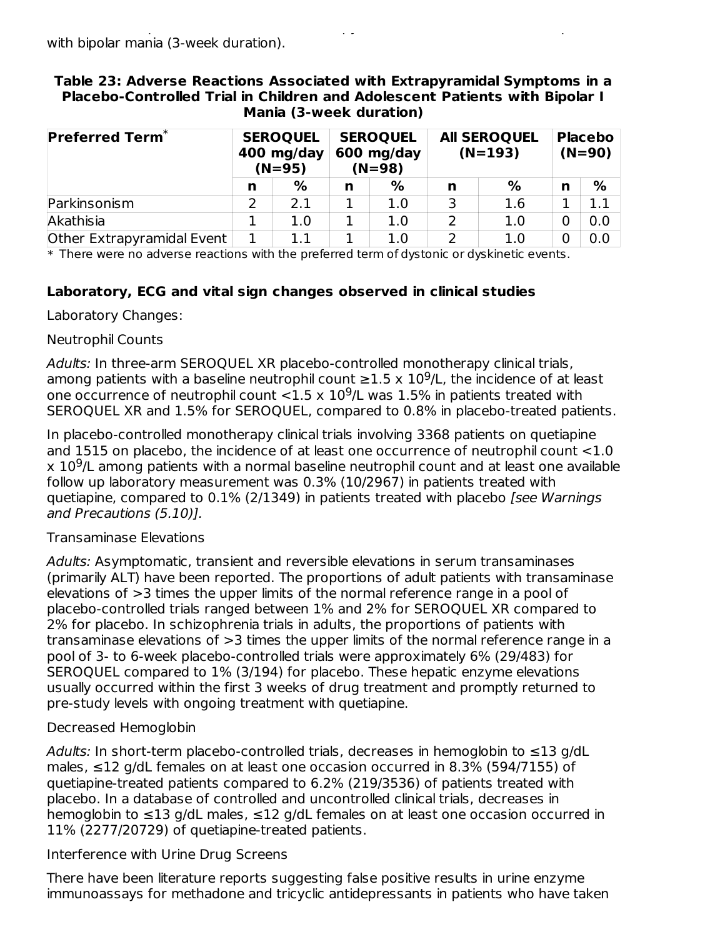#### **Table 23: Adverse Reactions Associated with Extrapyramidal Symptoms in a Placebo-Controlled Trial in Children and Adolescent Patients with Bipolar I Mania (3-week duration)**

in a short-term placebo-controlled monotherapy trial in children and adolescent patients

| <b>Preferred Term*</b>     |   | <b>SEROQUEL</b><br>400 mg/day<br>$(N=95)$ |   | <b>SEROQUEL</b><br>600 mg/day<br>$(N=98)$ | <b>All SEROQUEL</b><br>$(N=193)$ | <b>Placebo</b><br>$(N=90)$ |   |               |
|----------------------------|---|-------------------------------------------|---|-------------------------------------------|----------------------------------|----------------------------|---|---------------|
|                            | n | %                                         | n | %                                         | n                                | $\frac{0}{0}$              | n | $\frac{0}{0}$ |
| Parkinsonism               |   | 2.1                                       |   | 1.0                                       | 3                                | 1.6                        |   |               |
| Akathisia                  |   | 1.0                                       |   | 1.0                                       |                                  | 1.0                        |   | 0.0           |
| Other Extrapyramidal Event |   | $1\,1$                                    |   | 1.0                                       |                                  | 1.0                        |   | ი ი           |

\* There were no adverse reactions with the preferred term of dystonic or dyskinetic events.

## **Laboratory, ECG and vital sign changes observed in clinical studies**

Laboratory Changes:

### Neutrophil Counts

Adults: In three-arm SEROQUEL XR placebo-controlled monotherapy clinical trials, among patients with a baseline neutrophil count  $\geq$ 1.5 x 10<sup>9</sup>/L, the incidence of at least one occurrence of neutrophil count  $<$ 1.5 x 10<sup>9</sup>/L was 1.5% in patients treated with SEROQUEL XR and 1.5% for SEROQUEL, compared to 0.8% in placebo-treated patients.

In placebo-controlled monotherapy clinical trials involving 3368 patients on quetiapine and 1515 on placebo, the incidence of at least one occurrence of neutrophil count <1.0  $\times$  10<sup>9</sup>/L among patients with a normal baseline neutrophil count and at least one available follow up laboratory measurement was 0.3% (10/2967) in patients treated with quetiapine, compared to 0.1% (2/1349) in patients treated with placebo [see Warnings and Precautions (5.10)].

### Transaminase Elevations

Adults: Asymptomatic, transient and reversible elevations in serum transaminases (primarily ALT) have been reported. The proportions of adult patients with transaminase elevations of >3 times the upper limits of the normal reference range in a pool of placebo-controlled trials ranged between 1% and 2% for SEROQUEL XR compared to 2% for placebo. In schizophrenia trials in adults, the proportions of patients with transaminase elevations of >3 times the upper limits of the normal reference range in a pool of 3- to 6-week placebo-controlled trials were approximately 6% (29/483) for SEROQUEL compared to 1% (3/194) for placebo. These hepatic enzyme elevations usually occurred within the first 3 weeks of drug treatment and promptly returned to pre-study levels with ongoing treatment with quetiapine.

## Decreased Hemoglobin

Adults: In short-term placebo-controlled trials, decreases in hemoglobin to ≤13 g/dL males,  $\leq$ 12 g/dL females on at least one occasion occurred in 8.3% (594/7155) of quetiapine-treated patients compared to 6.2% (219/3536) of patients treated with placebo. In a database of controlled and uncontrolled clinical trials, decreases in hemoglobin to ≤13 g/dL males, ≤12 g/dL females on at least one occasion occurred in 11% (2277/20729) of quetiapine-treated patients.

### Interference with Urine Drug Screens

There have been literature reports suggesting false positive results in urine enzyme immunoassays for methadone and tricyclic antidepressants in patients who have taken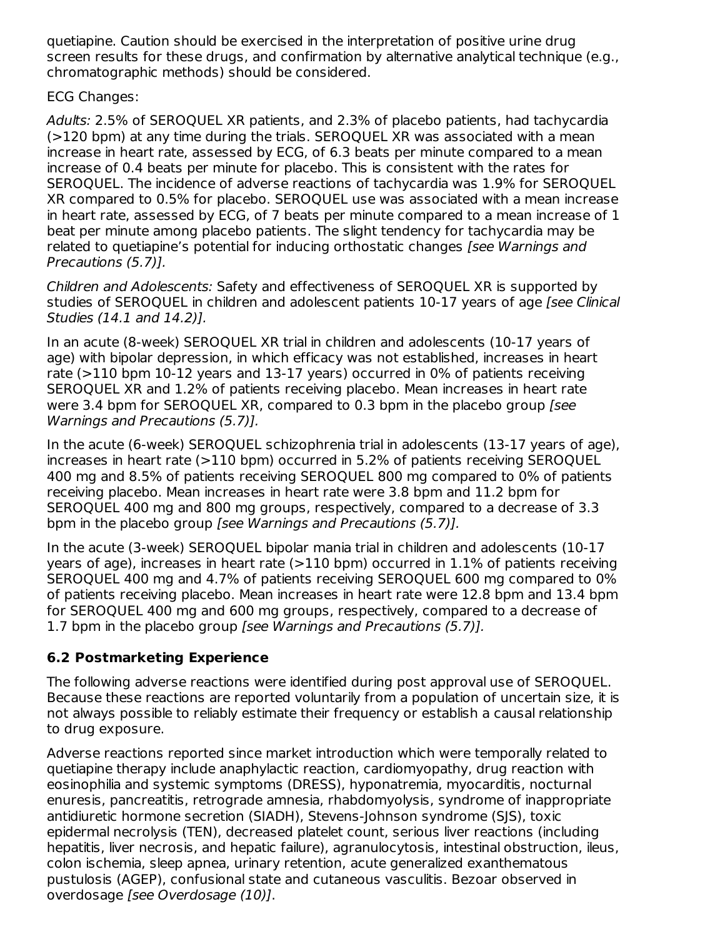quetiapine. Caution should be exercised in the interpretation of positive urine drug screen results for these drugs, and confirmation by alternative analytical technique (e.g., chromatographic methods) should be considered.

#### ECG Changes:

Adults: 2.5% of SEROQUEL XR patients, and 2.3% of placebo patients, had tachycardia (>120 bpm) at any time during the trials. SEROQUEL XR was associated with a mean increase in heart rate, assessed by ECG, of 6.3 beats per minute compared to a mean increase of 0.4 beats per minute for placebo. This is consistent with the rates for SEROQUEL. The incidence of adverse reactions of tachycardia was 1.9% for SEROQUEL XR compared to 0.5% for placebo. SEROQUEL use was associated with a mean increase in heart rate, assessed by ECG, of 7 beats per minute compared to a mean increase of 1 beat per minute among placebo patients. The slight tendency for tachycardia may be related to quetiapine's potential for inducing orthostatic changes [see Warnings and Precautions (5.7)].

Children and Adolescents: Safety and effectiveness of SEROQUEL XR is supported by studies of SEROQUEL in children and adolescent patients 10-17 years of age [see Clinical Studies (14.1 and 14.2)].

In an acute (8-week) SEROQUEL XR trial in children and adolescents (10-17 years of age) with bipolar depression, in which efficacy was not established, increases in heart rate (>110 bpm 10-12 years and 13-17 years) occurred in 0% of patients receiving SEROQUEL XR and 1.2% of patients receiving placebo. Mean increases in heart rate were 3.4 bpm for SEROQUEL XR, compared to 0.3 bpm in the placebo group [see Warnings and Precautions (5.7)].

In the acute (6-week) SEROQUEL schizophrenia trial in adolescents (13-17 years of age), increases in heart rate (>110 bpm) occurred in 5.2% of patients receiving SEROQUEL 400 mg and 8.5% of patients receiving SEROQUEL 800 mg compared to 0% of patients receiving placebo. Mean increases in heart rate were 3.8 bpm and 11.2 bpm for SEROQUEL 400 mg and 800 mg groups, respectively, compared to a decrease of 3.3 bpm in the placebo group [see Warnings and Precautions (5.7)].

In the acute (3-week) SEROQUEL bipolar mania trial in children and adolescents (10-17 years of age), increases in heart rate  $(>110$  bpm) occurred in 1.1% of patients receiving SEROQUEL 400 mg and 4.7% of patients receiving SEROQUEL 600 mg compared to 0% of patients receiving placebo. Mean increases in heart rate were 12.8 bpm and 13.4 bpm for SEROQUEL 400 mg and 600 mg groups, respectively, compared to a decrease of 1.7 bpm in the placebo group [see Warnings and Precautions (5.7)].

## **6.2 Postmarketing Experience**

The following adverse reactions were identified during post approval use of SEROQUEL. Because these reactions are reported voluntarily from a population of uncertain size, it is not always possible to reliably estimate their frequency or establish a causal relationship to drug exposure.

Adverse reactions reported since market introduction which were temporally related to quetiapine therapy include anaphylactic reaction, cardiomyopathy, drug reaction with eosinophilia and systemic symptoms (DRESS), hyponatremia, myocarditis, nocturnal enuresis, pancreatitis, retrograde amnesia, rhabdomyolysis, syndrome of inappropriate antidiuretic hormone secretion (SIADH), Stevens-Johnson syndrome (SJS), toxic epidermal necrolysis (TEN), decreased platelet count, serious liver reactions (including hepatitis, liver necrosis, and hepatic failure), agranulocytosis, intestinal obstruction, ileus, colon ischemia, sleep apnea, urinary retention, acute generalized exanthematous pustulosis (AGEP), confusional state and cutaneous vasculitis. Bezoar observed in overdosage [see Overdosage (10)].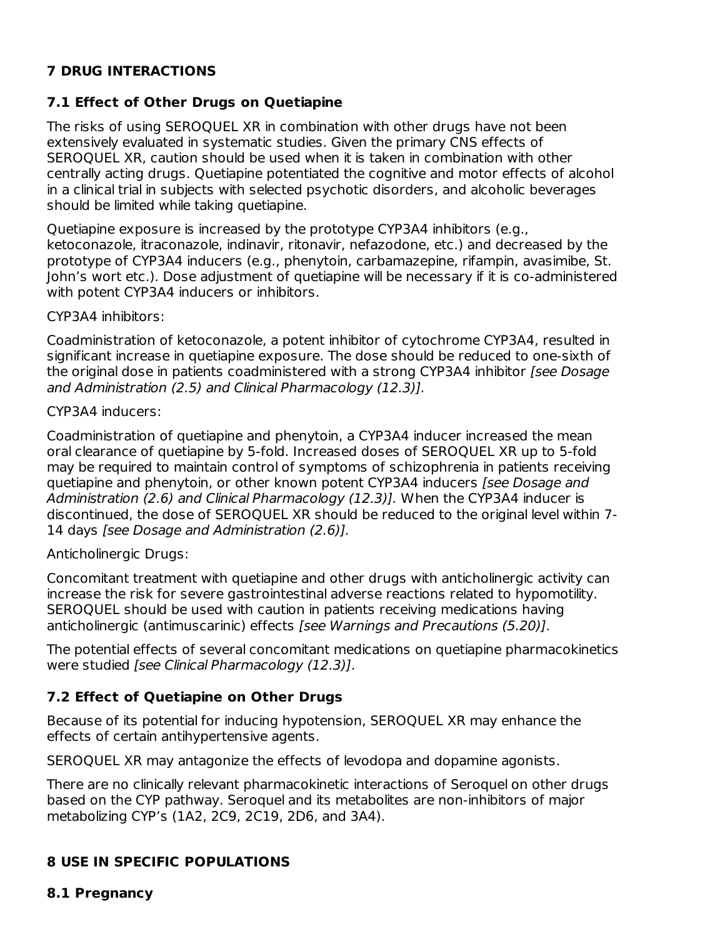## **7 DRUG INTERACTIONS**

#### **7.1 Effect of Other Drugs on Quetiapine**

The risks of using SEROQUEL XR in combination with other drugs have not been extensively evaluated in systematic studies. Given the primary CNS effects of SEROQUEL XR, caution should be used when it is taken in combination with other centrally acting drugs. Quetiapine potentiated the cognitive and motor effects of alcohol in a clinical trial in subjects with selected psychotic disorders, and alcoholic beverages should be limited while taking quetiapine.

Quetiapine exposure is increased by the prototype CYP3A4 inhibitors (e.g., ketoconazole, itraconazole, indinavir, ritonavir, nefazodone, etc.) and decreased by the prototype of CYP3A4 inducers (e.g., phenytoin, carbamazepine, rifampin, avasimibe, St. John's wort etc.). Dose adjustment of quetiapine will be necessary if it is co-administered with potent CYP3A4 inducers or inhibitors.

CYP3A4 inhibitors:

Coadministration of ketoconazole, a potent inhibitor of cytochrome CYP3A4, resulted in significant increase in quetiapine exposure. The dose should be reduced to one‑sixth of the original dose in patients coadministered with a strong CYP3A4 inhibitor [see Dosage and Administration (2.5) and Clinical Pharmacology (12.3)].

CYP3A4 inducers:

Coadministration of quetiapine and phenytoin, a CYP3A4 inducer increased the mean oral clearance of quetiapine by 5-fold. Increased doses of SEROQUEL XR up to 5-fold may be required to maintain control of symptoms of schizophrenia in patients receiving quetiapine and phenytoin, or other known potent CYP3A4 inducers [see Dosage and Administration (2.6) and Clinical Pharmacology (12.3)]. When the CYP3A4 inducer is discontinued, the dose of SEROQUEL XR should be reduced to the original level within 7- 14 days [see Dosage and Administration (2.6)].

#### Anticholinergic Drugs:

Concomitant treatment with quetiapine and other drugs with anticholinergic activity can increase the risk for severe gastrointestinal adverse reactions related to hypomotility. SEROQUEL should be used with caution in patients receiving medications having anticholinergic (antimuscarinic) effects [see Warnings and Precautions (5.20)].

The potential effects of several concomitant medications on quetiapine pharmacokinetics were studied [see Clinical Pharmacology (12.3)].

## **7.2 Effect of Quetiapine on Other Drugs**

Because of its potential for inducing hypotension, SEROQUEL XR may enhance the effects of certain antihypertensive agents.

SEROQUEL XR may antagonize the effects of levodopa and dopamine agonists.

There are no clinically relevant pharmacokinetic interactions of Seroquel on other drugs based on the CYP pathway. Seroquel and its metabolites are non-inhibitors of major metabolizing CYP's (1A2, 2C9, 2C19, 2D6, and 3A4).

## **8 USE IN SPECIFIC POPULATIONS**

#### **8.1 Pregnancy**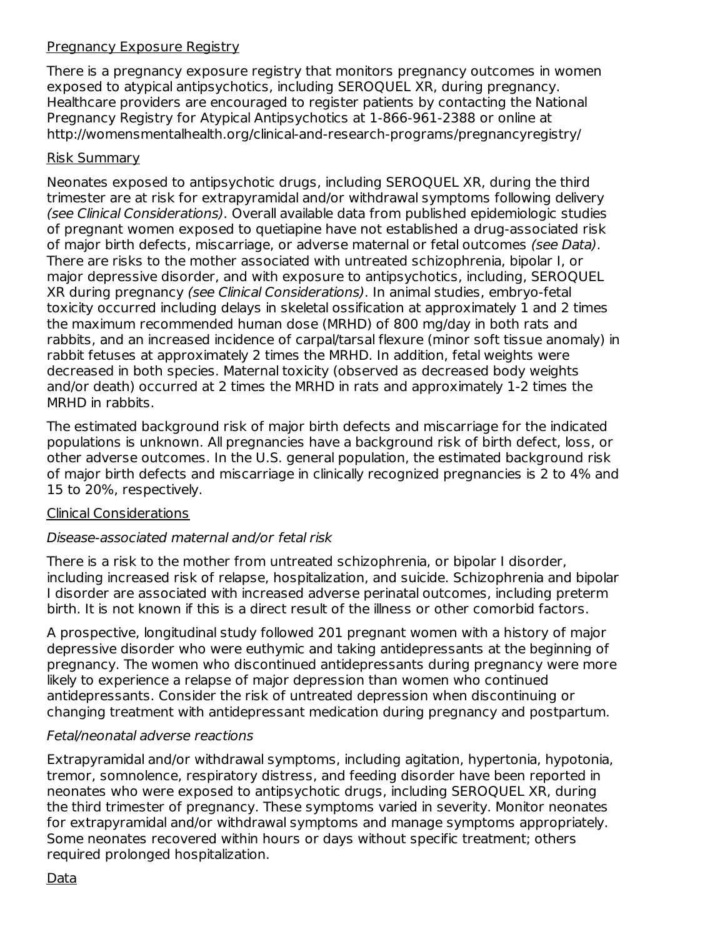#### Pregnancy Exposure Registry

There is a pregnancy exposure registry that monitors pregnancy outcomes in women exposed to atypical antipsychotics, including SEROQUEL XR, during pregnancy. Healthcare providers are encouraged to register patients by contacting the National Pregnancy Registry for Atypical Antipsychotics at 1-866-961-2388 or online at http://womensmentalhealth.org/clinical-and-research-programs/pregnancyregistry/

#### Risk Summary

Neonates exposed to antipsychotic drugs, including SEROQUEL XR, during the third trimester are at risk for extrapyramidal and/or withdrawal symptoms following delivery (see Clinical Considerations). Overall available data from published epidemiologic studies of pregnant women exposed to quetiapine have not established a drug-associated risk of major birth defects, miscarriage, or adverse maternal or fetal outcomes (see Data). There are risks to the mother associated with untreated schizophrenia, bipolar I, or major depressive disorder, and with exposure to antipsychotics, including, SEROQUEL XR during pregnancy (see Clinical Considerations). In animal studies, embryo-fetal toxicity occurred including delays in skeletal ossification at approximately 1 and 2 times the maximum recommended human dose (MRHD) of 800 mg/day in both rats and rabbits, and an increased incidence of carpal/tarsal flexure (minor soft tissue anomaly) in rabbit fetuses at approximately 2 times the MRHD. In addition, fetal weights were decreased in both species. Maternal toxicity (observed as decreased body weights and/or death) occurred at 2 times the MRHD in rats and approximately 1-2 times the MRHD in rabbits.

The estimated background risk of major birth defects and miscarriage for the indicated populations is unknown. All pregnancies have a background risk of birth defect, loss, or other adverse outcomes. In the U.S. general population, the estimated background risk of major birth defects and miscarriage in clinically recognized pregnancies is 2 to 4% and 15 to 20%, respectively.

## Clinical Considerations

#### Disease-associated maternal and/or fetal risk

There is a risk to the mother from untreated schizophrenia, or bipolar I disorder, including increased risk of relapse, hospitalization, and suicide. Schizophrenia and bipolar I disorder are associated with increased adverse perinatal outcomes, including preterm birth. It is not known if this is a direct result of the illness or other comorbid factors.

A prospective, longitudinal study followed 201 pregnant women with a history of major depressive disorder who were euthymic and taking antidepressants at the beginning of pregnancy. The women who discontinued antidepressants during pregnancy were more likely to experience a relapse of major depression than women who continued antidepressants. Consider the risk of untreated depression when discontinuing or changing treatment with antidepressant medication during pregnancy and postpartum.

#### Fetal/neonatal adverse reactions

Extrapyramidal and/or withdrawal symptoms, including agitation, hypertonia, hypotonia, tremor, somnolence, respiratory distress, and feeding disorder have been reported in neonates who were exposed to antipsychotic drugs, including SEROQUEL XR, during the third trimester of pregnancy. These symptoms varied in severity. Monitor neonates for extrapyramidal and/or withdrawal symptoms and manage symptoms appropriately. Some neonates recovered within hours or days without specific treatment; others required prolonged hospitalization.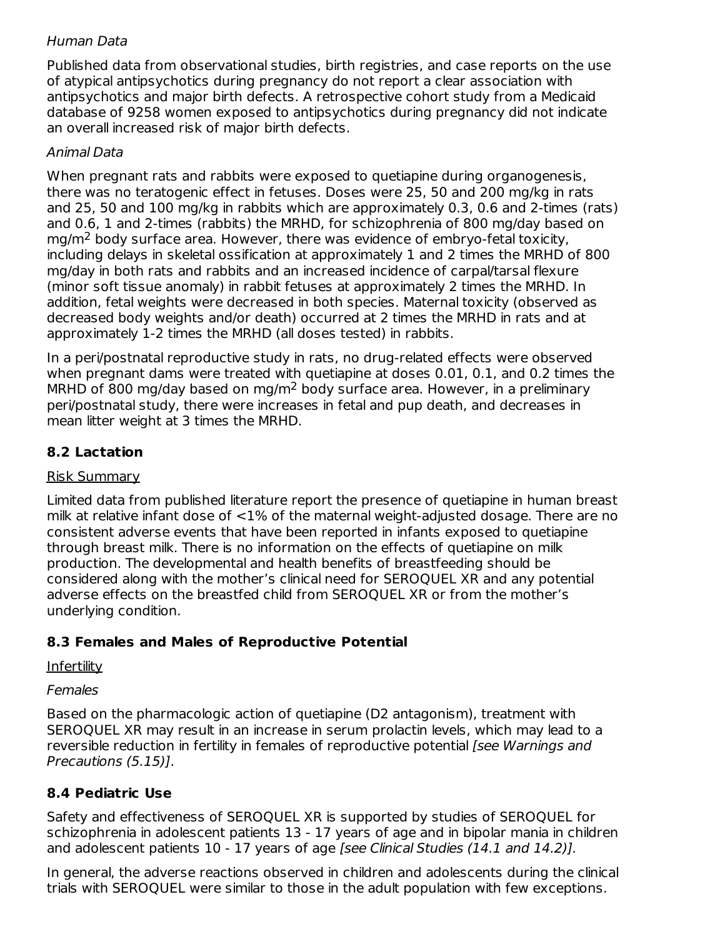## Human Data

Published data from observational studies, birth registries, and case reports on the use of atypical antipsychotics during pregnancy do not report a clear association with antipsychotics and major birth defects. A retrospective cohort study from a Medicaid database of 9258 women exposed to antipsychotics during pregnancy did not indicate an overall increased risk of major birth defects.

## Animal Data

When pregnant rats and rabbits were exposed to quetiapine during organogenesis, there was no teratogenic effect in fetuses. Doses were 25, 50 and 200 mg/kg in rats and 25, 50 and 100 mg/kg in rabbits which are approximately 0.3, 0.6 and 2-times (rats) and 0.6, 1 and 2-times (rabbits) the MRHD, for schizophrenia of 800 mg/day based on mg/m<sup>2</sup> body surface area. However, there was evidence of embryo-fetal toxicity, including delays in skeletal ossification at approximately 1 and 2 times the MRHD of 800 mg/day in both rats and rabbits and an increased incidence of carpal/tarsal flexure (minor soft tissue anomaly) in rabbit fetuses at approximately 2 times the MRHD. In addition, fetal weights were decreased in both species. Maternal toxicity (observed as decreased body weights and/or death) occurred at 2 times the MRHD in rats and at approximately 1-2 times the MRHD (all doses tested) in rabbits.

In a peri/postnatal reproductive study in rats, no drug-related effects were observed when pregnant dams were treated with quetiapine at doses 0.01, 0.1, and 0.2 times the MRHD of 800 mg/day based on mg/m<sup>2</sup> body surface area. However, in a preliminary peri/postnatal study, there were increases in fetal and pup death, and decreases in mean litter weight at 3 times the MRHD.

# **8.2 Lactation**

## Risk Summary

Limited data from published literature report the presence of quetiapine in human breast milk at relative infant dose of  $\langle 1\%$  of the maternal weight-adjusted dosage. There are no consistent adverse events that have been reported in infants exposed to quetiapine through breast milk. There is no information on the effects of quetiapine on milk production. The developmental and health benefits of breastfeeding should be considered along with the mother's clinical need for SEROQUEL XR and any potential adverse effects on the breastfed child from SEROQUEL XR or from the mother's underlying condition.

# **8.3 Females and Males of Reproductive Potential**

## Infertility

## **Females**

Based on the pharmacologic action of quetiapine (D2 antagonism), treatment with SEROQUEL XR may result in an increase in serum prolactin levels, which may lead to a reversible reduction in fertility in females of reproductive potential (see Warnings and Precautions (5.15)].

# **8.4 Pediatric Use**

Safety and effectiveness of SEROQUEL XR is supported by studies of SEROQUEL for schizophrenia in adolescent patients 13 - 17 years of age and in bipolar mania in children and adolescent patients 10 - 17 years of age [see Clinical Studies (14.1 and 14.2)].

In general, the adverse reactions observed in children and adolescents during the clinical trials with SEROQUEL were similar to those in the adult population with few exceptions.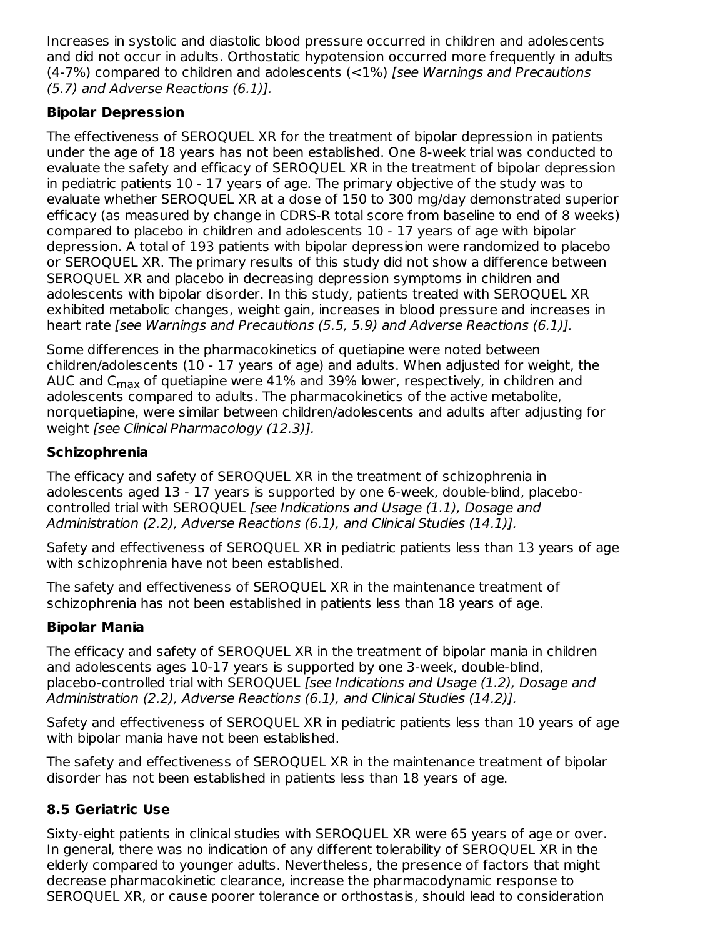Increases in systolic and diastolic blood pressure occurred in children and adolescents and did not occur in adults. Orthostatic hypotension occurred more frequently in adults (4-7%) compared to children and adolescents (<1%) [see Warnings and Precautions (5.7) and Adverse Reactions (6.1)].

## **Bipolar Depression**

The effectiveness of SEROQUEL XR for the treatment of bipolar depression in patients under the age of 18 years has not been established. One 8-week trial was conducted to evaluate the safety and efficacy of SEROQUEL XR in the treatment of bipolar depression in pediatric patients 10 - 17 years of age. The primary objective of the study was to evaluate whether SEROQUEL XR at a dose of 150 to 300 mg/day demonstrated superior efficacy (as measured by change in CDRS-R total score from baseline to end of 8 weeks) compared to placebo in children and adolescents 10 - 17 years of age with bipolar depression. A total of 193 patients with bipolar depression were randomized to placebo or SEROQUEL XR. The primary results of this study did not show a difference between SEROQUEL XR and placebo in decreasing depression symptoms in children and adolescents with bipolar disorder. In this study, patients treated with SEROQUEL XR exhibited metabolic changes, weight gain, increases in blood pressure and increases in heart rate [see Warnings and Precautions (5.5, 5.9) and Adverse Reactions (6.1)].

Some differences in the pharmacokinetics of quetiapine were noted between children/adolescents (10 - 17 years of age) and adults. When adjusted for weight, the AUC and C $_{\sf max}$  of quetiapine were 41% and 39% lower, respectively, in children and adolescents compared to adults. The pharmacokinetics of the active metabolite, norquetiapine, were similar between children/adolescents and adults after adjusting for weight [see Clinical Pharmacology (12.3)].

# **Schizophrenia**

The efficacy and safety of SEROQUEL XR in the treatment of schizophrenia in adolescents aged 13 - 17 years is supported by one 6-week, double-blind, placebocontrolled trial with SEROQUEL [see Indications and Usage (1.1), Dosage and Administration (2.2), Adverse Reactions (6.1), and Clinical Studies (14.1)].

Safety and effectiveness of SEROQUEL XR in pediatric patients less than 13 years of age with schizophrenia have not been established.

The safety and effectiveness of SEROQUEL XR in the maintenance treatment of schizophrenia has not been established in patients less than 18 years of age.

# **Bipolar Mania**

The efficacy and safety of SEROQUEL XR in the treatment of bipolar mania in children and adolescents ages 10-17 years is supported by one 3-week, double-blind, placebo-controlled trial with SEROQUEL [see Indications and Usage (1.2), Dosage and Administration (2.2), Adverse Reactions (6.1), and Clinical Studies (14.2)].

Safety and effectiveness of SEROQUEL XR in pediatric patients less than 10 years of age with bipolar mania have not been established.

The safety and effectiveness of SEROQUEL XR in the maintenance treatment of bipolar disorder has not been established in patients less than 18 years of age.

# **8.5 Geriatric Use**

Sixty-eight patients in clinical studies with SEROQUEL XR were 65 years of age or over. In general, there was no indication of any different tolerability of SEROQUEL XR in the elderly compared to younger adults. Nevertheless, the presence of factors that might decrease pharmacokinetic clearance, increase the pharmacodynamic response to SEROQUEL XR, or cause poorer tolerance or orthostasis, should lead to consideration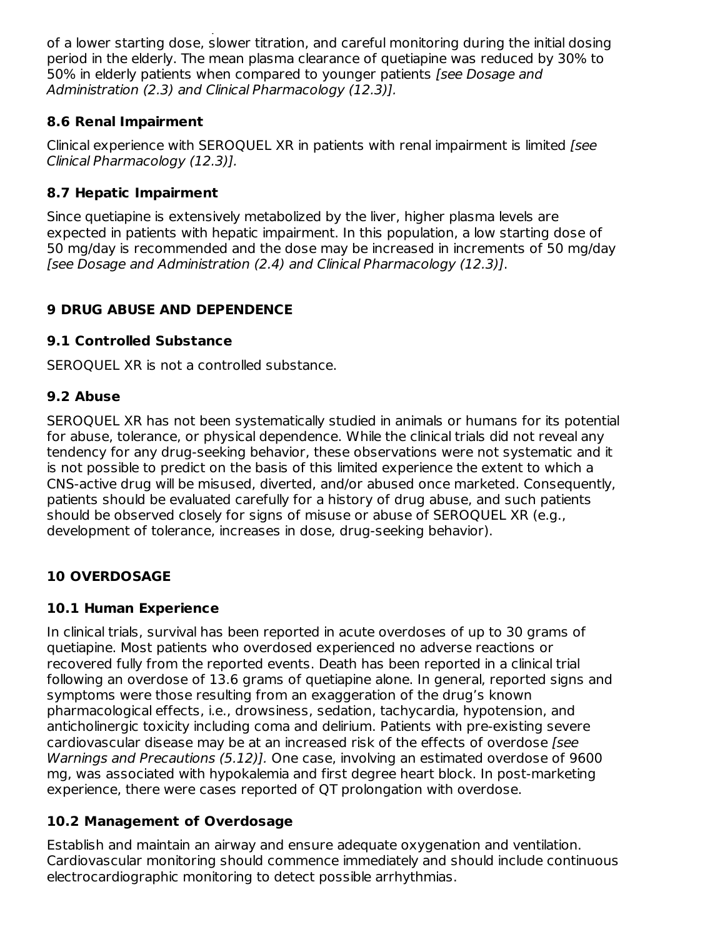$S_{\rm C}$  , or cause poor cause poor cause poor cause poor or or orthostasis, should lead to consideration  $\alpha$ of a lower starting dose, slower titration, and careful monitoring during the initial dosing period in the elderly. The mean plasma clearance of quetiapine was reduced by 30% to 50% in elderly patients when compared to younger patients [see Dosage and Administration (2.3) and Clinical Pharmacology (12.3)].

## **8.6 Renal Impairment**

Clinical experience with SEROQUEL XR in patients with renal impairment is limited [see Clinical Pharmacology (12.3)].

## **8.7 Hepatic Impairment**

Since quetiapine is extensively metabolized by the liver, higher plasma levels are expected in patients with hepatic impairment. In this population, a low starting dose of 50 mg/day is recommended and the dose may be increased in increments of 50 mg/day [see Dosage and Administration (2.4) and Clinical Pharmacology (12.3)].

# **9 DRUG ABUSE AND DEPENDENCE**

## **9.1 Controlled Substance**

SEROQUEL XR is not a controlled substance.

## **9.2 Abuse**

SEROQUEL XR has not been systematically studied in animals or humans for its potential for abuse, tolerance, or physical dependence. While the clinical trials did not reveal any tendency for any drug-seeking behavior, these observations were not systematic and it is not possible to predict on the basis of this limited experience the extent to which a CNS-active drug will be misused, diverted, and/or abused once marketed. Consequently, patients should be evaluated carefully for a history of drug abuse, and such patients should be observed closely for signs of misuse or abuse of SEROQUEL XR (e.g., development of tolerance, increases in dose, drug-seeking behavior).

# **10 OVERDOSAGE**

## **10.1 Human Experience**

In clinical trials, survival has been reported in acute overdoses of up to 30 grams of quetiapine. Most patients who overdosed experienced no adverse reactions or recovered fully from the reported events. Death has been reported in a clinical trial following an overdose of 13.6 grams of quetiapine alone. In general, reported signs and symptoms were those resulting from an exaggeration of the drug's known pharmacological effects, i.e., drowsiness, sedation, tachycardia, hypotension, and anticholinergic toxicity including coma and delirium. Patients with pre-existing severe cardiovascular disease may be at an increased risk of the effects of overdose [see Warnings and Precautions (5.12)]. One case, involving an estimated overdose of 9600 mg, was associated with hypokalemia and first degree heart block. In post-marketing experience, there were cases reported of QT prolongation with overdose.

# **10.2 Management of Overdosage**

Establish and maintain an airway and ensure adequate oxygenation and ventilation. Cardiovascular monitoring should commence immediately and should include continuous electrocardiographic monitoring to detect possible arrhythmias.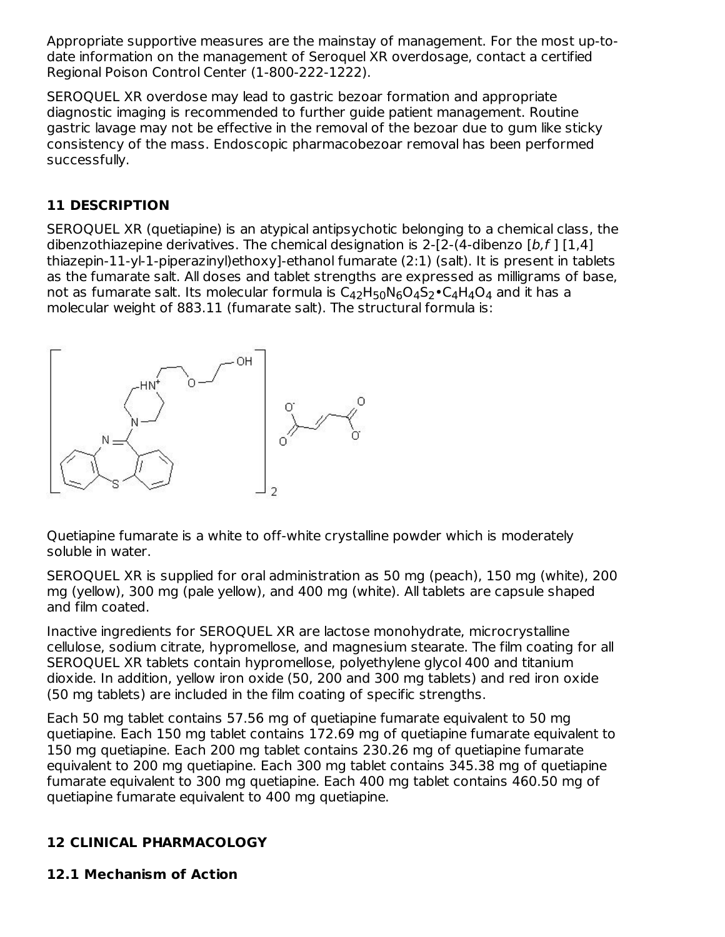Appropriate supportive measures are the mainstay of management. For the most up-todate information on the management of Seroquel XR overdosage, contact a certified Regional Poison Control Center (1-800-222-1222).

SEROQUEL XR overdose may lead to gastric bezoar formation and appropriate diagnostic imaging is recommended to further guide patient management. Routine gastric lavage may not be effective in the removal of the bezoar due to gum like sticky consistency of the mass. Endoscopic pharmacobezoar removal has been performed successfully.

## **11 DESCRIPTION**

SEROQUEL XR (quetiapine) is an atypical antipsychotic belonging to a chemical class, the dibenzothiazepine derivatives. The chemical designation is  $2-[2-(4-dibenzo [b,f] [1,4]]$ thiazepin-11-yl-1-piperazinyl)ethoxy]-ethanol fumarate (2:1) (salt). It is present in tablets as the fumarate salt. All doses and tablet strengths are expressed as milligrams of base, not as fumarate salt. Its molecular formula is  $\mathsf{C}_{42}\mathsf{H}_{50}\mathsf{N}_{6}\mathsf{O}_{4}\mathsf{S}_{2}\bullet\mathsf{C}_{4}\mathsf{H}_{4}\mathsf{O}_{4}$  and it has a molecular weight of 883.11 (fumarate salt). The structural formula is:



Quetiapine fumarate is a white to off-white crystalline powder which is moderately soluble in water.

SEROQUEL XR is supplied for oral administration as 50 mg (peach), 150 mg (white), 200 mg (yellow), 300 mg (pale yellow), and 400 mg (white). All tablets are capsule shaped and film coated.

Inactive ingredients for SEROQUEL XR are lactose monohydrate, microcrystalline cellulose, sodium citrate, hypromellose, and magnesium stearate. The film coating for all SEROQUEL XR tablets contain hypromellose, polyethylene glycol 400 and titanium dioxide. In addition, yellow iron oxide (50, 200 and 300 mg tablets) and red iron oxide (50 mg tablets) are included in the film coating of specific strengths.

Each 50 mg tablet contains 57.56 mg of quetiapine fumarate equivalent to 50 mg quetiapine. Each 150 mg tablet contains 172.69 mg of quetiapine fumarate equivalent to 150 mg quetiapine. Each 200 mg tablet contains 230.26 mg of quetiapine fumarate equivalent to 200 mg quetiapine. Each 300 mg tablet contains 345.38 mg of quetiapine fumarate equivalent to 300 mg quetiapine. Each 400 mg tablet contains 460.50 mg of quetiapine fumarate equivalent to 400 mg quetiapine.

# **12 CLINICAL PHARMACOLOGY**

## **12.1 Mechanism of Action**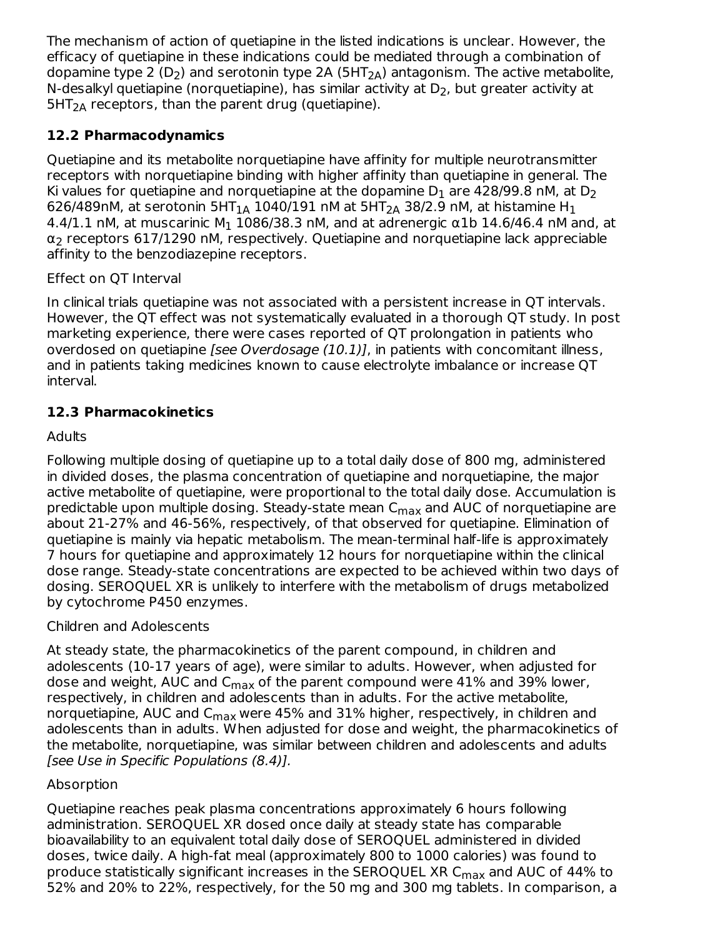The mechanism of action of quetiapine in the listed indications is unclear. However, the efficacy of quetiapine in these indications could be mediated through a combination of dopamine type 2 (D<sub>2</sub>) and serotonin type 2A (5HT<sub>2A</sub>) antagonism. The active metabolite, N-desalkyl quetiapine (norquetiapine), has similar activity at  $\mathsf{D}_2$ , but greater activity at  $5HT<sub>2A</sub>$  receptors, than the parent drug (quetiapine).

# **12.2 Pharmacodynamics**

Quetiapine and its metabolite norquetiapine have affinity for multiple neurotransmitter receptors with norquetiapine binding with higher affinity than quetiapine in general. The Ki values for quetiapine and norquetiapine at the dopamine D $_{\rm 1}$  are 428/99.8 nM, at D $_{\rm 2}$ 626/489nM, at serotonin 5HT $_{\rm 1A}$  1040/191 nM at 5HT $_{\rm 2A}$  38/2.9 nM, at histamine H $_{\rm 1}$ 4.4/1.1 nM, at muscarinic M $_1$  1086/38.3 nM, and at adrenergic α1b 14.6/46.4 nM and, at  $\alpha_2$  receptors 617/1290 nM, respectively. Quetiapine and norquetiapine lack appreciable affinity to the benzodiazepine receptors.

# Effect on QT Interval

In clinical trials quetiapine was not associated with a persistent increase in QT intervals. However, the QT effect was not systematically evaluated in a thorough QT study. In post marketing experience, there were cases reported of QT prolongation in patients who overdosed on quetiapine [see Overdosage (10.1)], in patients with concomitant illness, and in patients taking medicines known to cause electrolyte imbalance or increase QT interval.

# **12.3 Pharmacokinetics**

# Adults

Following multiple dosing of quetiapine up to a total daily dose of 800 mg, administered in divided doses, the plasma concentration of quetiapine and norquetiapine, the major active metabolite of quetiapine, were proportional to the total daily dose. Accumulation is predictable upon multiple dosing. Steady-state mean C<sub>max</sub> and AUC of norquetiapine are about 21-27% and 46-56%, respectively, of that observed for quetiapine. Elimination of quetiapine is mainly via hepatic metabolism. The mean-terminal half-life is approximately 7 hours for quetiapine and approximately 12 hours for norquetiapine within the clinical dose range. Steady-state concentrations are expected to be achieved within two days of dosing. SEROQUEL XR is unlikely to interfere with the metabolism of drugs metabolized by cytochrome P450 enzymes.

# Children and Adolescents

At steady state, the pharmacokinetics of the parent compound, in children and adolescents (10-17 years of age), were similar to adults. However, when adjusted for dose and weight, AUC and C<sub>max</sub> of the parent compound were 41% and 39% lower, respectively, in children and adolescents than in adults. For the active metabolite, norquetiapine, AUC and C<sub>max</sub> were 45% and 31% higher, respectively, in children and adolescents than in adults. When adjusted for dose and weight, the pharmacokinetics of the metabolite, norquetiapine, was similar between children and adolescents and adults [see Use in Specific Populations (8.4)].

# Absorption

Quetiapine reaches peak plasma concentrations approximately 6 hours following administration. SEROQUEL XR dosed once daily at steady state has comparable bioavailability to an equivalent total daily dose of SEROQUEL administered in divided doses, twice daily. A high-fat meal (approximately 800 to 1000 calories) was found to produce statistically significant increases in the SEROQUEL XR C<sub>max</sub> and AUC of 44% to 52% and 20% to 22%, respectively, for the 50 mg and 300 mg tablets. In comparison, a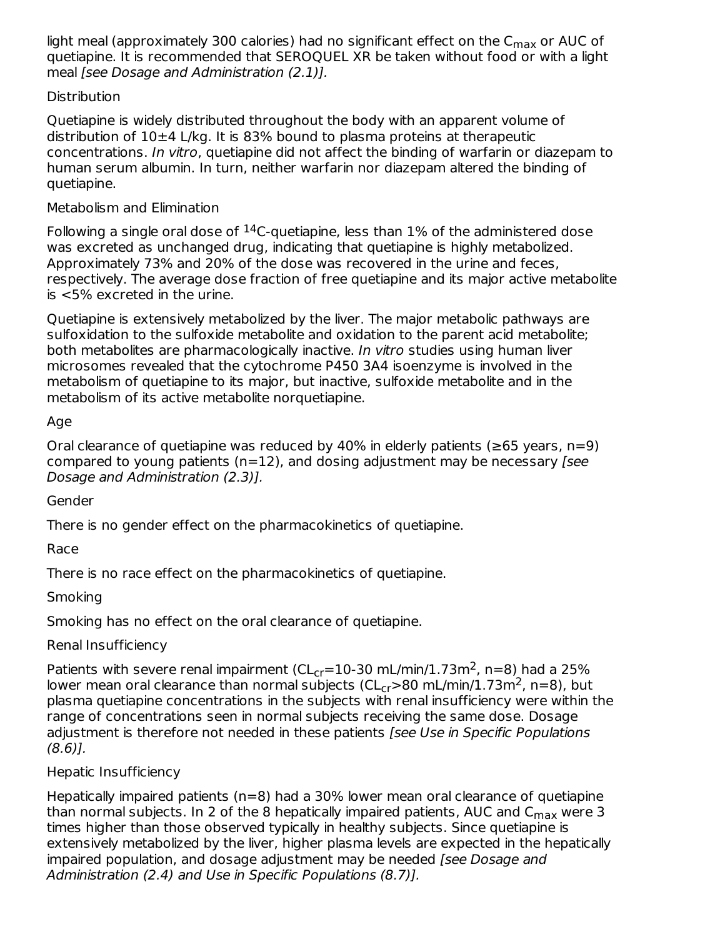light meal (approximately 300 calories) had no significant effect on the C<sub>max</sub> or AUC of quetiapine. It is recommended that SEROQUEL XR be taken without food or with a light meal [see Dosage and Administration (2.1)].

#### **Distribution**

Quetiapine is widely distributed throughout the body with an apparent volume of distribution of 10±4 L/kg. It is 83% bound to plasma proteins at therapeutic concentrations. In vitro, quetiapine did not affect the binding of warfarin or diazepam to human serum albumin. In turn, neither warfarin nor diazepam altered the binding of quetiapine.

#### Metabolism and Elimination

Following a single oral dose of  $14C$ -quetiapine, less than 1% of the administered dose was excreted as unchanged drug, indicating that quetiapine is highly metabolized. Approximately 73% and 20% of the dose was recovered in the urine and feces, respectively. The average dose fraction of free quetiapine and its major active metabolite is <5% excreted in the urine.

Quetiapine is extensively metabolized by the liver. The major metabolic pathways are sulfoxidation to the sulfoxide metabolite and oxidation to the parent acid metabolite; both metabolites are pharmacologically inactive. In vitro studies using human liver microsomes revealed that the cytochrome P450 3A4 isoenzyme is involved in the metabolism of quetiapine to its major, but inactive, sulfoxide metabolite and in the metabolism of its active metabolite norquetiapine.

#### Age

Oral clearance of quetiapine was reduced by 40% in elderly patients ( $\geq 65$  years, n=9) compared to young patients ( $n=12$ ), and dosing adjustment may be necessary [see Dosage and Administration (2.3)].

Gender

There is no gender effect on the pharmacokinetics of quetiapine.

Race

There is no race effect on the pharmacokinetics of quetiapine.

Smoking

Smoking has no effect on the oral clearance of quetiapine.

Renal Insufficiency

Patients with severe renal impairment ( $CL_{cr}$ =10-30 mL/min/1.73m<sup>2</sup>, n=8) had a 25% lower mean oral clearance than normal subjects (CL<sub>cr</sub>>80 mL/min/1.73m<sup>2</sup>, n=8), but plasma quetiapine concentrations in the subjects with renal insufficiency were within the range of concentrations seen in normal subjects receiving the same dose. Dosage adjustment is therefore not needed in these patients [see Use in Specific Populations  $(8.6)$ ].

## Hepatic Insufficiency

Hepatically impaired patients  $(n=8)$  had a 30% lower mean oral clearance of quetiapine than normal subjects. In 2 of the 8 hepatically impaired patients, AUC and C<sub>max</sub> were 3 times higher than those observed typically in healthy subjects. Since quetiapine is extensively metabolized by the liver, higher plasma levels are expected in the hepatically impaired population, and dosage adjustment may be needed *[see Dosage and* Administration (2.4) and Use in Specific Populations (8.7)].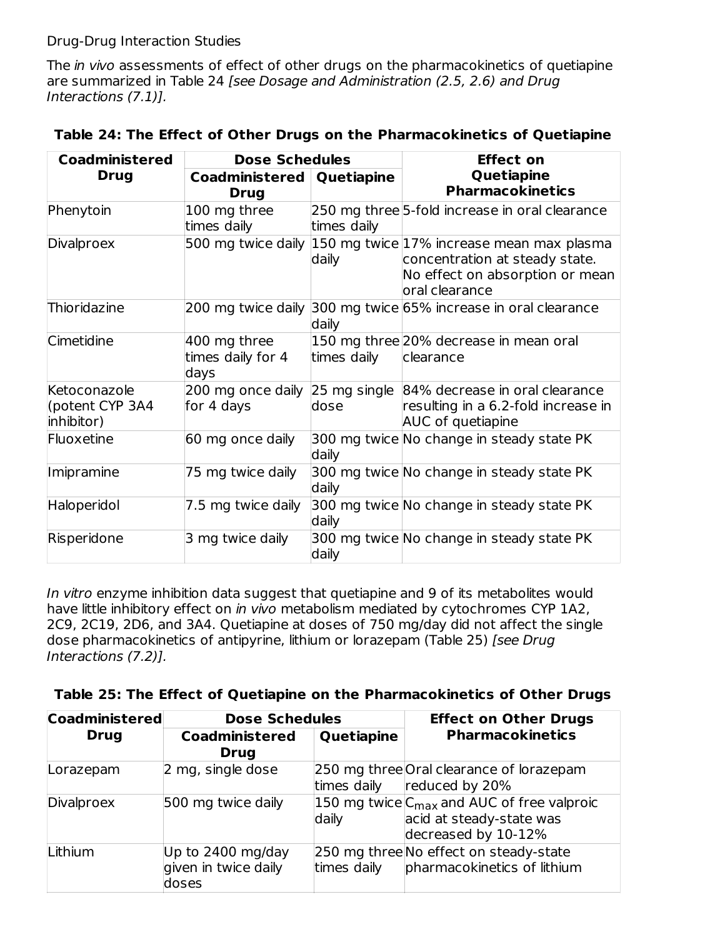#### Drug-Drug Interaction Studies

The in vivo assessments of effect of other drugs on the pharmacokinetics of quetiapine are summarized in Table 24 [see Dosage and Administration (2.5, 2.6) and Drug Interactions (7.1)].

| <b>Coadministered</b>                         | <b>Dose Schedules</b>                     |             | <b>Effect on</b>                                                                                                                  |
|-----------------------------------------------|-------------------------------------------|-------------|-----------------------------------------------------------------------------------------------------------------------------------|
| <b>Drug</b>                                   | <b>Coadministered</b><br><b>Drug</b>      | Quetiapine  | Quetiapine<br><b>Pharmacokinetics</b>                                                                                             |
| Phenytoin                                     | 100 mg three<br>times daily               | times daily | 250 mg three 5-fold increase in oral clearance                                                                                    |
| Divalproex                                    | 500 mg twice daily                        | daily       | 150 mg twice 17% increase mean max plasma<br>concentration at steady state.<br>No effect on absorption or mean<br>loral clearance |
| Thioridazine                                  | 200 mg twice daily                        | daily       | 300 mg twice 65% increase in oral clearance                                                                                       |
| Cimetidine                                    | 400 mg three<br>times daily for 4<br>days | times daily | 150 mg three 20% decrease in mean oral<br>clearance                                                                               |
| Ketoconazole<br>(potent CYP 3A4<br>inhibitor) | for 4 days                                | dose        | 200 mg once daily 25 mg single 84% decrease in oral clearance<br>resulting in a 6.2-fold increase in<br>AUC of quetiapine         |
| Fluoxetine                                    | 60 mg once daily                          | daily       | 300 mg twice No change in steady state PK                                                                                         |
| Imipramine                                    | 75 mg twice daily                         | daily       | 300 mg twice No change in steady state PK                                                                                         |
| Haloperidol                                   | 7.5 mg twice daily                        | daily       | 300 mg twice No change in steady state PK                                                                                         |
| Risperidone                                   | 3 mg twice daily                          | daily       | 300 mg twice No change in steady state PK                                                                                         |

| Table 24: The Effect of Other Drugs on the Pharmacokinetics of Quetiapine |
|---------------------------------------------------------------------------|
|---------------------------------------------------------------------------|

In vitro enzyme inhibition data suggest that quetiapine and 9 of its metabolites would have little inhibitory effect on in vivo metabolism mediated by cytochromes CYP 1A2, 2C9, 2C19, 2D6, and 3A4. Quetiapine at doses of 750 mg/day did not affect the single dose pharmacokinetics of antipyrine, lithium or lorazepam (Table 25) [see Drug Interactions (7.2)].

|  |  | Table 25: The Effect of Quetiapine on the Pharmacokinetics of Other Drugs |  |
|--|--|---------------------------------------------------------------------------|--|
|--|--|---------------------------------------------------------------------------|--|

| <b>Coadministered</b> | <b>Dose Schedules</b>                              |             | <b>Effect on Other Drugs</b>                                                                              |  |
|-----------------------|----------------------------------------------------|-------------|-----------------------------------------------------------------------------------------------------------|--|
| <b>Drug</b>           | <b>Coadministered</b><br><b>Drug</b>               | Quetiapine  | <b>Pharmacokinetics</b>                                                                                   |  |
| Lorazepam             | 2 mg, single dose                                  | times daily | 250 mg three Oral clearance of lorazepam<br>reduced by 20%                                                |  |
| Divalproex            | 500 mg twice daily                                 | daily       | 150 mg twice $C_{\text{max}}$ and AUC of free valproic<br>acid at steady-state was<br>decreased by 10-12% |  |
| Lithium               | Up to 2400 mg/day<br>given in twice daily<br>doses | times daily | 250 mg three No effect on steady-state<br>pharmacokinetics of lithium                                     |  |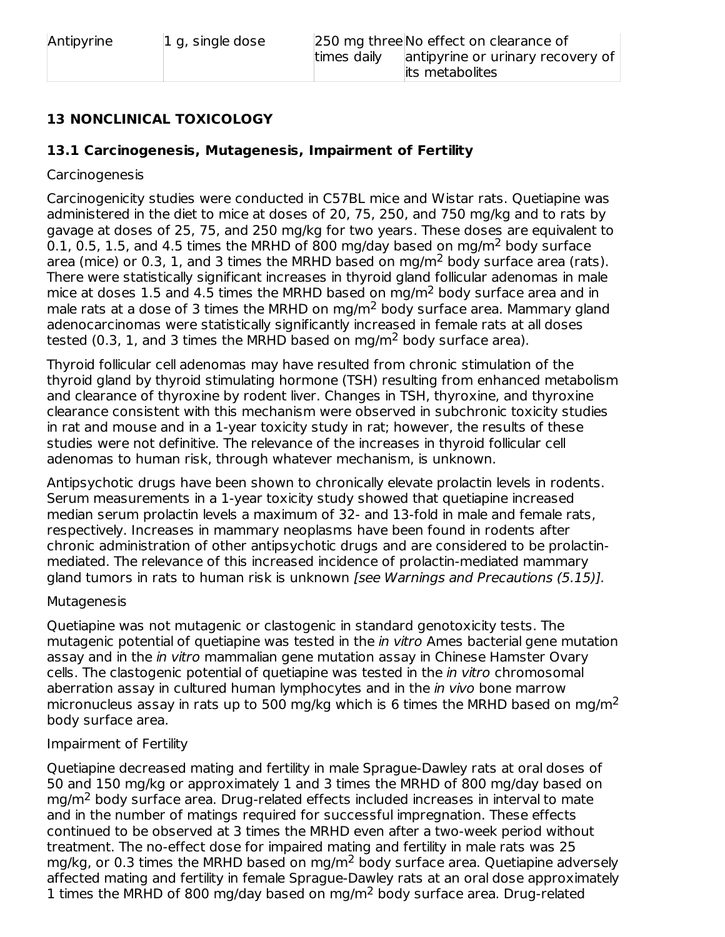# **13 NONCLINICAL TOXICOLOGY**

## **13.1 Carcinogenesis, Mutagenesis, Impairment of Fertility**

#### **Carcinogenesis**

Carcinogenicity studies were conducted in C57BL mice and Wistar rats. Quetiapine was administered in the diet to mice at doses of 20, 75, 250, and 750 mg/kg and to rats by gavage at doses of 25, 75, and 250 mg/kg for two years. These doses are equivalent to 0.1, 0.5, 1.5, and 4.5 times the MRHD of 800 mg/day based on mg/m<sup>2</sup> body surface area (mice) or 0.3, 1, and 3 times the MRHD based on mg/m<sup>2</sup> body surface area (rats). There were statistically significant increases in thyroid gland follicular adenomas in male mice at doses 1.5 and 4.5 times the MRHD based on mg/m<sup>2</sup> body surface area and in male rats at a dose of 3 times the MRHD on mg/m<sup>2</sup> body surface area. Mammary gland adenocarcinomas were statistically significantly increased in female rats at all doses tested (0.3, 1, and 3 times the MRHD based on mg/m<sup>2</sup> body surface area).

Thyroid follicular cell adenomas may have resulted from chronic stimulation of the thyroid gland by thyroid stimulating hormone (TSH) resulting from enhanced metabolism and clearance of thyroxine by rodent liver. Changes in TSH, thyroxine, and thyroxine clearance consistent with this mechanism were observed in subchronic toxicity studies in rat and mouse and in a 1-year toxicity study in rat; however, the results of these studies were not definitive. The relevance of the increases in thyroid follicular cell adenomas to human risk, through whatever mechanism, is unknown.

Antipsychotic drugs have been shown to chronically elevate prolactin levels in rodents. Serum measurements in a 1-year toxicity study showed that quetiapine increased median serum prolactin levels a maximum of 32- and 13-fold in male and female rats, respectively. Increases in mammary neoplasms have been found in rodents after chronic administration of other antipsychotic drugs and are considered to be prolactinmediated. The relevance of this increased incidence of prolactin-mediated mammary gland tumors in rats to human risk is unknown *[see Warnings and Precautions (5.15)]*.

#### **Mutagenesis**

Quetiapine was not mutagenic or clastogenic in standard genotoxicity tests. The mutagenic potential of quetiapine was tested in the *in vitro* Ames bacterial gene mutation assay and in the in vitro mammalian gene mutation assay in Chinese Hamster Ovary cells. The clastogenic potential of quetiapine was tested in the in vitro chromosomal aberration assay in cultured human lymphocytes and in the *in vivo* bone marrow micronucleus assay in rats up to 500 mg/kg which is 6 times the MRHD based on mg/m<sup>2</sup> body surface area.

## Impairment of Fertility

Quetiapine decreased mating and fertility in male Sprague-Dawley rats at oral doses of 50 and 150 mg/kg or approximately 1 and 3 times the MRHD of 800 mg/day based on mg/m<sup>2</sup> body surface area. Drug-related effects included increases in interval to mate and in the number of matings required for successful impregnation. These effects continued to be observed at 3 times the MRHD even after a two-week period without treatment. The no-effect dose for impaired mating and fertility in male rats was 25 mg/kg, or 0.3 times the MRHD based on mg/m<sup>2</sup> body surface area. Quetiapine adversely affected mating and fertility in female Sprague-Dawley rats at an oral dose approximately 1 times the MRHD of 800 mg/day based on mg/m<sup>2</sup> body surface area. Drug-related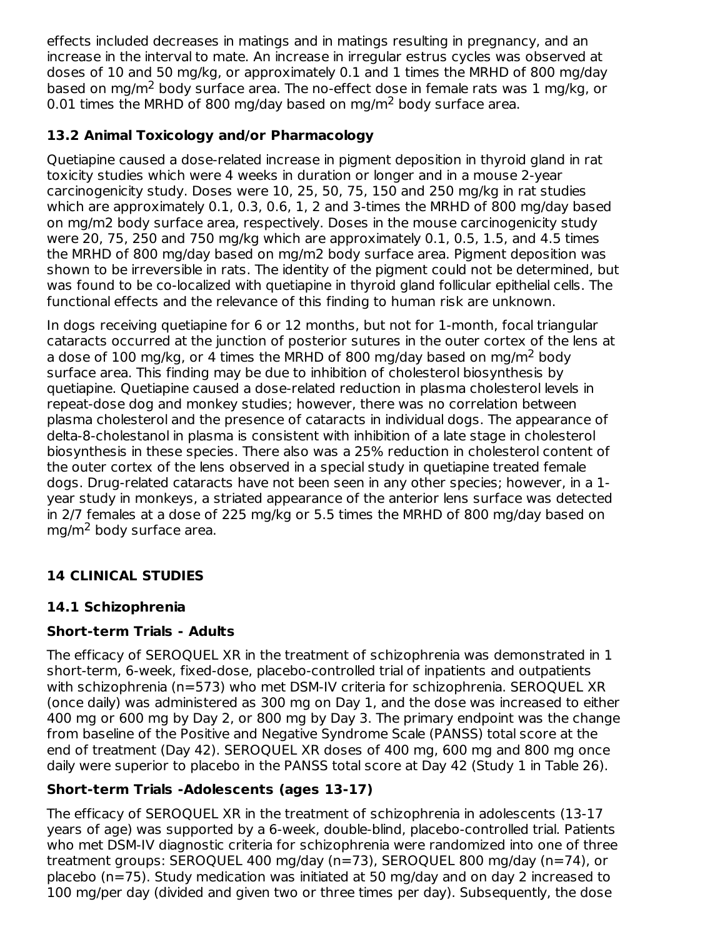effects included decreases in matings and in matings resulting in pregnancy, and an increase in the interval to mate. An increase in irregular estrus cycles was observed at doses of 10 and 50 mg/kg, or approximately 0.1 and 1 times the MRHD of 800 mg/day based on mg/m<sup>2</sup> body surface area. The no-effect dose in female rats was 1 mg/kg, or 0.01 times the MRHD of 800 mg/day based on mg/m<sup>2</sup> body surface area.

## **13.2 Animal Toxicology and/or Pharmacology**

Quetiapine caused a dose-related increase in pigment deposition in thyroid gland in rat toxicity studies which were 4 weeks in duration or longer and in a mouse 2-year carcinogenicity study. Doses were 10, 25, 50, 75, 150 and 250 mg/kg in rat studies which are approximately 0.1, 0.3, 0.6, 1, 2 and 3-times the MRHD of 800 mg/day based on mg/m2 body surface area, respectively. Doses in the mouse carcinogenicity study were 20, 75, 250 and 750 mg/kg which are approximately 0.1, 0.5, 1.5, and 4.5 times the MRHD of 800 mg/day based on mg/m2 body surface area. Pigment deposition was shown to be irreversible in rats. The identity of the pigment could not be determined, but was found to be co-localized with quetiapine in thyroid gland follicular epithelial cells. The functional effects and the relevance of this finding to human risk are unknown.

In dogs receiving quetiapine for 6 or 12 months, but not for 1-month, focal triangular cataracts occurred at the junction of posterior sutures in the outer cortex of the lens at a dose of 100 mg/kg, or 4 times the MRHD of 800 mg/day based on mg/m<sup>2</sup> body surface area. This finding may be due to inhibition of cholesterol biosynthesis by quetiapine. Quetiapine caused a dose-related reduction in plasma cholesterol levels in repeat-dose dog and monkey studies; however, there was no correlation between plasma cholesterol and the presence of cataracts in individual dogs. The appearance of delta-8-cholestanol in plasma is consistent with inhibition of a late stage in cholesterol biosynthesis in these species. There also was a 25% reduction in cholesterol content of the outer cortex of the lens observed in a special study in quetiapine treated female dogs. Drug-related cataracts have not been seen in any other species; however, in a 1 year study in monkeys, a striated appearance of the anterior lens surface was detected in 2/7 females at a dose of 225 mg/kg or 5.5 times the MRHD of 800 mg/day based on mg/m<sup>2</sup> body surface area.

# **14 CLINICAL STUDIES**

# **14.1 Schizophrenia**

# **Short-term Trials - Adults**

The efficacy of SEROQUEL XR in the treatment of schizophrenia was demonstrated in 1 short-term, 6-week, fixed-dose, placebo-controlled trial of inpatients and outpatients with schizophrenia (n=573) who met DSM-IV criteria for schizophrenia. SEROQUEL XR (once daily) was administered as 300 mg on Day 1, and the dose was increased to either 400 mg or 600 mg by Day 2, or 800 mg by Day 3. The primary endpoint was the change from baseline of the Positive and Negative Syndrome Scale (PANSS) total score at the end of treatment (Day 42). SEROQUEL XR doses of 400 mg, 600 mg and 800 mg once daily were superior to placebo in the PANSS total score at Day 42 (Study 1 in Table 26).

# **Short-term Trials -Adolescents (ages 13-17)**

The efficacy of SEROQUEL XR in the treatment of schizophrenia in adolescents (13-17 years of age) was supported by a 6-week, double-blind, placebo-controlled trial. Patients who met DSM-IV diagnostic criteria for schizophrenia were randomized into one of three treatment groups: SEROQUEL 400 mg/day (n=73), SEROQUEL 800 mg/day (n=74), or placebo (n=75). Study medication was initiated at 50 mg/day and on day 2 increased to 100 mg/per day (divided and given two or three times per day). Subsequently, the dose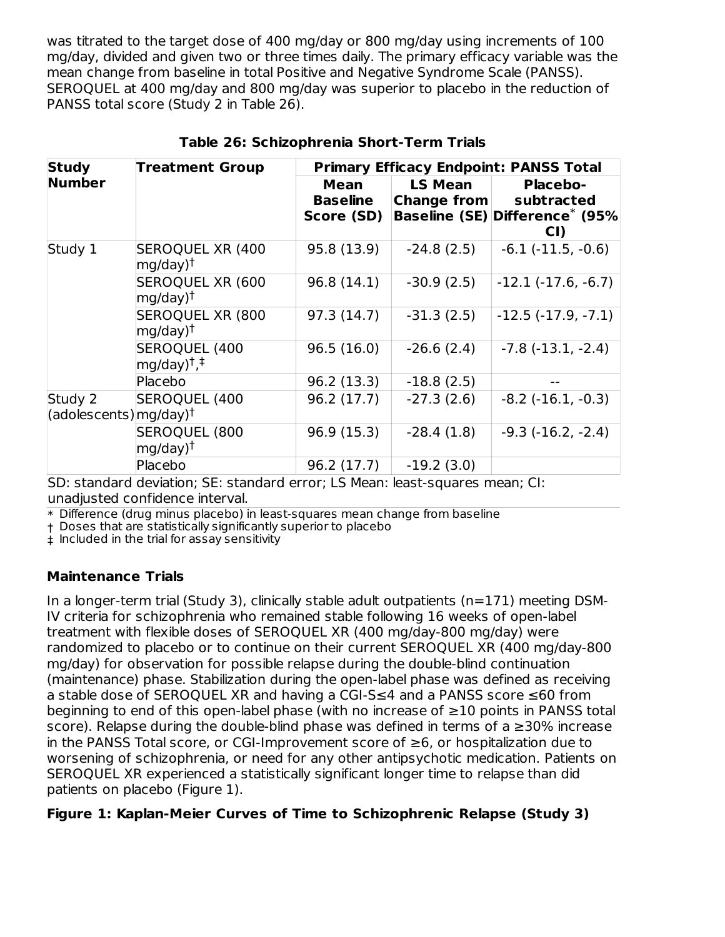was titrated to the target dose of 400 mg/day or 800 mg/day using increments of 100 mg/day, divided and given two or three times daily. The primary efficacy variable was the mean change from baseline in total Positive and Negative Syndrome Scale (PANSS). SEROQUEL at 400 mg/day and 800 mg/day was superior to placebo in the reduction of PANSS total score (Study 2 in Table 26).

| <b>Study</b>                                   | <b>Treatment Group</b>                                |                                       | <b>Primary Efficacy Endpoint: PANSS Total</b> |                                                                                    |  |  |
|------------------------------------------------|-------------------------------------------------------|---------------------------------------|-----------------------------------------------|------------------------------------------------------------------------------------|--|--|
| <b>Number</b>                                  |                                                       | Mean<br><b>Baseline</b><br>Score (SD) | <b>LS Mean</b><br>Change from                 | <b>Placebo-</b><br>subtracted<br>Baseline (SE) Difference <sup>*</sup> (95%<br>CI) |  |  |
| Study 1                                        | <b>SEROQUEL XR (400</b><br>mg/day) <sup>†</sup>       | 95.8 (13.9)                           | $-24.8(2.5)$                                  | $-6.1$ $(-11.5, -0.6)$                                                             |  |  |
|                                                | <b>SEROQUEL XR (600</b><br>mg/day) <sup>†</sup>       | 96.8(14.1)                            | $-30.9(2.5)$                                  | $-12.1$ $(-17.6, -6.7)$                                                            |  |  |
|                                                | <b>SEROQUEL XR (800</b><br>$mg/day$ <sup>+</sup>      | 97.3 (14.7)                           | $-31.3(2.5)$                                  | $-12.5$ $(-17.9, -7.1)$                                                            |  |  |
|                                                | <b>SEROQUEL (400</b><br>$mg/day$ <sup>+</sup> , $p^*$ | 96.5(16.0)                            | $-26.6(2.4)$                                  | $-7.8$ $(-13.1, -2.4)$                                                             |  |  |
|                                                | Placebo                                               | 96.2(13.3)                            | $-18.8(2.5)$                                  |                                                                                    |  |  |
| Study 2<br>(adolescents) $mg/day$ <sup>+</sup> | SEROQUEL (400                                         | 96.2 (17.7)                           | $-27.3(2.6)$                                  | $-8.2$ $(-16.1, -0.3)$                                                             |  |  |
|                                                | <b>SEROQUEL (800</b><br>$mg/day$ <sup>+</sup>         | 96.9(15.3)                            | $-28.4(1.8)$                                  | $-9.3$ ( $-16.2$ , $-2.4$ )                                                        |  |  |
|                                                | Placebo                                               | 96.2 (17.7)                           | $-19.2(3.0)$                                  |                                                                                    |  |  |

#### **Table 26: Schizophrenia Short-Term Trials**

SD: standard deviation; SE: standard error; LS Mean: least-squares mean; CI: unadjusted confidence interval.

\* Difference (drug minus placebo) in least-squares mean change from baseline

† Doses that are statistically significantly superior to placebo

‡ Included in the trial for assay sensitivity

#### **Maintenance Trials**

In a longer-term trial (Study 3), clinically stable adult outpatients (n=171) meeting DSM-IV criteria for schizophrenia who remained stable following 16 weeks of open-label treatment with flexible doses of SEROQUEL XR (400 mg/day-800 mg/day) were randomized to placebo or to continue on their current SEROQUEL XR (400 mg/day-800 mg/day) for observation for possible relapse during the double-blind continuation (maintenance) phase. Stabilization during the open-label phase was defined as receiving a stable dose of SEROQUEL XR and having a CGI-S≤4 and a PANSS score ≤60 from beginning to end of this open-label phase (with no increase of ≥10 points in PANSS total score). Relapse during the double-blind phase was defined in terms of a  $\geq$ 30% increase in the PANSS Total score, or CGI-Improvement score of ≥6, or hospitalization due to worsening of schizophrenia, or need for any other antipsychotic medication. Patients on SEROQUEL XR experienced a statistically significant longer time to relapse than did patients on placebo (Figure 1).

## **Figure 1: Kaplan-Meier Curves of Time to Schizophrenic Relapse (Study 3)**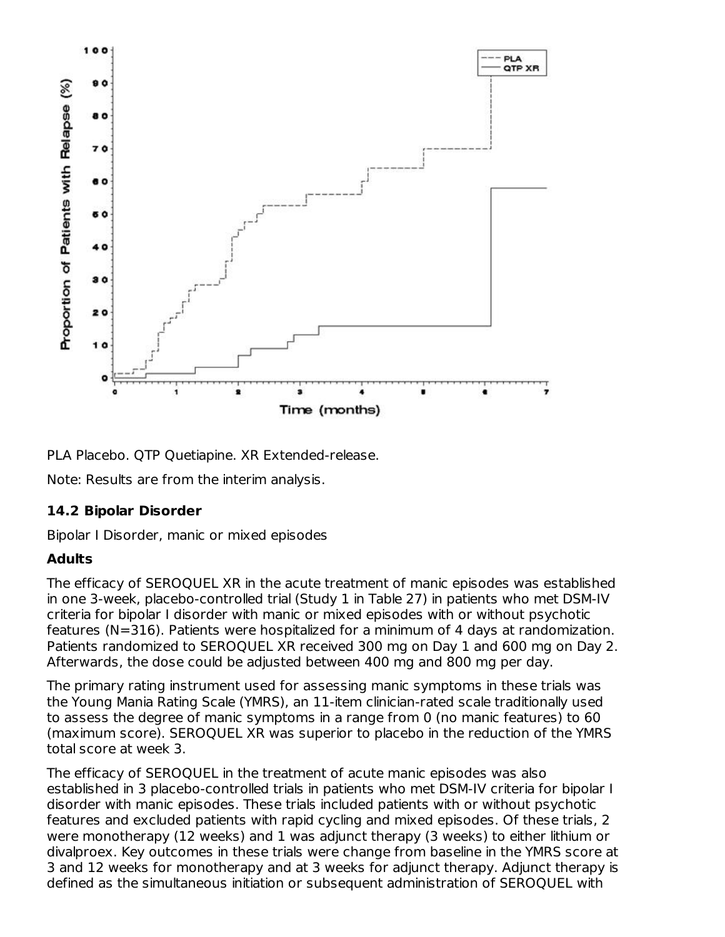

PLA Placebo. QTP Quetiapine. XR Extended-release.

Note: Results are from the interim analysis.

## **14.2 Bipolar Disorder**

Bipolar I Disorder, manic or mixed episodes

## **Adults**

The efficacy of SEROQUEL XR in the acute treatment of manic episodes was established in one 3-week, placebo-controlled trial (Study 1 in Table 27) in patients who met DSM-IV criteria for bipolar I disorder with manic or mixed episodes with or without psychotic features (N=316). Patients were hospitalized for a minimum of 4 days at randomization. Patients randomized to SEROQUEL XR received 300 mg on Day 1 and 600 mg on Day 2. Afterwards, the dose could be adjusted between 400 mg and 800 mg per day.

The primary rating instrument used for assessing manic symptoms in these trials was the Young Mania Rating Scale (YMRS), an 11-item clinician-rated scale traditionally used to assess the degree of manic symptoms in a range from 0 (no manic features) to 60 (maximum score). SEROQUEL XR was superior to placebo in the reduction of the YMRS total score at week 3.

The efficacy of SEROQUEL in the treatment of acute manic episodes was also established in 3 placebo-controlled trials in patients who met DSM-IV criteria for bipolar I disorder with manic episodes. These trials included patients with or without psychotic features and excluded patients with rapid cycling and mixed episodes. Of these trials, 2 were monotherapy (12 weeks) and 1 was adjunct therapy (3 weeks) to either lithium or divalproex. Key outcomes in these trials were change from baseline in the YMRS score at 3 and 12 weeks for monotherapy and at 3 weeks for adjunct therapy. Adjunct therapy is defined as the simultaneous initiation or subsequent administration of SEROQUEL with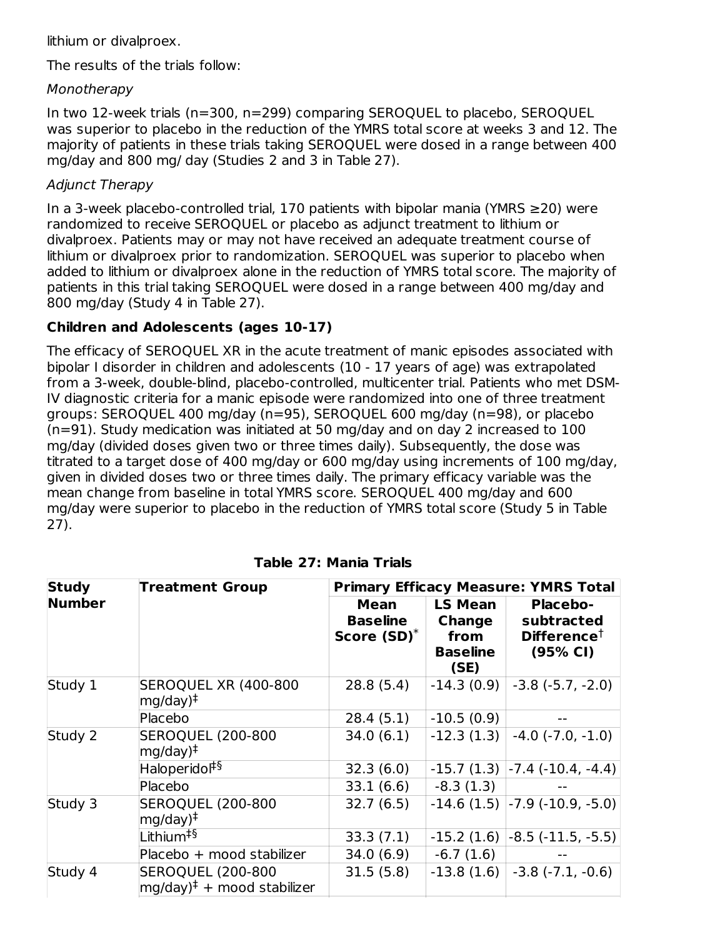lithium or divalproex.

The results of the trials follow:

#### Monotherapy

In two 12-week trials (n=300, n=299) comparing SEROQUEL to placebo, SEROQUEL was superior to placebo in the reduction of the YMRS total score at weeks 3 and 12. The majority of patients in these trials taking SEROQUEL were dosed in a range between 400 mg/day and 800 mg/ day (Studies 2 and 3 in Table 27).

#### Adjunct Therapy

In a 3-week placebo-controlled trial, 170 patients with bipolar mania (YMRS ≥20) were randomized to receive SEROQUEL or placebo as adjunct treatment to lithium or divalproex. Patients may or may not have received an adequate treatment course of lithium or divalproex prior to randomization. SEROQUEL was superior to placebo when added to lithium or divalproex alone in the reduction of YMRS total score. The majority of patients in this trial taking SEROQUEL were dosed in a range between 400 mg/day and 800 mg/day (Study 4 in Table 27).

## **Children and Adolescents (ages 10-17)**

The efficacy of SEROQUEL XR in the acute treatment of manic episodes associated with bipolar I disorder in children and adolescents (10 - 17 years of age) was extrapolated from a 3-week, double-blind, placebo-controlled, multicenter trial. Patients who met DSM-IV diagnostic criteria for a manic episode were randomized into one of three treatment groups: SEROQUEL 400 mg/day (n=95), SEROQUEL 600 mg/day (n=98), or placebo (n=91). Study medication was initiated at 50 mg/day and on day 2 increased to 100 mg/day (divided doses given two or three times daily). Subsequently, the dose was titrated to a target dose of 400 mg/day or 600 mg/day using increments of 100 mg/day, given in divided doses two or three times daily. The primary efficacy variable was the mean change from baseline in total YMRS score. SEROQUEL 400 mg/day and 600 mg/day were superior to placebo in the reduction of YMRS total score (Study 5 in Table 27).

| <b>Study</b> | <b>Treatment Group</b>                                                | <b>Primary Efficacy Measure: YMRS Total</b> |                                                             |                                                                      |  |
|--------------|-----------------------------------------------------------------------|---------------------------------------------|-------------------------------------------------------------|----------------------------------------------------------------------|--|
| Number       |                                                                       | Mean<br><b>Baseline</b><br>Score $(SD)^*$   | <b>LS Mean</b><br>Change<br>from<br><b>Baseline</b><br>(SE) | <b>Placebo-</b><br>subtracted<br>Difference <sup>†</sup><br>(95% CI) |  |
| Study 1      | SEROQUEL XR (400-800<br>$mq/day$ <sup>+</sup>                         | 28.8(5.4)                                   | $-14.3(0.9)$                                                | $-3.8$ $(-5.7, -2.0)$                                                |  |
|              | Placebo                                                               | 28.4(5.1)                                   | $-10.5(0.9)$                                                |                                                                      |  |
| Study 2      | <b>SEROQUEL (200-800</b><br>$mg/day$ <sup><math>\ddagger</math></sup> | 34.0(6.1)                                   | $-12.3(1.3)$                                                | $-4.0$ $(-7.0, -1.0)$                                                |  |
|              | Haloperido#§                                                          | 32.3(6.0)                                   | $-15.7(1.3)$                                                | $-7.4$ $(-10.4, -4.4)$                                               |  |
|              | Placebo                                                               | 33.1(6.6)                                   | $-8.3(1.3)$                                                 |                                                                      |  |
| Study 3      | <b>SEROQUEL (200-800</b><br>$mg/day$ <sup>+</sup>                     | 32.7(6.5)                                   | $-14.6(1.5)$                                                | $-7.9$ $(-10.9, -5.0)$                                               |  |
|              | Lithium <sup><math>#</math>§</sup>                                    | 33.3(7.1)                                   | $-15.2(1.6)$                                                | $-8.5$ ( $-11.5$ , $-5.5$ )                                          |  |
|              | Placebo + mood stabilizer                                             | 34.0 (6.9)                                  | $-6.7(1.6)$                                                 |                                                                      |  |
| Study 4      | <b>SEROQUEL (200-800</b><br>$mg/day$ <sup>+</sup> + mood stabilizer   | 31.5(5.8)                                   | $-13.8(1.6)$                                                | $-3.8$ $(-7.1, -0.6)$                                                |  |

**Table 27: Mania Trials**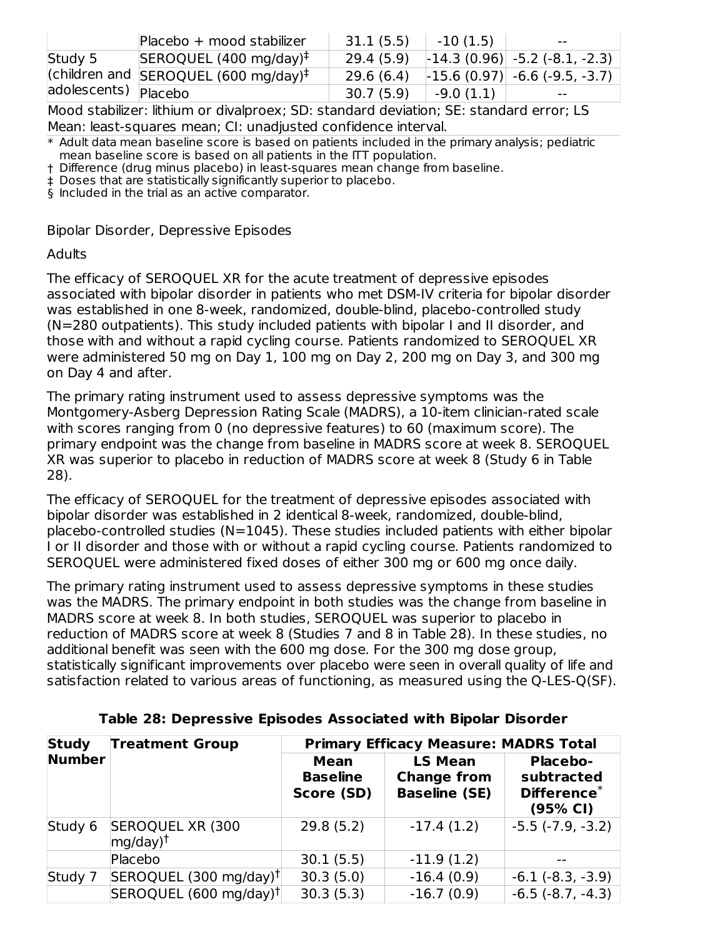|                      | $Placebo + mood stabilizer$                      | 31.1(5.5) | $-10(1.5)$  | $- -$                                          |
|----------------------|--------------------------------------------------|-----------|-------------|------------------------------------------------|
| Study 5              | SEROQUEL $(400 \text{ mg/day})^{\ddagger}$       | 29.4(5.9) |             | $\left  -14.3(0.96) \right $ -5.2 (-8.1, -2.3) |
|                      | (children and SEROQUEL (600 mg/day) <sup>+</sup> | 29.6(6.4) |             | $\vert$ -15.6 (0.97) -6.6 (-9.5, -3.7)         |
| adolescents) Placebo |                                                  | 30.7(5.9) | $-9.0(1.1)$ | $- -$                                          |
|                      | .<br>$ -$                                        |           |             |                                                |

Mood stabilizer: lithium or divalproex; SD: standard deviation; SE: standard error; LS Mean: least-squares mean; CI: unadjusted confidence interval.

\* Adult data mean baseline score is based on patients included in the primary analysis; pediatric mean baseline score is based on all patients in the ITT population.

† Difference (drug minus placebo) in least-squares mean change from baseline.

‡ Doses that are statistically significantly superior to placebo.

§ Included in the trial as an active comparator.

Bipolar Disorder, Depressive Episodes

#### Adults

The efficacy of SEROQUEL XR for the acute treatment of depressive episodes associated with bipolar disorder in patients who met DSM-IV criteria for bipolar disorder was established in one 8-week, randomized, double-blind, placebo-controlled study (N=280 outpatients). This study included patients with bipolar I and II disorder, and those with and without a rapid cycling course. Patients randomized to SEROQUEL XR were administered 50 mg on Day 1, 100 mg on Day 2, 200 mg on Day 3, and 300 mg on Day 4 and after.

The primary rating instrument used to assess depressive symptoms was the Montgomery-Asberg Depression Rating Scale (MADRS), a 10-item clinician-rated scale with scores ranging from 0 (no depressive features) to 60 (maximum score). The primary endpoint was the change from baseline in MADRS score at week 8. SEROQUEL XR was superior to placebo in reduction of MADRS score at week 8 (Study 6 in Table 28).

The efficacy of SEROQUEL for the treatment of depressive episodes associated with bipolar disorder was established in 2 identical 8-week, randomized, double-blind, placebo-controlled studies  $(N=1045)$ . These studies included patients with either bipolar I or II disorder and those with or without a rapid cycling course. Patients randomized to SEROQUEL were administered fixed doses of either 300 mg or 600 mg once daily.

The primary rating instrument used to assess depressive symptoms in these studies was the MADRS. The primary endpoint in both studies was the change from baseline in MADRS score at week 8. In both studies, SEROQUEL was superior to placebo in reduction of MADRS score at week 8 (Studies 7 and 8 in Table 28). In these studies, no additional benefit was seen with the 600 mg dose. For the 300 mg dose group, statistically significant improvements over placebo were seen in overall quality of life and satisfaction related to various areas of functioning, as measured using the Q-LES-Q(SF).

| Study         | <b>Treatment Group</b>                           | <b>Primary Efficacy Measure: MADRS Total</b> |                                                              |                                                                      |  |
|---------------|--------------------------------------------------|----------------------------------------------|--------------------------------------------------------------|----------------------------------------------------------------------|--|
| <b>Number</b> |                                                  | Mean<br><b>Baseline</b><br>Score (SD)        | <b>LS Mean</b><br><b>Change from</b><br><b>Baseline (SE)</b> | <b>Placebo-</b><br>subtracted<br>Difference <sup>*</sup><br>(95% CI) |  |
| Study 6       | <b>SEROQUEL XR (300</b><br>$mg/day$ <sup>+</sup> | 29.8(5.2)                                    | $-17.4(1.2)$                                                 | $-5.5$ ( $-7.9$ , $-3.2$ )                                           |  |
|               | Placebo                                          | 30.1(5.5)                                    | $-11.9(1.2)$                                                 |                                                                      |  |
| Study 7       | SEROQUEL (300 mg/day) <sup>†</sup>               | 30.3(5.0)                                    | $-16.4(0.9)$                                                 | $-6.1$ ( $-8.3, -3.9$ )                                              |  |
|               | SEROQUEL (600 mg/day) <sup>†</sup>               | 30.3(5.3)                                    | $-16.7(0.9)$                                                 | $-6.5$ ( $-8.7, -4.3$ )                                              |  |

**Table 28: Depressive Episodes Associated with Bipolar Disorder**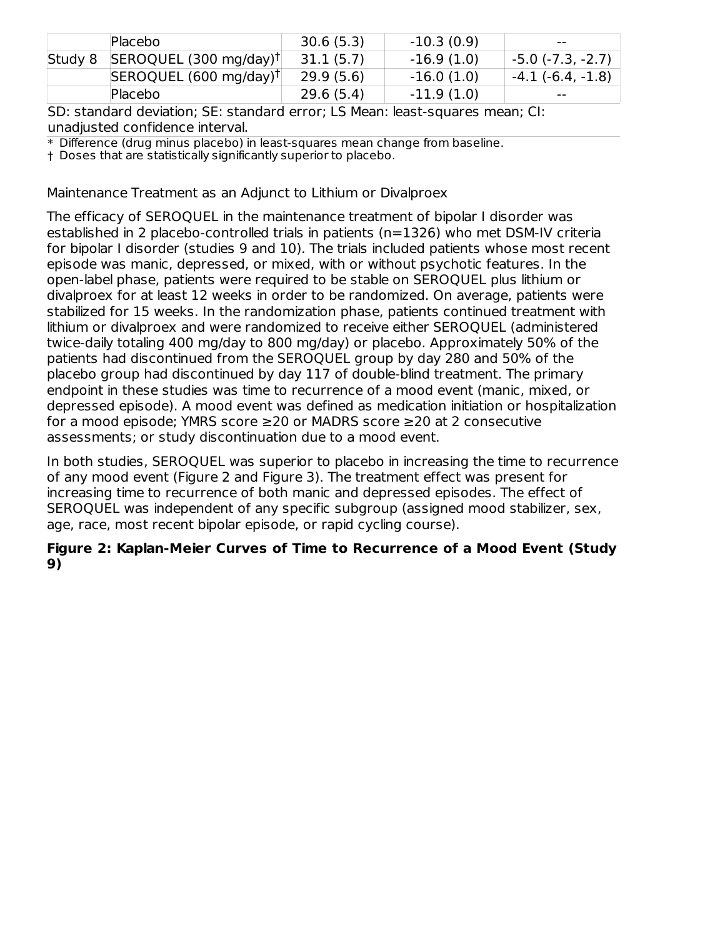|         | <b>Placebo</b>                     | 30.6(5.3) | $-10.3(0.9)$ | $- -$               |
|---------|------------------------------------|-----------|--------------|---------------------|
| Study 8 | SEROQUEL (300 mg/day) <sup>†</sup> | 31.1(5.7) | $-16.9(1.0)$ | $-5.0$ (-7.3, -2.7) |
|         | SEROQUEL (600 mg/day) <sup>†</sup> | 29.9(5.6) | $-16.0(1.0)$ | $-4.1$ (-6.4, -1.8) |
|         | Placebo                            | 29.6(5.4) | $-11.9(1.0)$ | $- -$               |

SD: standard deviation; SE: standard error; LS Mean: least-squares mean; CI: unadjusted confidence interval.

\* Difference (drug minus placebo) in least-squares mean change from baseline.

† Doses that are statistically significantly superior to placebo.

Maintenance Treatment as an Adjunct to Lithium or Divalproex

The efficacy of SEROQUEL in the maintenance treatment of bipolar I disorder was established in 2 placebo-controlled trials in patients (n=1326) who met DSM-IV criteria for bipolar I disorder (studies 9 and 10). The trials included patients whose most recent episode was manic, depressed, or mixed, with or without psychotic features. In the open-label phase, patients were required to be stable on SEROQUEL plus lithium or divalproex for at least 12 weeks in order to be randomized. On average, patients were stabilized for 15 weeks. In the randomization phase, patients continued treatment with lithium or divalproex and were randomized to receive either SEROQUEL (administered twice-daily totaling 400 mg/day to 800 mg/day) or placebo. Approximately 50% of the patients had discontinued from the SEROQUEL group by day 280 and 50% of the placebo group had discontinued by day 117 of double-blind treatment. The primary endpoint in these studies was time to recurrence of a mood event (manic, mixed, or depressed episode). A mood event was defined as medication initiation or hospitalization for a mood episode; YMRS score ≥20 or MADRS score ≥20 at 2 consecutive assessments; or study discontinuation due to a mood event.

In both studies, SEROQUEL was superior to placebo in increasing the time to recurrence of any mood event (Figure 2 and Figure 3). The treatment effect was present for increasing time to recurrence of both manic and depressed episodes. The effect of SEROQUEL was independent of any specific subgroup (assigned mood stabilizer, sex, age, race, most recent bipolar episode, or rapid cycling course).

#### **Figure 2: Kaplan-Meier Curves of Time to Recurrence of a Mood Event (Study 9)**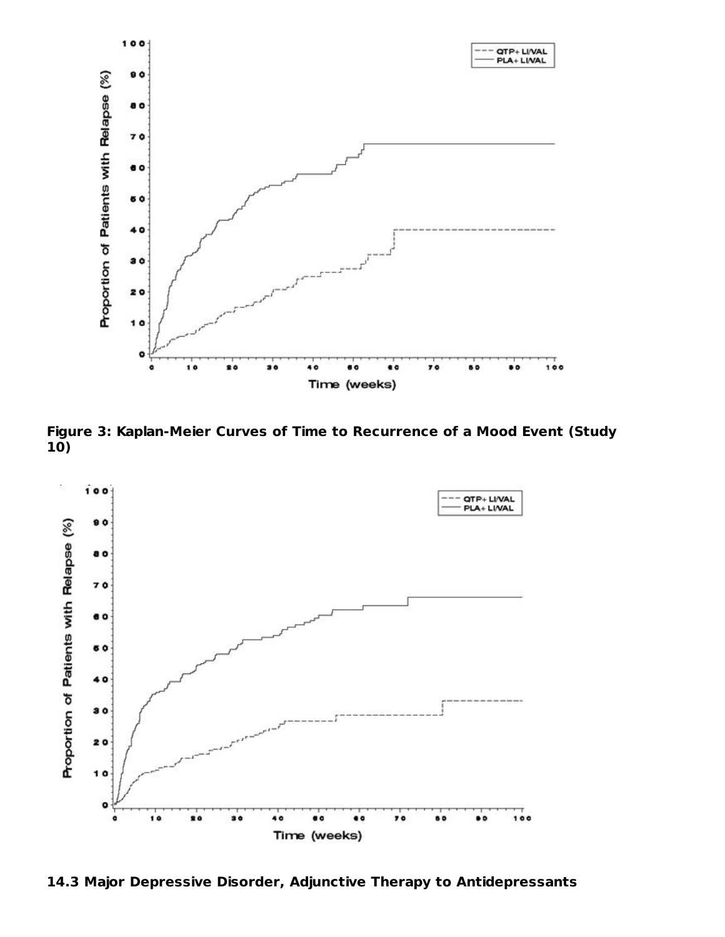

**Figure 3: Kaplan-Meier Curves of Time to Recurrence of a Mood Event (Study 10)**



**14.3 Major Depressive Disorder, Adjunctive Therapy to Antidepressants**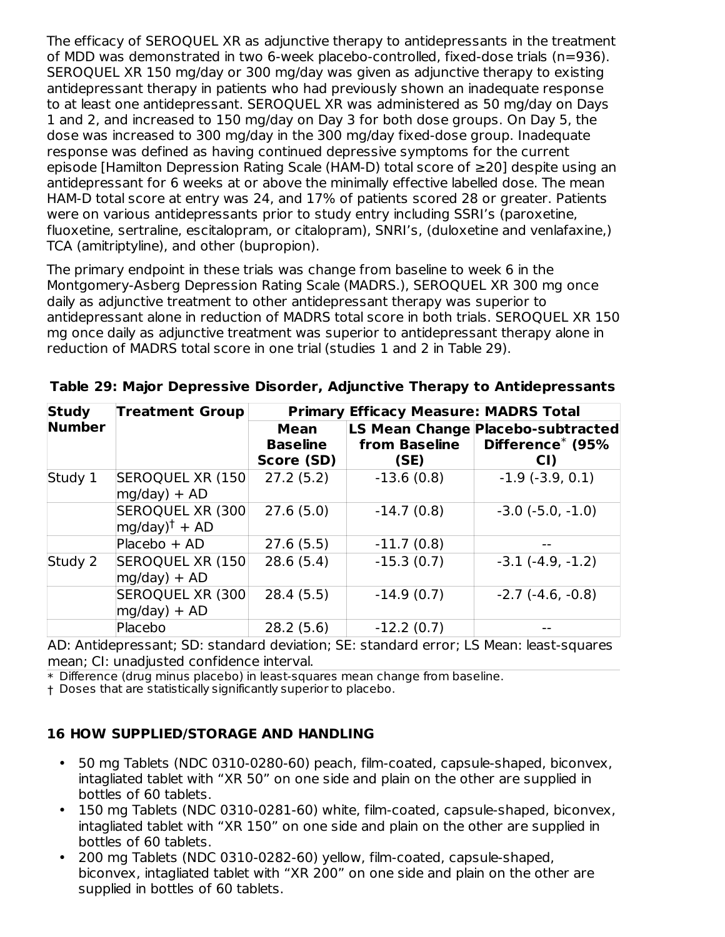The efficacy of SEROQUEL XR as adjunctive therapy to antidepressants in the treatment of MDD was demonstrated in two 6-week placebo-controlled, fixed-dose trials (n=936). SEROQUEL XR 150 mg/day or 300 mg/day was given as adjunctive therapy to existing antidepressant therapy in patients who had previously shown an inadequate response to at least one antidepressant. SEROQUEL XR was administered as 50 mg/day on Days 1 and 2, and increased to 150 mg/day on Day 3 for both dose groups. On Day 5, the dose was increased to 300 mg/day in the 300 mg/day fixed-dose group. Inadequate response was defined as having continued depressive symptoms for the current episode [Hamilton Depression Rating Scale (HAM-D) total score of ≥20] despite using an antidepressant for 6 weeks at or above the minimally effective labelled dose. The mean HAM-D total score at entry was 24, and 17% of patients scored 28 or greater. Patients were on various antidepressants prior to study entry including SSRI's (paroxetine, fluoxetine, sertraline, escitalopram, or citalopram), SNRI's, (duloxetine and venlafaxine,) TCA (amitriptyline), and other (bupropion).

The primary endpoint in these trials was change from baseline to week 6 in the Montgomery-Asberg Depression Rating Scale (MADRS.), SEROQUEL XR 300 mg once daily as adjunctive treatment to other antidepressant therapy was superior to antidepressant alone in reduction of MADRS total score in both trials. SEROQUEL XR 150 mg once daily as adjunctive treatment was superior to antidepressant therapy alone in reduction of MADRS total score in one trial (studies 1 and 2 in Table 29).

| <b>Study</b>  | <b>Treatment Group</b>                         | <b>Primary Efficacy Measure: MADRS Total</b> |                       |                                                                          |  |  |
|---------------|------------------------------------------------|----------------------------------------------|-----------------------|--------------------------------------------------------------------------|--|--|
| <b>Number</b> |                                                | <b>Mean</b><br><b>Baseline</b><br>Score (SD) | from Baseline<br>(SE) | LS Mean Change Placebo-subtracted<br>Difference <sup>*</sup> (95%<br>CI) |  |  |
| Study 1       | SEROQUEL XR (150<br>$mg/day) + AD$             | 27.2(5.2)                                    | $-13.6(0.8)$          | $-1.9$ $(-3.9, 0.1)$                                                     |  |  |
|               | SEROQUEL XR (300<br>$mg/day$ <sup>+</sup> + AD | 27.6(5.0)                                    | $-14.7(0.8)$          | $-3.0$ $(-5.0, -1.0)$                                                    |  |  |
|               | $Placebo + AD$                                 | 27.6(5.5)                                    | $-11.7(0.8)$          |                                                                          |  |  |
| Study 2       | SEROQUEL XR (150<br>$mg/day) + AD$             | 28.6(5.4)                                    | $-15.3(0.7)$          | $-3.1(-4.9, -1.2)$                                                       |  |  |
|               | SEROQUEL XR (300<br>$mg/day) + AD$             | 28.4(5.5)                                    | $-14.9(0.7)$          | $-2.7$ ( $-4.6, -0.8$ )                                                  |  |  |
|               | Placebo                                        | 28.2(5.6)                                    | $-12.2(0.7)$          |                                                                          |  |  |

**Table 29: Major Depressive Disorder, Adjunctive Therapy to Antidepressants**

AD: Antidepressant; SD: standard deviation; SE: standard error; LS Mean: least-squares mean; CI: unadjusted confidence interval.

\* Difference (drug minus placebo) in least-squares mean change from baseline.

† Doses that are statistically significantly superior to placebo.

## **16 HOW SUPPLIED/STORAGE AND HANDLING**

- 50 mg Tablets (NDC 0310-0280-60) peach, film-coated, capsule-shaped, biconvex, intagliated tablet with "XR 50" on one side and plain on the other are supplied in bottles of 60 tablets.
- 150 mg Tablets (NDC 0310-0281-60) white, film-coated, capsule-shaped, biconvex, intagliated tablet with "XR 150" on one side and plain on the other are supplied in bottles of 60 tablets.
- 200 mg Tablets (NDC 0310-0282-60) yellow, film-coated, capsule-shaped, biconvex, intagliated tablet with "XR 200" on one side and plain on the other are supplied in bottles of 60 tablets.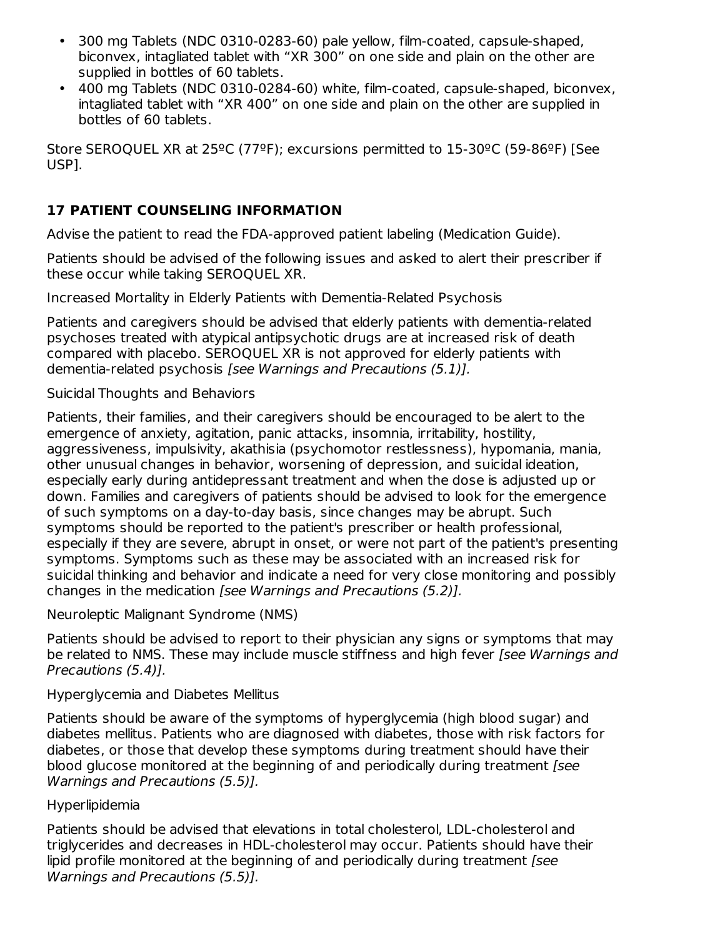- 300 mg Tablets (NDC 0310-0283-60) pale yellow, film-coated, capsule-shaped, biconvex, intagliated tablet with "XR 300" on one side and plain on the other are supplied in bottles of 60 tablets.
- 400 mg Tablets (NDC 0310-0284-60) white, film-coated, capsule-shaped, biconvex, intagliated tablet with "XR 400" on one side and plain on the other are supplied in bottles of 60 tablets.

Store SEROQUEL XR at 25ºC (77ºF); excursions permitted to 15-30ºC (59-86ºF) [See USP].

## **17 PATIENT COUNSELING INFORMATION**

Advise the patient to read the FDA-approved patient labeling (Medication Guide).

Patients should be advised of the following issues and asked to alert their prescriber if these occur while taking SEROQUEL XR.

Increased Mortality in Elderly Patients with Dementia-Related Psychosis

Patients and caregivers should be advised that elderly patients with dementia-related psychoses treated with atypical antipsychotic drugs are at increased risk of death compared with placebo. SEROQUEL XR is not approved for elderly patients with dementia-related psychosis [see Warnings and Precautions (5.1)].

#### Suicidal Thoughts and Behaviors

Patients, their families, and their caregivers should be encouraged to be alert to the emergence of anxiety, agitation, panic attacks, insomnia, irritability, hostility, aggressiveness, impulsivity, akathisia (psychomotor restlessness), hypomania, mania, other unusual changes in behavior, worsening of depression, and suicidal ideation, especially early during antidepressant treatment and when the dose is adjusted up or down. Families and caregivers of patients should be advised to look for the emergence of such symptoms on a day-to-day basis, since changes may be abrupt. Such symptoms should be reported to the patient's prescriber or health professional, especially if they are severe, abrupt in onset, or were not part of the patient's presenting symptoms. Symptoms such as these may be associated with an increased risk for suicidal thinking and behavior and indicate a need for very close monitoring and possibly changes in the medication [see Warnings and Precautions (5.2)].

Neuroleptic Malignant Syndrome (NMS)

Patients should be advised to report to their physician any signs or symptoms that may be related to NMS. These may include muscle stiffness and high fever *[see Warnings and* Precautions (5.4)].

#### Hyperglycemia and Diabetes Mellitus

Patients should be aware of the symptoms of hyperglycemia (high blood sugar) and diabetes mellitus. Patients who are diagnosed with diabetes, those with risk factors for diabetes, or those that develop these symptoms during treatment should have their blood glucose monitored at the beginning of and periodically during treatment [see Warnings and Precautions (5.5)].

## Hyperlipidemia

Patients should be advised that elevations in total cholesterol, LDL-cholesterol and triglycerides and decreases in HDL-cholesterol may occur. Patients should have their lipid profile monitored at the beginning of and periodically during treatment [see Warnings and Precautions (5.5)].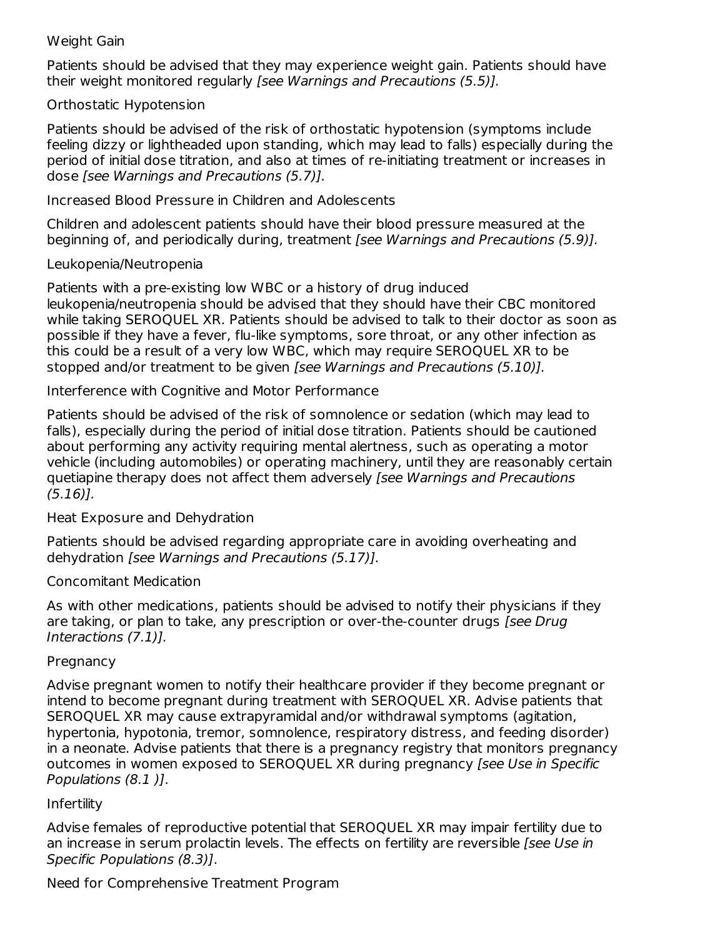#### Weight Gain

Patients should be advised that they may experience weight gain. Patients should have their weight monitored regularly [see Warnings and Precautions (5.5)].

#### Orthostatic Hypotension

Patients should be advised of the risk of orthostatic hypotension (symptoms include feeling dizzy or lightheaded upon standing, which may lead to falls) especially during the period of initial dose titration, and also at times of re-initiating treatment or increases in dose [see Warnings and Precautions (5.7)].

#### Increased Blood Pressure in Children and Adolescents

Children and adolescent patients should have their blood pressure measured at the beginning of, and periodically during, treatment [see Warnings and Precautions (5.9)].

#### Leukopenia/Neutropenia

Patients with a pre-existing low WBC or a history of drug induced leukopenia/neutropenia should be advised that they should have their CBC monitored while taking SEROQUEL XR. Patients should be advised to talk to their doctor as soon as possible if they have a fever, flu-like symptoms, sore throat, or any other infection as this could be a result of a very low WBC, which may require SEROQUEL XR to be stopped and/or treatment to be given [see Warnings and Precautions (5.10)].

Interference with Cognitive and Motor Performance

Patients should be advised of the risk of somnolence or sedation (which may lead to falls), especially during the period of initial dose titration. Patients should be cautioned about performing any activity requiring mental alertness, such as operating a motor vehicle (including automobiles) or operating machinery, until they are reasonably certain quetiapine therapy does not affect them adversely [see Warnings and Precautions  $(5.16)$ .

Heat Exposure and Dehydration

Patients should be advised regarding appropriate care in avoiding overheating and dehydration [see Warnings and Precautions (5.17)].

## Concomitant Medication

As with other medications, patients should be advised to notify their physicians if they are taking, or plan to take, any prescription or over-the-counter drugs [see Drug] Interactions (7.1)].

## Pregnancy

Advise pregnant women to notify their healthcare provider if they become pregnant or intend to become pregnant during treatment with SEROQUEL XR. Advise patients that SEROQUEL XR may cause extrapyramidal and/or withdrawal symptoms (agitation, hypertonia, hypotonia, tremor, somnolence, respiratory distress, and feeding disorder) in a neonate. Advise patients that there is a pregnancy registry that monitors pregnancy outcomes in women exposed to SEROQUEL XR during pregnancy [see Use in Specific Populations (8.1 )].

## Infertility

Advise females of reproductive potential that SEROQUEL XR may impair fertility due to an increase in serum prolactin levels. The effects on fertility are reversible [see Use in Specific Populations (8.3)].

Need for Comprehensive Treatment Program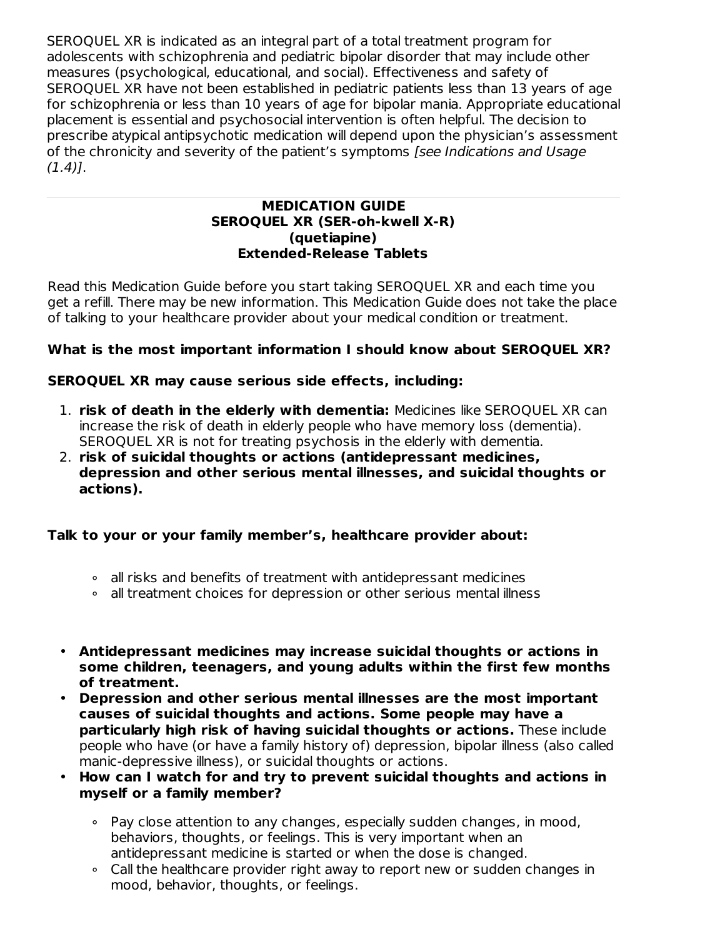SEROQUEL XR is indicated as an integral part of a total treatment program for adolescents with schizophrenia and pediatric bipolar disorder that may include other measures (psychological, educational, and social). Effectiveness and safety of SEROQUEL XR have not been established in pediatric patients less than 13 years of age for schizophrenia or less than 10 years of age for bipolar mania. Appropriate educational placement is essential and psychosocial intervention is often helpful. The decision to prescribe atypical antipsychotic medication will depend upon the physician's assessment of the chronicity and severity of the patient's symptoms [see Indications and Usage  $(1.4)$ ].

#### **MEDICATION GUIDE SEROQUEL XR (SER-oh-kwell X-R) (quetiapine) Extended-Release Tablets**

Read this Medication Guide before you start taking SEROQUEL XR and each time you get a refill. There may be new information. This Medication Guide does not take the place of talking to your healthcare provider about your medical condition or treatment.

## **What is the most important information I should know about SEROQUEL XR?**

#### **SEROQUEL XR may cause serious side effects, including:**

- 1. **risk of death in the elderly with dementia:** Medicines like SEROQUEL XR can increase the risk of death in elderly people who have memory loss (dementia). SEROQUEL XR is not for treating psychosis in the elderly with dementia.
- 2. **risk of suicidal thoughts or actions (antidepressant medicines, depression and other serious mental illnesses, and suicidal thoughts or actions).**

#### **Talk to your or your family member's, healthcare provider about:**

- ∘ all risks and benefits of treatment with antidepressant medicines
- ∘ all treatment choices for depression or other serious mental illness
- **Antidepressant medicines may increase suicidal thoughts or actions in some children, teenagers, and young adults within the first few months of treatment.**
- **Depression and other serious mental illnesses are the most important causes of suicidal thoughts and actions. Some people may have a particularly high risk of having suicidal thoughts or actions.** These include people who have (or have a family history of) depression, bipolar illness (also called manic-depressive illness), or suicidal thoughts or actions.
- **How can I watch for and try to prevent suicidal thoughts and actions in myself or a family member?**
	- ∘ Pay close attention to any changes, especially sudden changes, in mood, behaviors, thoughts, or feelings. This is very important when an antidepressant medicine is started or when the dose is changed.
	- ∘ Call the healthcare provider right away to report new or sudden changes in mood, behavior, thoughts, or feelings.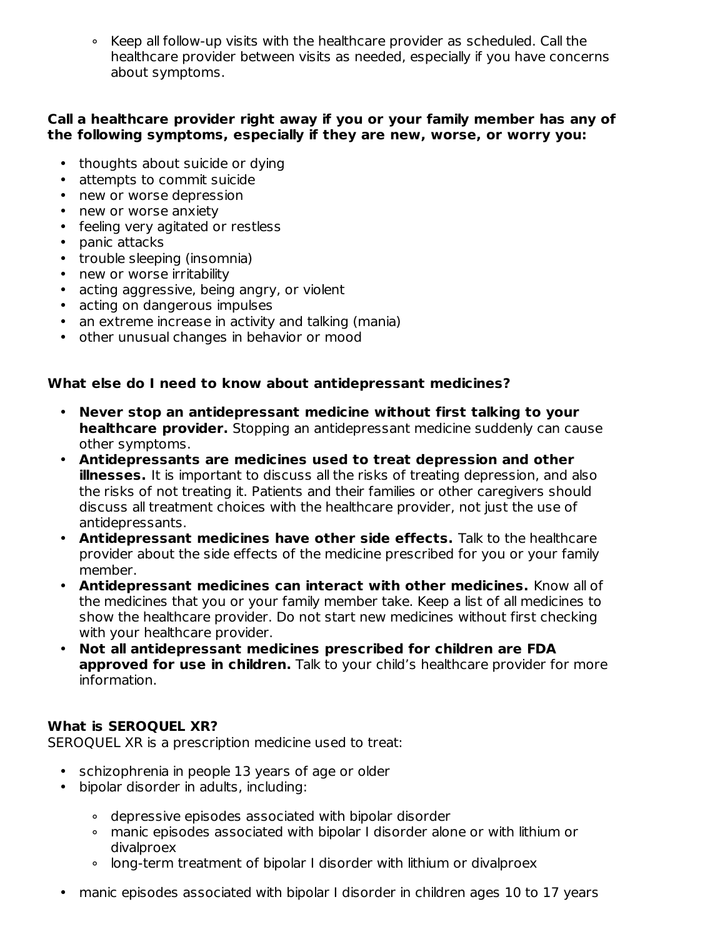∘ Keep all follow-up visits with the healthcare provider as scheduled. Call the healthcare provider between visits as needed, especially if you have concerns about symptoms.

#### **Call a healthcare provider right away if you or your family member has any of the following symptoms, especially if they are new, worse, or worry you:**

- thoughts about suicide or dying
- attempts to commit suicide
- new or worse depression
- new or worse anxiety
- feeling very agitated or restless
- panic attacks
- trouble sleeping (insomnia)
- new or worse irritability
- acting aggressive, being angry, or violent
- acting on dangerous impulses
- an extreme increase in activity and talking (mania)
- other unusual changes in behavior or mood

#### **What else do I need to know about antidepressant medicines?**

- **Never stop an antidepressant medicine without first talking to your healthcare provider.** Stopping an antidepressant medicine suddenly can cause other symptoms.
- **Antidepressants are medicines used to treat depression and other illnesses.** It is important to discuss all the risks of treating depression, and also the risks of not treating it. Patients and their families or other caregivers should discuss all treatment choices with the healthcare provider, not just the use of antidepressants.
- **Antidepressant medicines have other side effects.** Talk to the healthcare provider about the side effects of the medicine prescribed for you or your family member.
- **Antidepressant medicines can interact with other medicines.** Know all of the medicines that you or your family member take. Keep a list of all medicines to show the healthcare provider. Do not start new medicines without first checking with your healthcare provider.
- **Not all antidepressant medicines prescribed for children are FDA approved for use in children.** Talk to your child's healthcare provider for more information.

## **What is SEROQUEL XR?**

SEROQUEL XR is a prescription medicine used to treat:

- schizophrenia in people 13 years of age or older
- bipolar disorder in adults, including:
	- ∘ depressive episodes associated with bipolar disorder
	- ∘ manic episodes associated with bipolar I disorder alone or with lithium or divalproex
	- ∘ long-term treatment of bipolar I disorder with lithium or divalproex
- manic episodes associated with bipolar I disorder in children ages 10 to 17 years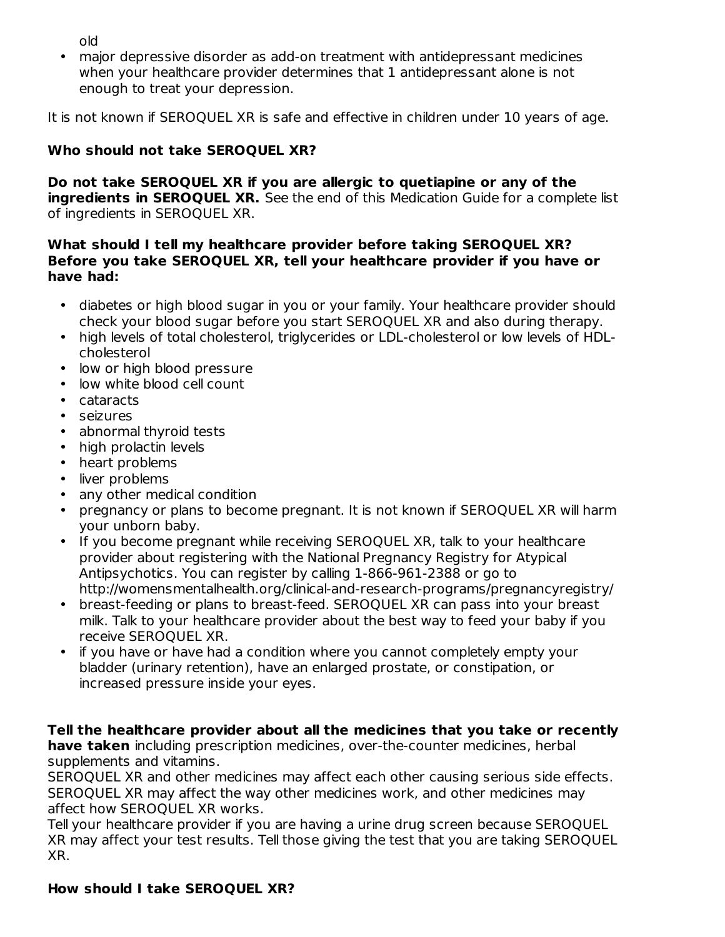old

• major depressive disorder as add-on treatment with antidepressant medicines when your healthcare provider determines that 1 antidepressant alone is not enough to treat your depression.

It is not known if SEROQUEL XR is safe and effective in children under 10 years of age.

## **Who should not take SEROQUEL XR?**

**Do not take SEROQUEL XR if you are allergic to quetiapine or any of the ingredients in SEROQUEL XR.** See the end of this Medication Guide for a complete list of ingredients in SEROQUEL XR.

#### **What should I tell my healthcare provider before taking SEROQUEL XR? Before you take SEROQUEL XR, tell your healthcare provider if you have or have had:**

- diabetes or high blood sugar in you or your family. Your healthcare provider should check your blood sugar before you start SEROQUEL XR and also during therapy.
- high levels of total cholesterol, triglycerides or LDL-cholesterol or low levels of HDLcholesterol
- low or high blood pressure
- low white blood cell count
- cataracts
- seizures
- abnormal thyroid tests
- high prolactin levels
- heart problems
- liver problems
- any other medical condition
- pregnancy or plans to become pregnant. It is not known if SEROQUEL XR will harm your unborn baby.
- If you become pregnant while receiving SEROQUEL XR, talk to your healthcare provider about registering with the National Pregnancy Registry for Atypical Antipsychotics. You can register by calling 1-866-961-2388 or go to http://womensmentalhealth.org/clinical-and-research-programs/pregnancyregistry/
- breast-feeding or plans to breast-feed. SEROQUEL XR can pass into your breast milk. Talk to your healthcare provider about the best way to feed your baby if you receive SEROQUEL XR.
- if you have or have had a condition where you cannot completely empty your bladder (urinary retention), have an enlarged prostate, or constipation, or increased pressure inside your eyes.

**Tell the healthcare provider about all the medicines that you take or recently have taken** including prescription medicines, over-the-counter medicines, herbal supplements and vitamins.

SEROQUEL XR and other medicines may affect each other causing serious side effects. SEROQUEL XR may affect the way other medicines work, and other medicines may affect how SEROQUEL XR works.

Tell your healthcare provider if you are having a urine drug screen because SEROQUEL XR may affect your test results. Tell those giving the test that you are taking SEROQUEL XR.

# **How should I take SEROQUEL XR?**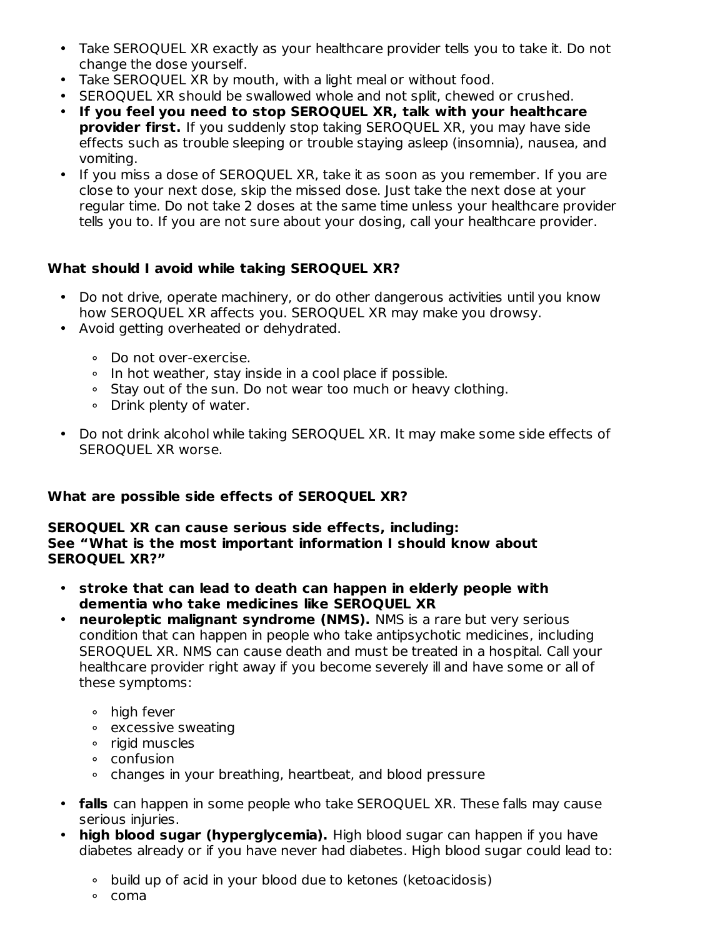- Take SEROQUEL XR exactly as your healthcare provider tells you to take it. Do not change the dose yourself.
- Take SEROQUEL XR by mouth, with a light meal or without food.
- SEROQUEL XR should be swallowed whole and not split, chewed or crushed.
- **If you feel you need to stop SEROQUEL XR, talk with your healthcare provider first.** If you suddenly stop taking SEROQUEL XR, you may have side effects such as trouble sleeping or trouble staying asleep (insomnia), nausea, and vomiting.
- If you miss a dose of SEROQUEL XR, take it as soon as you remember. If you are close to your next dose, skip the missed dose. Just take the next dose at your regular time. Do not take 2 doses at the same time unless your healthcare provider tells you to. If you are not sure about your dosing, call your healthcare provider.

## **What should I avoid while taking SEROQUEL XR?**

- Do not drive, operate machinery, or do other dangerous activities until you know how SEROQUEL XR affects you. SEROQUEL XR may make you drowsy.
- Avoid getting overheated or dehydrated.
	- ∘ Do not over-exercise.
	- ∘ In hot weather, stay inside in a cool place if possible.
	- ∘ Stay out of the sun. Do not wear too much or heavy clothing.
	- ∘ Drink plenty of water.
- Do not drink alcohol while taking SEROQUEL XR. It may make some side effects of SEROQUEL XR worse.

## **What are possible side effects of SEROQUEL XR?**

#### **SEROQUEL XR can cause serious side effects, including: See "What is the most important information I should know about SEROQUEL XR?"**

- **stroke that can lead to death can happen in elderly people with dementia who take medicines like SEROQUEL XR**
- **neuroleptic malignant syndrome (NMS).** NMS is a rare but very serious condition that can happen in people who take antipsychotic medicines, including SEROQUEL XR. NMS can cause death and must be treated in a hospital. Call your healthcare provider right away if you become severely ill and have some or all of these symptoms:
	- ∘ high fever
	- ∘ excessive sweating
	- ∘ rigid muscles
	- ∘ confusion
	- ∘ changes in your breathing, heartbeat, and blood pressure
- **falls** can happen in some people who take SEROQUEL XR. These falls may cause serious injuries.
- **high blood sugar (hyperglycemia).** High blood sugar can happen if you have diabetes already or if you have never had diabetes. High blood sugar could lead to:
	- ∘ build up of acid in your blood due to ketones (ketoacidosis)
	- ∘ coma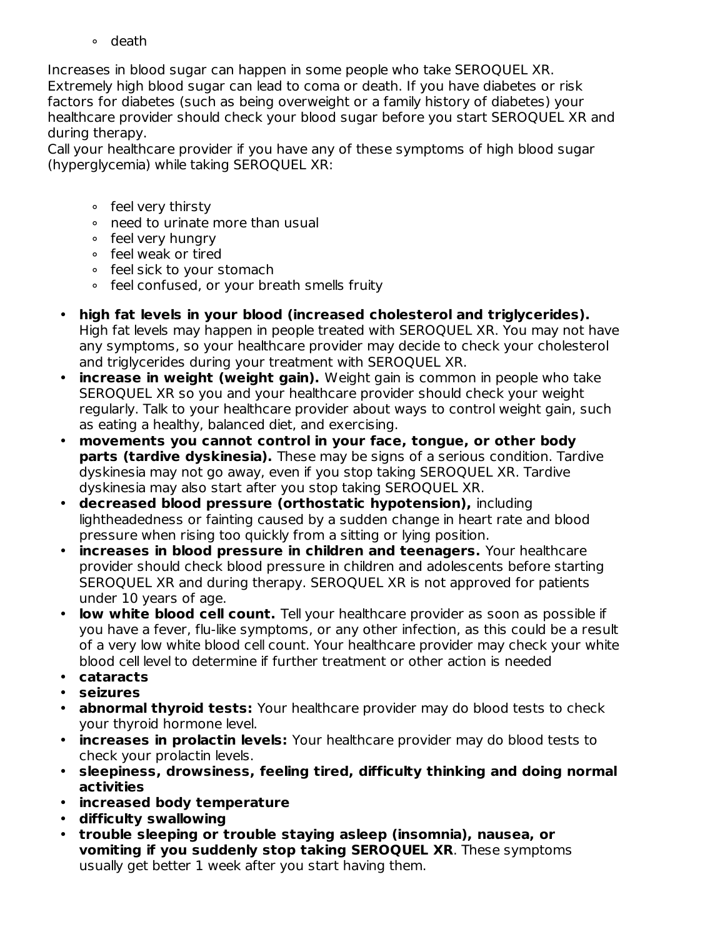∘ death

Increases in blood sugar can happen in some people who take SEROQUEL XR. Extremely high blood sugar can lead to coma or death. If you have diabetes or risk factors for diabetes (such as being overweight or a family history of diabetes) your healthcare provider should check your blood sugar before you start SEROQUEL XR and during therapy.

Call your healthcare provider if you have any of these symptoms of high blood sugar (hyperglycemia) while taking SEROQUEL XR:

- ∘ feel very thirsty
- ∘ need to urinate more than usual
- ∘ feel very hungry
- ∘ feel weak or tired
- ∘ feel sick to your stomach
- ∘ feel confused, or your breath smells fruity
- **high fat levels in your blood (increased cholesterol and triglycerides).** High fat levels may happen in people treated with SEROQUEL XR. You may not have any symptoms, so your healthcare provider may decide to check your cholesterol and triglycerides during your treatment with SEROQUEL XR.
- **increase in weight (weight gain).** Weight gain is common in people who take SEROQUEL XR so you and your healthcare provider should check your weight regularly. Talk to your healthcare provider about ways to control weight gain, such as eating a healthy, balanced diet, and exercising.
- **movements you cannot control in your face, tongue, or other body parts (tardive dyskinesia).** These may be signs of a serious condition. Tardive dyskinesia may not go away, even if you stop taking SEROQUEL XR. Tardive dyskinesia may also start after you stop taking SEROQUEL XR.
- **decreased blood pressure (orthostatic hypotension),** including lightheadedness or fainting caused by a sudden change in heart rate and blood pressure when rising too quickly from a sitting or lying position.
- **increases in blood pressure in children and teenagers.** Your healthcare provider should check blood pressure in children and adolescents before starting SEROQUEL XR and during therapy. SEROQUEL XR is not approved for patients under 10 years of age.
- **low white blood cell count.** Tell your healthcare provider as soon as possible if you have a fever, flu-like symptoms, or any other infection, as this could be a result of a very low white blood cell count. Your healthcare provider may check your white blood cell level to determine if further treatment or other action is needed
- **cataracts**
- **seizures**
- **abnormal thyroid tests:** Your healthcare provider may do blood tests to check your thyroid hormone level.
- **increases in prolactin levels:** Your healthcare provider may do blood tests to check your prolactin levels.
- **sleepiness, drowsiness, feeling tired, difficulty thinking and doing normal activities**
- **increased body temperature**
- **difficulty swallowing**
- **trouble sleeping or trouble staying asleep (insomnia), nausea, or vomiting if you suddenly stop taking SEROQUEL XR**. These symptoms usually get better 1 week after you start having them.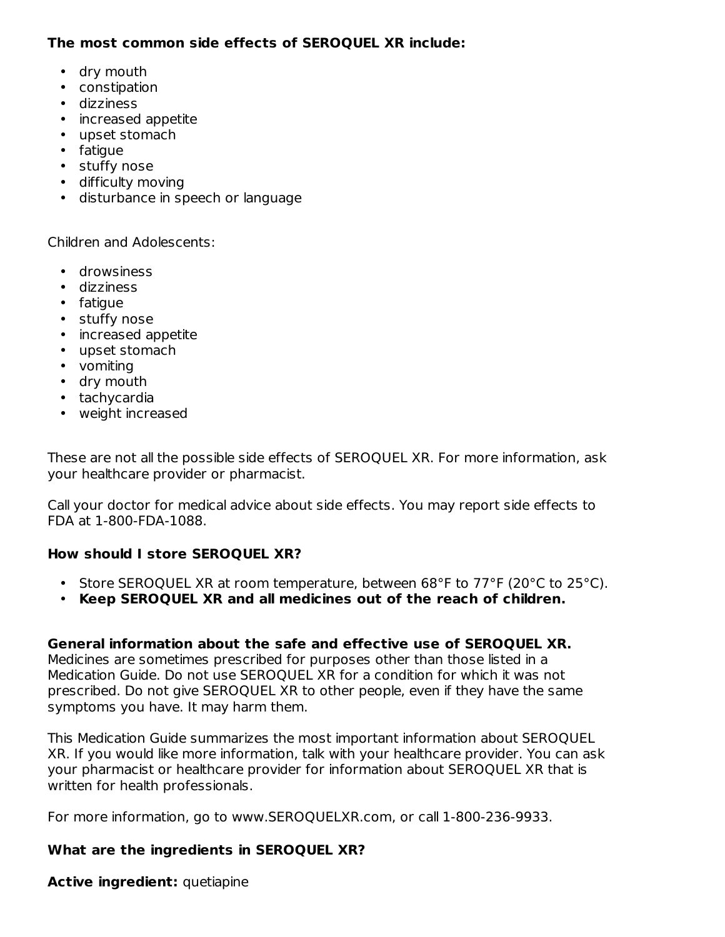#### **The most common side effects of SEROQUEL XR include:**

- dry mouth
- constipation
- dizziness
- increased appetite
- upset stomach
- fatigue
- stuffy nose
- difficulty moving
- disturbance in speech or language

Children and Adolescents:

- drowsiness
- dizziness
- fatigue
- stuffy nose
- increased appetite
- upset stomach
- vomiting
- dry mouth
- tachycardia
- weight increased

These are not all the possible side effects of SEROQUEL XR. For more information, ask your healthcare provider or pharmacist.

Call your doctor for medical advice about side effects. You may report side effects to FDA at 1-800-FDA-1088.

## **How should I store SEROQUEL XR?**

- Store SEROQUEL XR at room temperature, between 68°F to 77°F (20°C to 25°C).
- **Keep SEROQUEL XR and all medicines out of the reach of children.**

#### **General information about the safe and effective use of SEROQUEL XR.**

Medicines are sometimes prescribed for purposes other than those listed in a Medication Guide. Do not use SEROQUEL XR for a condition for which it was not prescribed. Do not give SEROQUEL XR to other people, even if they have the same symptoms you have. It may harm them.

This Medication Guide summarizes the most important information about SEROQUEL XR. If you would like more information, talk with your healthcare provider. You can ask your pharmacist or healthcare provider for information about SEROQUEL XR that is written for health professionals.

For more information, go to www.SEROQUELXR.com, or call 1-800-236-9933.

## **What are the ingredients in SEROQUEL XR?**

**Active ingredient:** quetiapine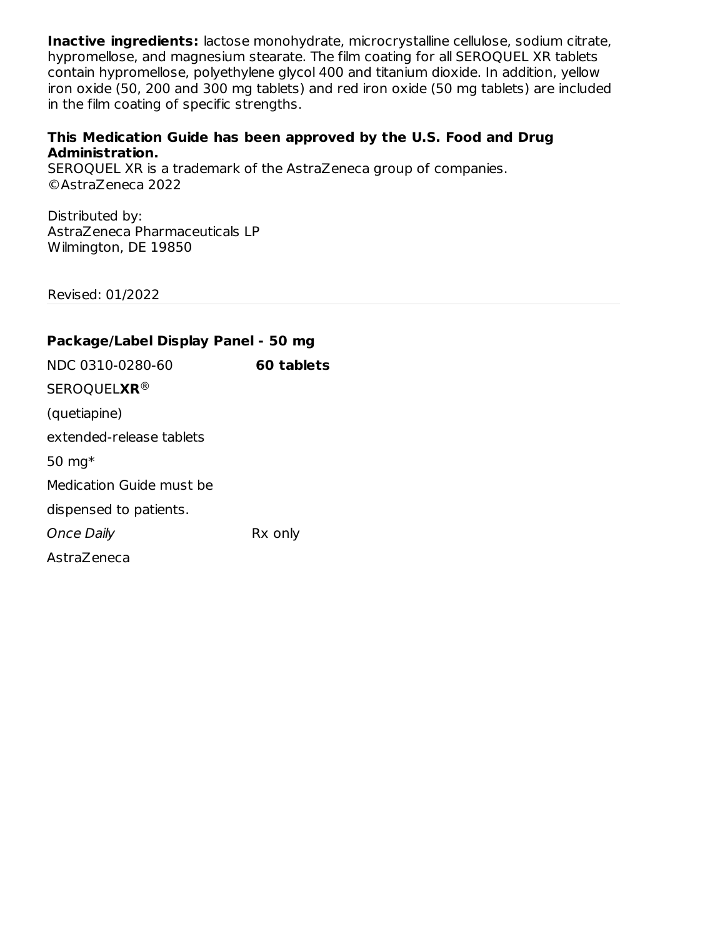**Inactive ingredients:** lactose monohydrate, microcrystalline cellulose, sodium citrate, hypromellose, and magnesium stearate. The film coating for all SEROQUEL XR tablets contain hypromellose, polyethylene glycol 400 and titanium dioxide. In addition, yellow iron oxide (50, 200 and 300 mg tablets) and red iron oxide (50 mg tablets) are included in the film coating of specific strengths.

#### **This Medication Guide has been approved by the U.S. Food and Drug Administration.**

SEROQUEL XR is a trademark of the AstraZeneca group of companies. ©AstraZeneca 2022

Distributed by: AstraZeneca Pharmaceuticals LP Wilmington, DE 19850

Revised: 01/2022

| Package/Label Display Panel - 50 mg |            |
|-------------------------------------|------------|
| NDC 0310-0280-60                    | 60 tablets |
| SEROQUELXR <sup>®</sup>             |            |
| (quetiapine)                        |            |
| extended-release tablets            |            |
| 50 $mg*$                            |            |
| Medication Guide must be            |            |
| dispensed to patients.              |            |
| <b>Once Daily</b>                   | Rx only    |
| AstraZeneca                         |            |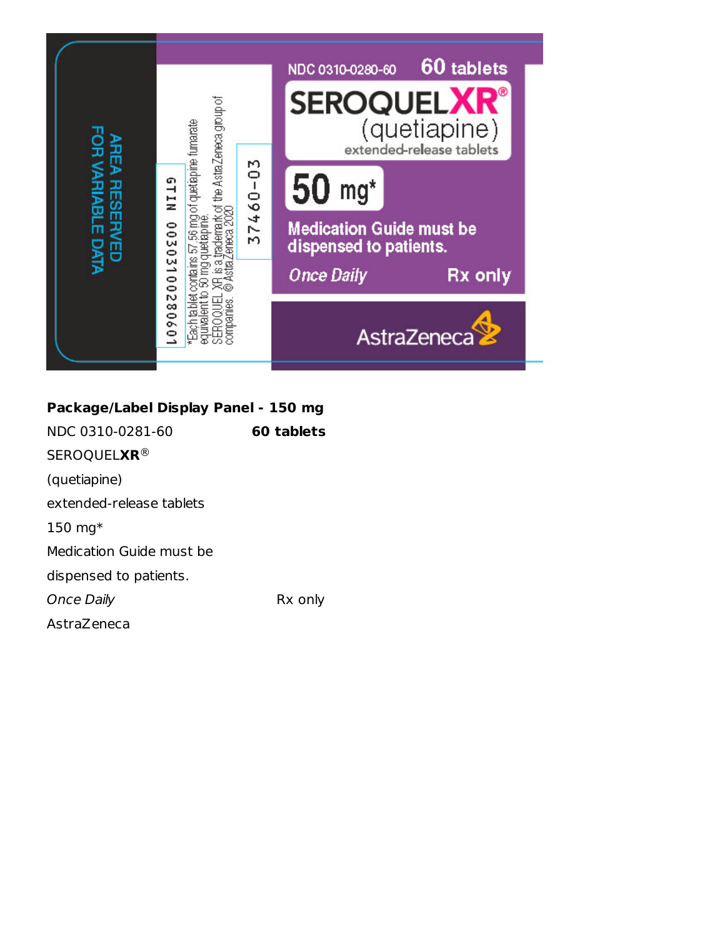

## **Package/Label Display Panel - 150 mg**

| NDC 0310-0281-60         | 60 tablets |
|--------------------------|------------|
| SEROQUELXR <sup>®</sup>  |            |
| (quetiapine)             |            |
| extended-release tablets |            |
| $150 \text{ mg*}$        |            |
| Medication Guide must be |            |
| dispensed to patients.   |            |
| Once Daily               | Rx only    |
| AstraZeneca              |            |
|                          |            |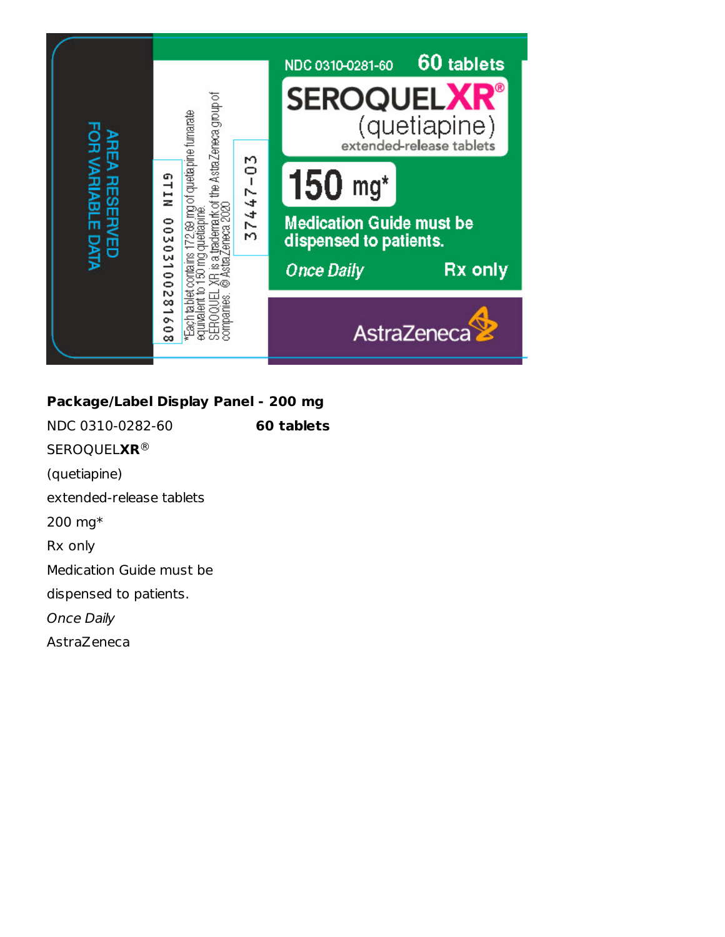

#### **Package/Label Display Panel - 200 mg**

NDC 0310-0282-60 **60 tablets** SEROQUEL**XR** ®(quetiapine) extended-release tablets 200 mg\* Rx only Medication Guide must be dispensed to patients. Once Daily AstraZeneca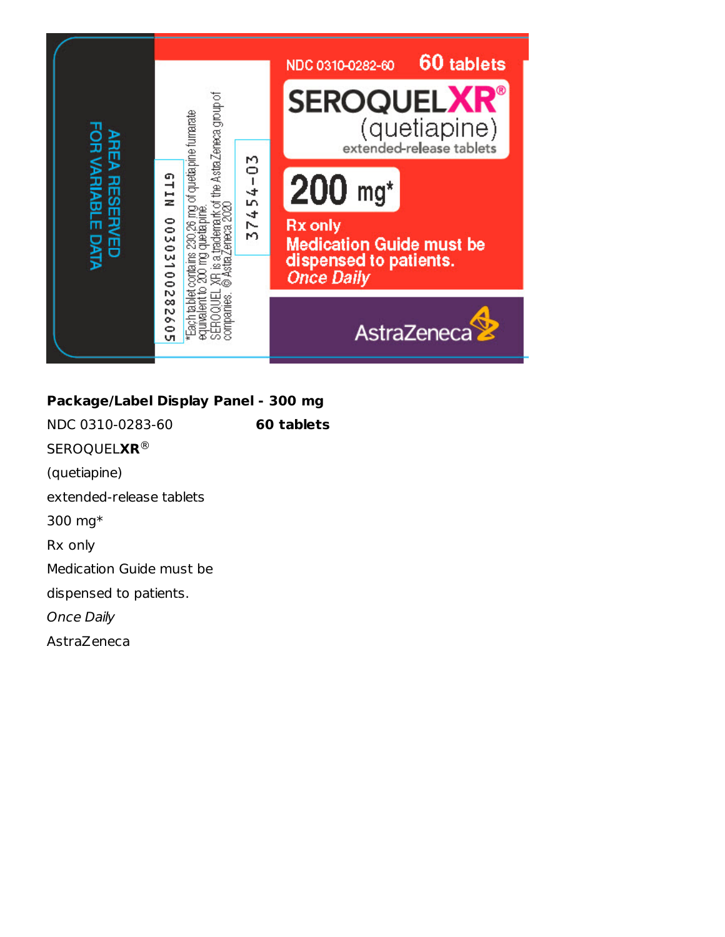

#### **Package/Label Display Panel - 300 mg**

NDC 0310-0283-60 **60 tablets** SEROQUEL**XR** ®(quetiapine) extended-release tablets 300 mg\* Rx only Medication Guide must be dispensed to patients. Once Daily AstraZeneca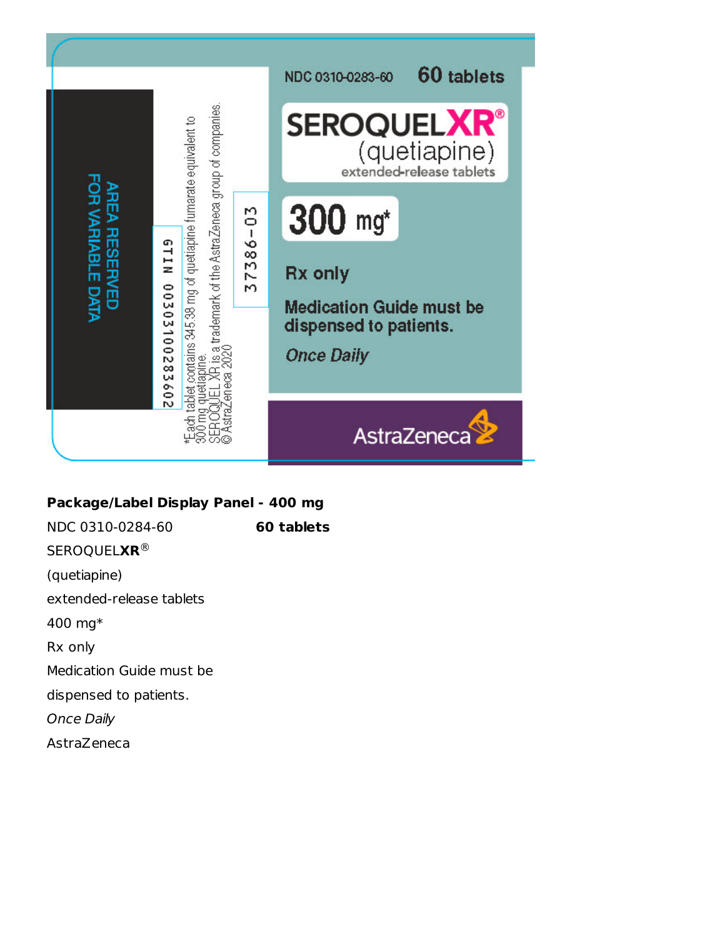

## **Package/Label Display Panel - 400 mg**

NDC 0310-0284-60 **60 tablets** SEROQUEL**XR** ®(quetiapine) extended-release tablets 400 mg\* Rx only Medication Guide must be dispensed to patients. Once Daily AstraZeneca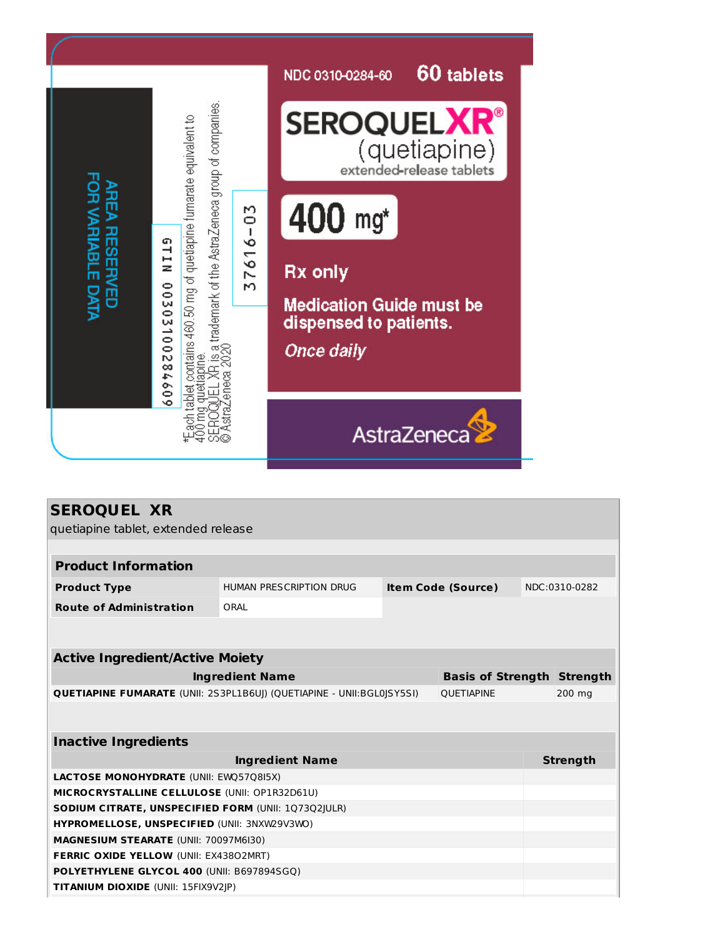

| <b>SEROQUEL XR</b>                                                                                |                         |  |                                   |                 |
|---------------------------------------------------------------------------------------------------|-------------------------|--|-----------------------------------|-----------------|
| quetiapine tablet, extended release                                                               |                         |  |                                   |                 |
|                                                                                                   |                         |  |                                   |                 |
| <b>Product Information</b>                                                                        |                         |  |                                   |                 |
| <b>Product Type</b>                                                                               | HUMAN PRESCRIPTION DRUG |  | <b>Item Code (Source)</b>         | NDC:0310-0282   |
| <b>Route of Administration</b>                                                                    | ORAL                    |  |                                   |                 |
|                                                                                                   |                         |  |                                   |                 |
|                                                                                                   |                         |  |                                   |                 |
| <b>Active Ingredient/Active Moiety</b>                                                            |                         |  |                                   |                 |
|                                                                                                   | <b>Ingredient Name</b>  |  | <b>Basis of Strength Strength</b> |                 |
| <b>QUETIAPINE FUMARATE (UNII: 2S3PL1B6UJ) (QUETIAPINE - UNII:BGL0JSY5SI)</b><br><b>QUETIAPINE</b> |                         |  | 200 mg                            |                 |
|                                                                                                   |                         |  |                                   |                 |
| <b>Inactive Ingredients</b>                                                                       |                         |  |                                   |                 |
|                                                                                                   | <b>Ingredient Name</b>  |  |                                   | <b>Strength</b> |
| LACTOSE MONOHYDRATE (UNII: EWQ57Q8I5X)                                                            |                         |  |                                   |                 |
| MICROCRYSTALLINE CELLULOSE (UNII: OP1R32D61U)                                                     |                         |  |                                   |                 |
| <b>SODIUM CITRATE, UNSPECIFIED FORM (UNII: 107302 ULR)</b>                                        |                         |  |                                   |                 |
| HYPROMELLOSE, UNSPECIFIED (UNII: 3NXW29V3WO)                                                      |                         |  |                                   |                 |
| MAGNESIUM STEARATE (UNII: 70097M6I30)                                                             |                         |  |                                   |                 |
| FERRIC OXIDE YELLOW (UNII: EX43802MRT)                                                            |                         |  |                                   |                 |
| POLYETHYLENE GLYCOL 400 (UNII: B697894SGQ)                                                        |                         |  |                                   |                 |
| <b>TITANIUM DIOXIDE (UNII: 15FIX9V2JP)</b>                                                        |                         |  |                                   |                 |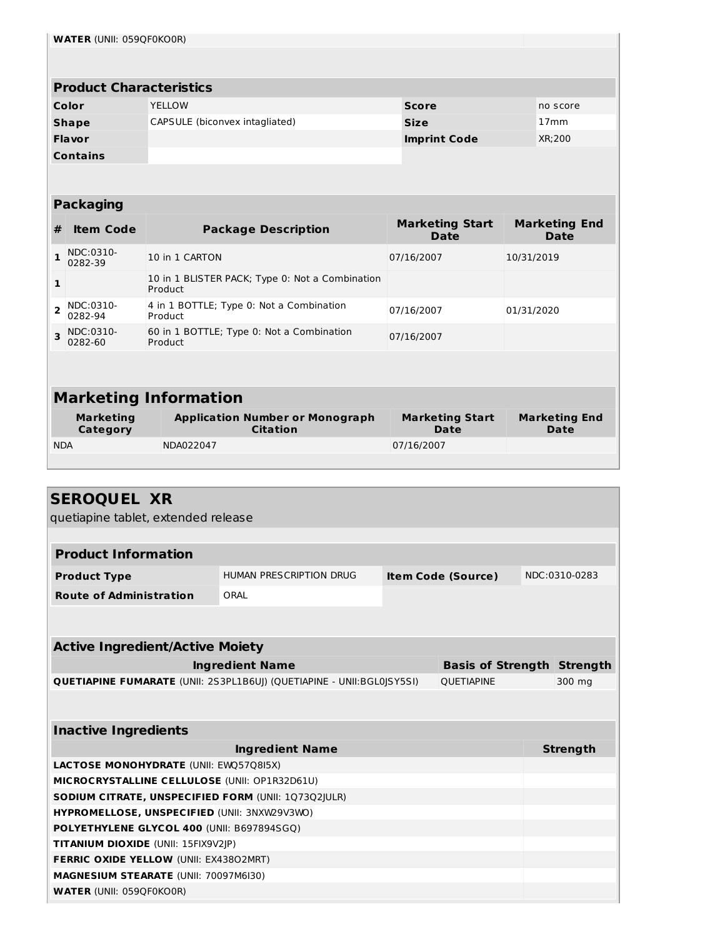| <b>WATER (UNII: 059QF0KO0R)</b> |  |  |
|---------------------------------|--|--|
|---------------------------------|--|--|

| <b>Product Characteristics</b> |                                |                     |                  |  |
|--------------------------------|--------------------------------|---------------------|------------------|--|
| Color                          | <b>YELLOW</b>                  | <b>Score</b>        | no score         |  |
| <b>Shape</b>                   | CAPSULE (biconvex intagliated) | <b>Size</b>         | 17 <sub>mm</sub> |  |
| <b>Flavor</b>                  |                                | <b>Imprint Code</b> | XR;200           |  |
| <b>Contains</b>                |                                |                     |                  |  |

## **Packaging**

| # | <b>Item Code</b>     | <b>Package Description</b>                                 | <b>Marketing Start</b><br><b>Date</b> | <b>Marketing End</b><br>Date |
|---|----------------------|------------------------------------------------------------|---------------------------------------|------------------------------|
|   | NDC:0310-<br>0282-39 | 10 in 1 CARTON                                             | 07/16/2007                            | 10/31/2019                   |
|   |                      | 10 in 1 BLISTER PACK; Type 0: Not a Combination<br>Product |                                       |                              |
|   | NDC:0310-<br>0282-94 | 4 in 1 BOTTLE; Type 0: Not a Combination<br>Product        | 07/16/2007                            | 01/31/2020                   |
|   | NDC:0310-<br>0282-60 | 60 in 1 BOTTLE; Type 0: Not a Combination<br>Product       | 07/16/2007                            |                              |

# **Marketing Information**

| Marketing  | <b>Application Number or Monograph</b> | <b>Marketing Start</b> | <b>Marketing End</b> |
|------------|----------------------------------------|------------------------|----------------------|
| Category   | <b>Citation</b>                        | Date                   | <b>Date</b>          |
| <b>NDA</b> | NDA022047                              | 07/16/2007             |                      |

# **SEROQUEL XR**

I.

quetiapine tablet, extended release

| <b>Product Information</b>     |                         |                           |               |  |
|--------------------------------|-------------------------|---------------------------|---------------|--|
| <b>Product Type</b>            | HUMAN PRESCRIPTION DRUG | <b>Item Code (Source)</b> | NDC:0310-0283 |  |
| <b>Route of Administration</b> | ORAL                    |                           |               |  |

| <b>Active Ingredient/Active Moiety</b>                                       |                                   |        |  |
|------------------------------------------------------------------------------|-----------------------------------|--------|--|
| <b>Ingredient Name</b>                                                       | <b>Basis of Strength Strength</b> |        |  |
| <b>QUETIAPINE FUMARATE</b> (UNII: 2S3PL1B6UI) (QUETIAPINE - UNII:BGL0JSY5SI) | <b>OUETIAPINE</b>                 | 300 mg |  |

| <b>Inactive Ingredients</b>                         |                 |  |  |
|-----------------------------------------------------|-----------------|--|--|
| <b>Ingredient Name</b>                              | <b>Strength</b> |  |  |
| <b>LACTOSE MONOHYDRATE (UNII: EWQ57Q8I5X)</b>       |                 |  |  |
| MICROCRYSTALLINE CELLULOSE (UNII: OP1R32D61U)       |                 |  |  |
| SODIUM CITRATE, UNSPECIFIED FORM (UNII: 107302 ULR) |                 |  |  |
| <b>HYPROMELLOSE, UNSPECIFIED (UNII: 3NXW29V3WO)</b> |                 |  |  |
| POLYETHYLENE GLYCOL 400 (UNII: B697894SGQ)          |                 |  |  |
| <b>TITANIUM DIOXIDE (UNII: 15FIX9V2JP)</b>          |                 |  |  |
| <b>FERRIC OXIDE YELLOW (UNII: EX43802MRT)</b>       |                 |  |  |
| <b>MAGNESIUM STEARATE (UNII: 70097M6I30)</b>        |                 |  |  |
| <b>WATER (UNII: 059QF0KO0R)</b>                     |                 |  |  |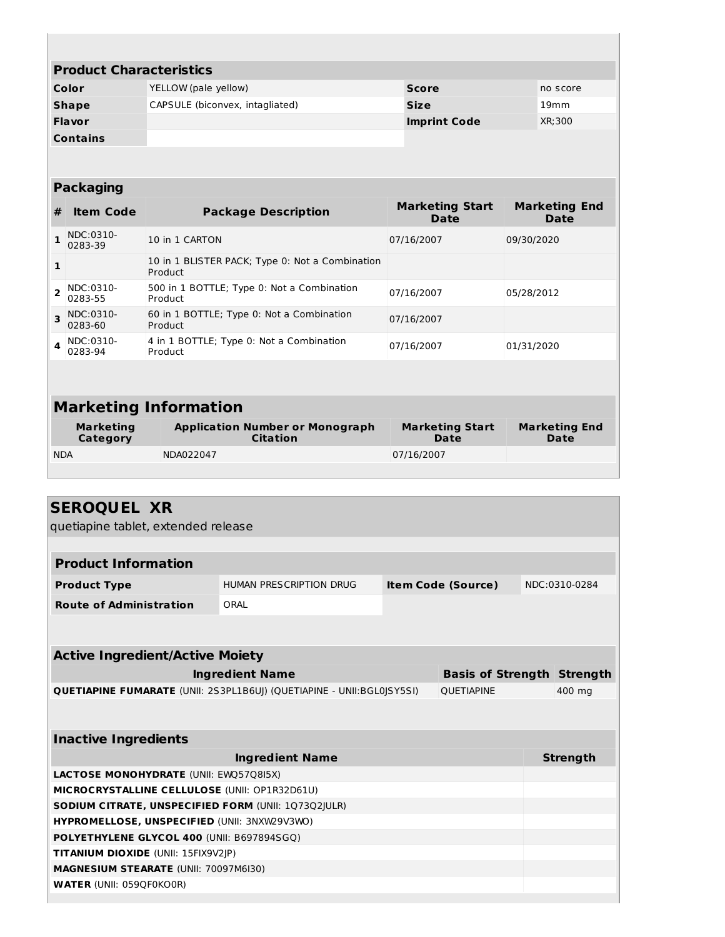| <b>Product Characteristics</b> |                                 |                     |          |  |
|--------------------------------|---------------------------------|---------------------|----------|--|
| Color                          | YELLOW (pale yellow)            | <b>Score</b>        | no score |  |
| <b>Shape</b>                   | CAPSULE (biconvex, intagliated) | <b>Size</b>         | 19mm     |  |
| <b>Flavor</b>                  |                                 | <b>Imprint Code</b> | XR;300   |  |
| <b>Contains</b>                |                                 |                     |          |  |

## **Packaging**

| #        | <b>Item Code</b>     | <b>Package Description</b>                                 | <b>Marketing Start</b><br>Date | <b>Marketing End</b><br>Date |
|----------|----------------------|------------------------------------------------------------|--------------------------------|------------------------------|
|          | NDC:0310-<br>0283-39 | 10 in 1 CARTON                                             | 07/16/2007                     | 09/30/2020                   |
| 1        |                      | 10 in 1 BLISTER PACK; Type 0: Not a Combination<br>Product |                                |                              |
|          | NDC:0310-<br>0283-55 | 500 in 1 BOTTLE; Type 0: Not a Combination<br>Product      | 07/16/2007                     | 05/28/2012                   |
|          | NDC:0310-<br>0283-60 | 60 in 1 BOTTLE; Type 0: Not a Combination<br>Product       | 07/16/2007                     |                              |
| $\Delta$ | NDC:0310-<br>0283-94 | 4 in 1 BOTTLE; Type 0: Not a Combination<br>Product        | 07/16/2007                     | 01/31/2020                   |

# **Marketing Information**

| Marketing  | <b>Application Number or Monograph</b> | <b>Marketing Start</b> | <b>Marketing End</b> |
|------------|----------------------------------------|------------------------|----------------------|
| Category   | Citation                               | Date                   | Date                 |
| <b>NDA</b> | NDA022047                              | 07/16/2007             |                      |

# **SEROQUEL XR**

quetiapine tablet, extended release

| <b>Product Information</b>     |                         |                           |               |  |
|--------------------------------|-------------------------|---------------------------|---------------|--|
| <b>Product Type</b>            | HUMAN PRESCRIPTION DRUG | <b>Item Code (Source)</b> | NDC:0310-0284 |  |
| <b>Route of Administration</b> | ORAL                    |                           |               |  |

| <b>Active Ingredient/Active Moiety</b>                                       |                                   |        |  |
|------------------------------------------------------------------------------|-----------------------------------|--------|--|
| <b>Ingredient Name</b>                                                       | <b>Basis of Strength Strength</b> |        |  |
| <b>QUETIAPINE FUMARATE</b> (UNII: 2S3PL1B6UI) (QUETIAPINE - UNII:BGL0JSY5SI) | <b>OUETIAPINE</b>                 | 400 mg |  |

| <b>Inactive Ingredients</b> |  |  |  |
|-----------------------------|--|--|--|
| Strength                    |  |  |  |
|                             |  |  |  |
|                             |  |  |  |
|                             |  |  |  |
|                             |  |  |  |
|                             |  |  |  |
|                             |  |  |  |
|                             |  |  |  |
|                             |  |  |  |
|                             |  |  |  |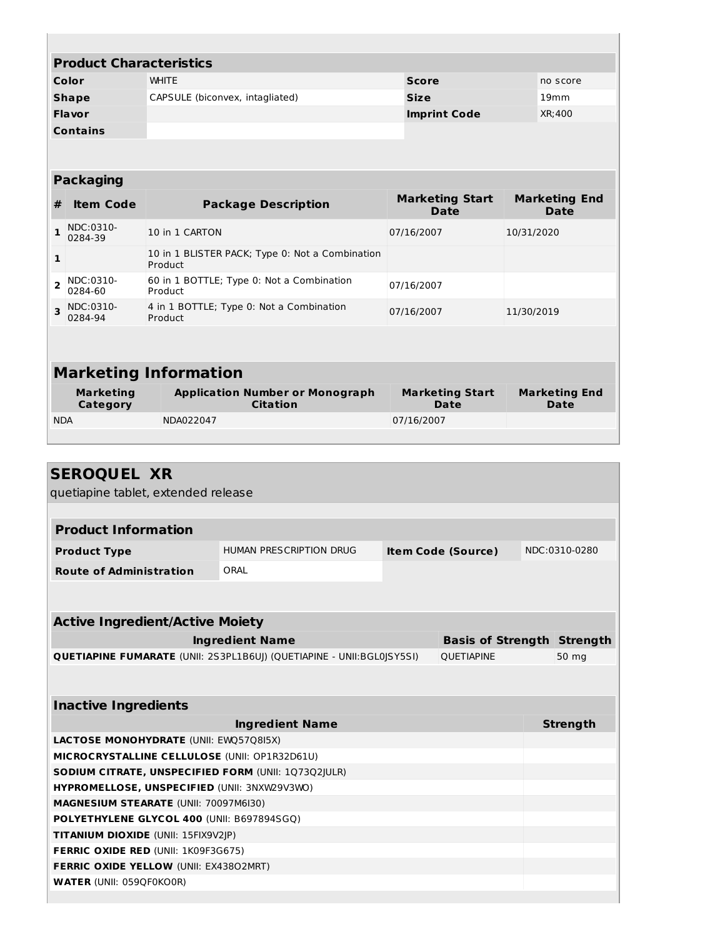| <b>Product Characteristics</b> |                                 |                     |          |
|--------------------------------|---------------------------------|---------------------|----------|
| Color                          | <b>WHITE</b>                    | <b>Score</b>        | no score |
| <b>Shape</b>                   | CAPSULE (biconvex, intagliated) | <b>Size</b>         | 19mm     |
| <b>Flavor</b>                  |                                 | <b>Imprint Code</b> | XR;400   |
| <b>Contains</b>                |                                 |                     |          |

## **Packaging**

| # | <b>Item Code</b>     | <b>Package Description</b>                                 | <b>Marketing Start</b><br>Date | <b>Marketing End</b><br>Date |
|---|----------------------|------------------------------------------------------------|--------------------------------|------------------------------|
|   | NDC:0310-<br>0284-39 | 10 in 1 CARTON                                             | 07/16/2007                     | 10/31/2020                   |
|   |                      | 10 in 1 BLISTER PACK; Type 0: Not a Combination<br>Product |                                |                              |
|   | NDC:0310-<br>0284-60 | 60 in 1 BOTTLE; Type 0: Not a Combination<br>Product       | 07/16/2007                     |                              |
|   | NDC:0310-<br>0284-94 | 4 in 1 BOTTLE; Type 0: Not a Combination<br>Product        | 07/16/2007                     | 11/30/2019                   |

# **Marketing Information**

| <b>Marketing</b><br>Category | <b>Application Number or Monograph</b><br><b>Citation</b> | <b>Marketing Start</b><br>Date | <b>Marketing End</b><br>Date |
|------------------------------|-----------------------------------------------------------|--------------------------------|------------------------------|
| <b>NDA</b>                   | NDA022047                                                 | 07/16/2007                     |                              |
|                              |                                                           |                                |                              |

| <b>SEROQUEL XR</b><br>quetiapine tablet, extended release                                   |                         |  |                           |                 |
|---------------------------------------------------------------------------------------------|-------------------------|--|---------------------------|-----------------|
|                                                                                             |                         |  |                           |                 |
| <b>Product Information</b>                                                                  |                         |  |                           |                 |
| <b>Product Type</b>                                                                         | HUMAN PRESCRIPTION DRUG |  | <b>Item Code (Source)</b> | NDC:0310-0280   |
| <b>Route of Administration</b>                                                              | ORAL                    |  |                           |                 |
|                                                                                             |                         |  |                           |                 |
| <b>Active Ingredient/Active Moiety</b>                                                      |                         |  |                           |                 |
|                                                                                             |                         |  |                           |                 |
| <b>Ingredient Name</b><br><b>Basis of Strength Strength</b>                                 |                         |  |                           |                 |
| <b>QUETIAPINE FUMARATE (UNII: 2S3PL1B6UJ) (QUETIAPINE - UNII: BGL0JSY5SI)</b><br>QUETIAPINE |                         |  | 50 mg                     |                 |
|                                                                                             |                         |  |                           |                 |
| <b>Inactive Ingredients</b>                                                                 |                         |  |                           |                 |
|                                                                                             | <b>Ingredient Name</b>  |  |                           | <b>Strength</b> |
| <b>LACTOSE MONOHYDRATE (UNII: EWQ57Q8I5X)</b>                                               |                         |  |                           |                 |
| MICROCRYSTALLINE CELLULOSE (UNII: OP1R32D61U)                                               |                         |  |                           |                 |
| <b>SODIUM CITRATE, UNSPECIFIED FORM (UNII: 107302 ULR)</b>                                  |                         |  |                           |                 |
| HYPROMELLOSE, UNSPECIFIED (UNII: 3NXW29V3WO)                                                |                         |  |                           |                 |
| MAGNESIUM STEARATE (UNII: 70097M6I30)                                                       |                         |  |                           |                 |
| POLYETHYLENE GLYCOL 400 (UNII: B697894SGQ)                                                  |                         |  |                           |                 |
| <b>TITANIUM DIOXIDE (UNII: 15FIX9V2JP)</b>                                                  |                         |  |                           |                 |
| <b>FERRIC OXIDE RED (UNII: 1K09F3G675)</b>                                                  |                         |  |                           |                 |
| FERRIC OXIDE YELLOW (UNII: EX43802MRT)                                                      |                         |  |                           |                 |
| <b>WATER (UNII: 059QF0KO0R)</b>                                                             |                         |  |                           |                 |
|                                                                                             |                         |  |                           |                 |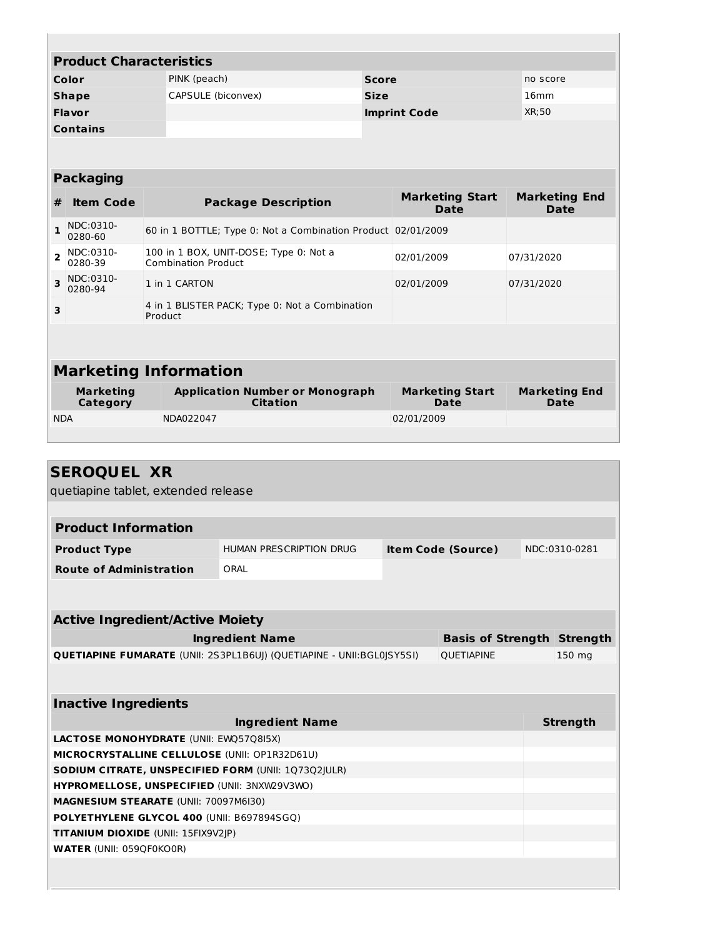| <b>Product Characteristics</b> |                    |                     |          |  |  |
|--------------------------------|--------------------|---------------------|----------|--|--|
| Color                          | PINK (peach)       | <b>Score</b>        | no score |  |  |
| <b>Shape</b>                   | CAPSULE (biconvex) | <b>Size</b>         | 16mm     |  |  |
| <b>Flavor</b>                  |                    | <b>Imprint Code</b> | XR;50    |  |  |
| <b>Contains</b>                |                    |                     |          |  |  |

## **Packaging**

| # | <b>Item Code</b>     | <b>Package Description</b>                                    | <b>Marketing Start</b><br><b>Date</b> | <b>Marketing End</b><br><b>Date</b> |
|---|----------------------|---------------------------------------------------------------|---------------------------------------|-------------------------------------|
|   | NDC:0310-<br>0280-60 | 60 in 1 BOTTLE; Type 0: Not a Combination Product 02/01/2009  |                                       |                                     |
|   | NDC:0310-<br>0280-39 | 100 in 1 BOX, UNIT-DOSE; Type 0: Not a<br>Combination Product | 02/01/2009                            | 07/31/2020                          |
|   | NDC:0310-<br>0280-94 | 1 in 1 CARTON                                                 | 02/01/2009                            | 07/31/2020                          |
| 3 |                      | 4 in 1 BLISTER PACK; Type 0: Not a Combination<br>Product     |                                       |                                     |
|   |                      |                                                               |                                       |                                     |

## **Marketing Information**

| <b>Marketing</b><br>Category | <b>Application Number or Monograph</b><br><b>Citation</b> | <b>Marketing Start</b><br>Date | <b>Marketing End</b><br>Date |
|------------------------------|-----------------------------------------------------------|--------------------------------|------------------------------|
| <b>NDA</b>                   | NDA022047                                                 | 02/01/2009                     |                              |
|                              |                                                           |                                |                              |

## **SEROQUEL XR**

quetiapine tablet, extended release

| <b>Product Information</b>                                                   |                         |  |                                   |  |                 |  |
|------------------------------------------------------------------------------|-------------------------|--|-----------------------------------|--|-----------------|--|
| <b>Product Type</b>                                                          | HUMAN PRESCRIPTION DRUG |  | <b>Item Code (Source)</b>         |  | NDC:0310-0281   |  |
| <b>Route of Administration</b>                                               | ORAI                    |  |                                   |  |                 |  |
|                                                                              |                         |  |                                   |  |                 |  |
|                                                                              |                         |  |                                   |  |                 |  |
| <b>Active Ingredient/Active Moiety</b>                                       |                         |  |                                   |  |                 |  |
|                                                                              | <b>Ingredient Name</b>  |  | <b>Basis of Strength Strength</b> |  |                 |  |
| <b>QUETIAPINE FUMARATE (UNII: 2S3PL1B6UJ) (QUETIAPINE - UNII:BGL0JSY5SI)</b> |                         |  | <b>OUETIAPINE</b>                 |  | 150 mg          |  |
|                                                                              |                         |  |                                   |  |                 |  |
|                                                                              |                         |  |                                   |  |                 |  |
| <b>Inactive Ingredients</b>                                                  |                         |  |                                   |  |                 |  |
|                                                                              | <b>Ingredient Name</b>  |  |                                   |  | <b>Strength</b> |  |
| <b>LACTOSE MONOHYDRATE (UNII: EWQ57Q8I5X)</b>                                |                         |  |                                   |  |                 |  |
| <b>MICROCRYSTALLINE CELLULOSE (UNII: OP1R32D61U)</b>                         |                         |  |                                   |  |                 |  |
| <b>SODIUM CITRATE, UNSPECIFIED FORM (UNII: 107302 ULR)</b>                   |                         |  |                                   |  |                 |  |
| HYPROMELLOSE, UNSPECIFIED (UNII: 3NXW29V3WO)                                 |                         |  |                                   |  |                 |  |
| <b>MAGNESIUM STEARATE (UNII: 70097M6I30)</b>                                 |                         |  |                                   |  |                 |  |
| POLYETHYLENE GLYCOL 400 (UNII: B697894SGQ)                                   |                         |  |                                   |  |                 |  |
| <b>TITANIUM DIOXIDE (UNII: 15FIX9V2JP)</b>                                   |                         |  |                                   |  |                 |  |
| <b>WATER (UNII: 059QF0KO0R)</b>                                              |                         |  |                                   |  |                 |  |
|                                                                              |                         |  |                                   |  |                 |  |
|                                                                              |                         |  |                                   |  |                 |  |
|                                                                              |                         |  |                                   |  |                 |  |